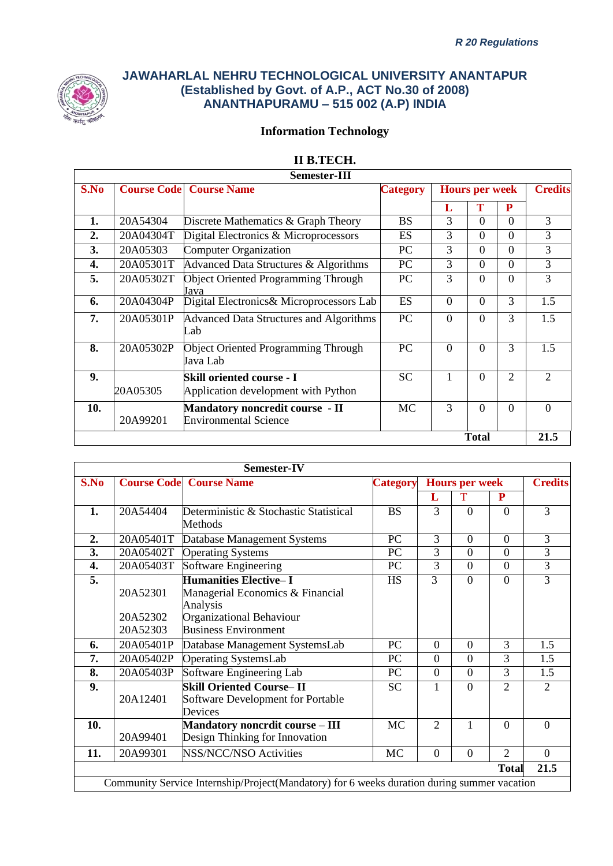

# **Information Technology**

# **II B.TECH.**

|      |                    | Semester-III                                                           |                 |                |                       |                |                             |
|------|--------------------|------------------------------------------------------------------------|-----------------|----------------|-----------------------|----------------|-----------------------------|
| S.No | <b>Course Code</b> | <b>Course Name</b>                                                     | <b>Category</b> |                | <b>Hours per week</b> |                | <b>Credits</b>              |
|      |                    |                                                                        |                 | L              | Т                     | P              |                             |
| 1.   | 20A54304           | Discrete Mathematics & Graph Theory                                    | <b>BS</b>       | 3              | $\Omega$              | $\Omega$       | 3                           |
| 2.   | 20A04304T          | Digital Electronics & Microprocessors                                  | ES              | 3              | $\Omega$              | $\Omega$       | 3                           |
| 3.   | 20A05303           | Computer Organization                                                  | PC              | 3              | $\Omega$              | $\Omega$       | 3                           |
| 4.   | 20A05301T          | Advanced Data Structures & Algorithms                                  | PC              | 3              | $\Omega$              | $\Omega$       | 3                           |
| 5.   | 20A05302T          | <b>Object Oriented Programming Through</b><br>Java                     | <b>PC</b>       | 3              | $\Omega$              | $\Omega$       | 3                           |
| 6.   | 20A04304P          | Digital Electronics& Microprocessors Lab                               | <b>ES</b>       | $\overline{0}$ | $\Omega$              | 3              | 1.5                         |
| 7.   | 20A05301P          | Advanced Data Structures and Algorithms<br>Lab                         | <b>PC</b>       | $\Omega$       | $\Omega$              | 3              | 1.5                         |
| 8.   | 20A05302P          | <b>Object Oriented Programming Through</b><br>Java Lab                 | PC              | $\theta$       | $\Omega$              | 3              | 1.5                         |
| 9.   | 20A05305           | Skill oriented course - I<br>Application development with Python       | <b>SC</b>       | 1              | 0                     | $\overline{2}$ | $\mathcal{D}_{\mathcal{L}}$ |
| 10.  | 20A99201           | <b>Mandatory noncredit course - II</b><br><b>Environmental Science</b> | <b>MC</b>       | 3              | $\Omega$              | $\theta$       | $\Omega$                    |
|      |                    |                                                                        |                 |                | <b>Total</b>          |                | 21.5                        |

|      |                      | Semester-IV                                                                                 |           |                |                       |                             |                             |
|------|----------------------|---------------------------------------------------------------------------------------------|-----------|----------------|-----------------------|-----------------------------|-----------------------------|
| S.No |                      | <b>Course Code</b> Course Name                                                              | Category  |                | <b>Hours per week</b> |                             | <b>Credits</b>              |
|      |                      |                                                                                             |           | L              | T                     | ${\bf P}$                   |                             |
| 1.   | 20A54404             | Deterministic & Stochastic Statistical<br>Methods                                           | <b>BS</b> | 3              | $\Omega$              | $\theta$                    | 3                           |
| 2.   | 20A05401T            | Database Management Systems                                                                 | PC        | 3              | $\theta$              | $\Omega$                    | 3                           |
| 3.   | 20A05402T            | <b>Operating Systems</b>                                                                    | PC        | 3              | $\theta$              | $\Omega$                    | $\overline{3}$              |
| 4.   | 20A05403T            | Software Engineering                                                                        | <b>PC</b> | 3              | $\overline{0}$        | $\Omega$                    | 3                           |
| 5.   | 20A52301             | <b>Humanities Elective-I</b><br>Managerial Economics & Financial<br>Analysis                | <b>HS</b> | 3              | $\Omega$              | $\Omega$                    | 3                           |
|      | 20A52302<br>20A52303 | Organizational Behaviour<br><b>Business Environment</b>                                     |           |                |                       |                             |                             |
| 6.   | 20A05401P            | Database Management SystemsLab                                                              | PC        | $\Omega$       | $\theta$              | 3                           | 1.5                         |
| 7.   | 20A05402P            | <b>Operating SystemsLab</b>                                                                 | PC        | $\Omega$       | $\overline{0}$        | 3                           | 1.5                         |
| 8.   | 20A05403P            | Software Engineering Lab                                                                    | PC        | $\overline{0}$ | $\theta$              | 3                           | 1.5                         |
| 9.   | 20A12401             | <b>Skill Oriented Course-II</b><br>Software Development for Portable<br>Devices             | <b>SC</b> | 1              | $\Omega$              | $\mathcal{D}_{\mathcal{A}}$ | $\mathcal{D}_{\mathcal{L}}$ |
| 10.  | 20A99401             | <b>Mandatory noncrdit course - III</b><br>Design Thinking for Innovation                    | <b>MC</b> | $\overline{2}$ | $\mathbf{1}$          | $\theta$                    | $\theta$                    |
| 11.  | 20A99301             | <b>NSS/NCC/NSO Activities</b>                                                               | <b>MC</b> | $\theta$       | $\Omega$              | $\overline{2}$              | $\Omega$                    |
|      |                      |                                                                                             |           |                |                       | <b>Total</b>                | 21.5                        |
|      |                      | Community Service Internship/Project(Mandatory) for 6 weeks duration during summer vacation |           |                |                       |                             |                             |
|      |                      |                                                                                             |           |                |                       |                             |                             |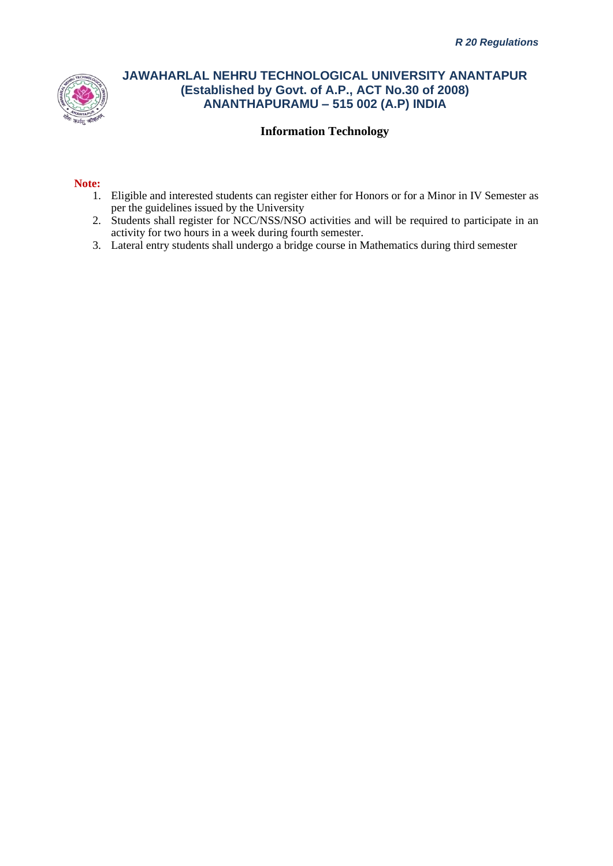

## **Information Technology**

#### **Note:**

- 1. Eligible and interested students can register either for Honors or for a Minor in IV Semester as per the guidelines issued by the University
- 2. Students shall register for NCC/NSS/NSO activities and will be required to participate in an activity for two hours in a week during fourth semester.
- 3. Lateral entry students shall undergo a bridge course in Mathematics during third semester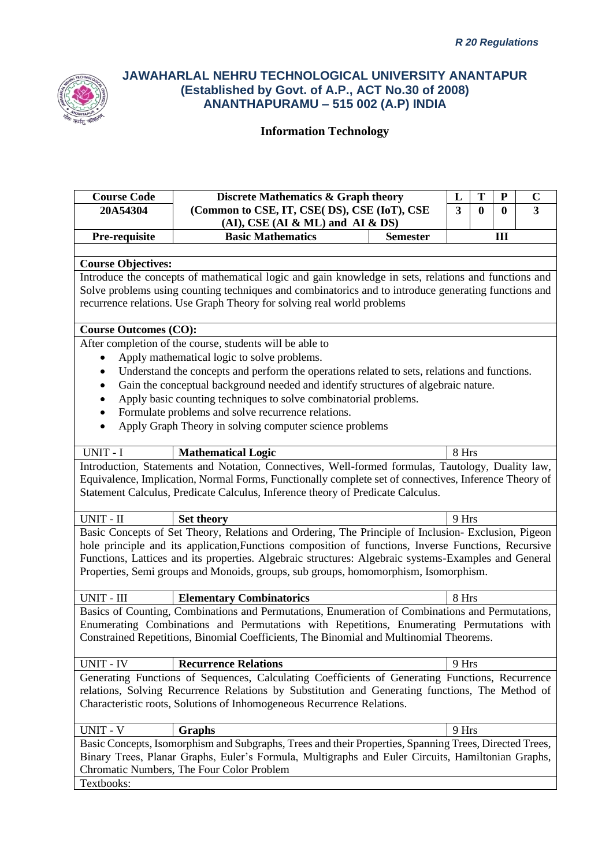

| <b>Course Code</b>           | Discrete Mathematics & Graph theory                                                                    | L                       | T        | ${\bf P}$ | $\mathbf C$ |
|------------------------------|--------------------------------------------------------------------------------------------------------|-------------------------|----------|-----------|-------------|
| 20A54304                     | (Common to CSE, IT, CSE(DS), CSE (IoT), CSE                                                            | $\overline{\mathbf{3}}$ | $\bf{0}$ | $\bf{0}$  | 3           |
|                              | $(AI)$ , CSE $(AI & ML)$ and $AI & DS$                                                                 |                         |          |           |             |
| Pre-requisite                | <b>Basic Mathematics</b><br><b>Semester</b>                                                            |                         |          | Ш         |             |
|                              |                                                                                                        |                         |          |           |             |
| <b>Course Objectives:</b>    |                                                                                                        |                         |          |           |             |
|                              | Introduce the concepts of mathematical logic and gain knowledge in sets, relations and functions and   |                         |          |           |             |
|                              | Solve problems using counting techniques and combinatorics and to introduce generating functions and   |                         |          |           |             |
|                              | recurrence relations. Use Graph Theory for solving real world problems                                 |                         |          |           |             |
|                              |                                                                                                        |                         |          |           |             |
| <b>Course Outcomes (CO):</b> |                                                                                                        |                         |          |           |             |
|                              | After completion of the course, students will be able to                                               |                         |          |           |             |
|                              | Apply mathematical logic to solve problems.                                                            |                         |          |           |             |
| $\bullet$                    | Understand the concepts and perform the operations related to sets, relations and functions.           |                         |          |           |             |
| ٠                            | Gain the conceptual background needed and identify structures of algebraic nature.                     |                         |          |           |             |
|                              | Apply basic counting techniques to solve combinatorial problems.                                       |                         |          |           |             |
| $\bullet$                    | Formulate problems and solve recurrence relations.                                                     |                         |          |           |             |
| $\bullet$                    | Apply Graph Theory in solving computer science problems                                                |                         |          |           |             |
| UNIT - I                     | <b>Mathematical Logic</b>                                                                              | 8 Hrs                   |          |           |             |
|                              | Introduction, Statements and Notation, Connectives, Well-formed formulas, Tautology, Duality law,      |                         |          |           |             |
|                              | Equivalence, Implication, Normal Forms, Functionally complete set of connectives, Inference Theory of  |                         |          |           |             |
|                              | Statement Calculus, Predicate Calculus, Inference theory of Predicate Calculus.                        |                         |          |           |             |
|                              |                                                                                                        |                         |          |           |             |
| UNIT - II                    | <b>Set theory</b>                                                                                      | 9 Hrs                   |          |           |             |
|                              | Basic Concepts of Set Theory, Relations and Ordering, The Principle of Inclusion- Exclusion, Pigeon    |                         |          |           |             |
|                              | hole principle and its application, Functions composition of functions, Inverse Functions, Recursive   |                         |          |           |             |
|                              | Functions, Lattices and its properties. Algebraic structures: Algebraic systems-Examples and General   |                         |          |           |             |
|                              | Properties, Semi groups and Monoids, groups, sub groups, homomorphism, Isomorphism.                    |                         |          |           |             |
| UNIT - III                   | <b>Elementary Combinatorics</b>                                                                        | 8 Hrs                   |          |           |             |
|                              | Basics of Counting, Combinations and Permutations, Enumeration of Combinations and Permutations,       |                         |          |           |             |
|                              | Enumerating Combinations and Permutations with Repetitions, Enumerating Permutations with              |                         |          |           |             |
|                              | Constrained Repetitions, Binomial Coefficients, The Binomial and Multinomial Theorems.                 |                         |          |           |             |
|                              |                                                                                                        |                         |          |           |             |
| <b>UNIT - IV</b>             | <b>Recurrence Relations</b>                                                                            | 9 Hrs                   |          |           |             |
|                              | Generating Functions of Sequences, Calculating Coefficients of Generating Functions, Recurrence        |                         |          |           |             |
|                              | relations, Solving Recurrence Relations by Substitution and Generating functions, The Method of        |                         |          |           |             |
|                              | Characteristic roots, Solutions of Inhomogeneous Recurrence Relations.                                 |                         |          |           |             |
|                              |                                                                                                        |                         |          |           |             |
| UNIT - V                     | <b>Graphs</b>                                                                                          | 9 Hrs                   |          |           |             |
|                              | Basic Concepts, Isomorphism and Subgraphs, Trees and their Properties, Spanning Trees, Directed Trees, |                         |          |           |             |
|                              | Binary Trees, Planar Graphs, Euler's Formula, Multigraphs and Euler Circuits, Hamiltonian Graphs,      |                         |          |           |             |
|                              | Chromatic Numbers, The Four Color Problem                                                              |                         |          |           |             |
| Textbooks:                   |                                                                                                        |                         |          |           |             |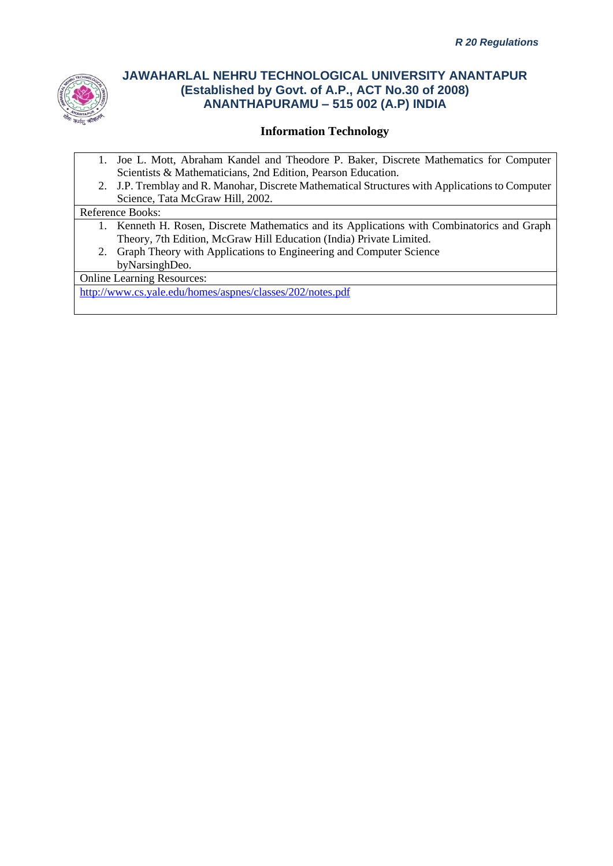

### **Information Technology**

- 1. Joe L. Mott, Abraham Kandel and Theodore P. Baker, Discrete Mathematics for Computer Scientists & Mathematicians, 2nd Edition, Pearson Education.
- 2. J.P. Tremblay and R. Manohar, Discrete Mathematical Structures with Applications to Computer Science, Tata McGraw Hill, 2002.

Reference Books:

- 1. Kenneth H. Rosen, Discrete Mathematics and its Applications with Combinatorics and Graph Theory, 7th Edition, McGraw Hill Education (India) Private Limited.
- 2. Graph Theory with Applications to Engineering and Computer Science byNarsinghDeo.

Online Learning Resources:

<http://www.cs.yale.edu/homes/aspnes/classes/202/notes.pdf>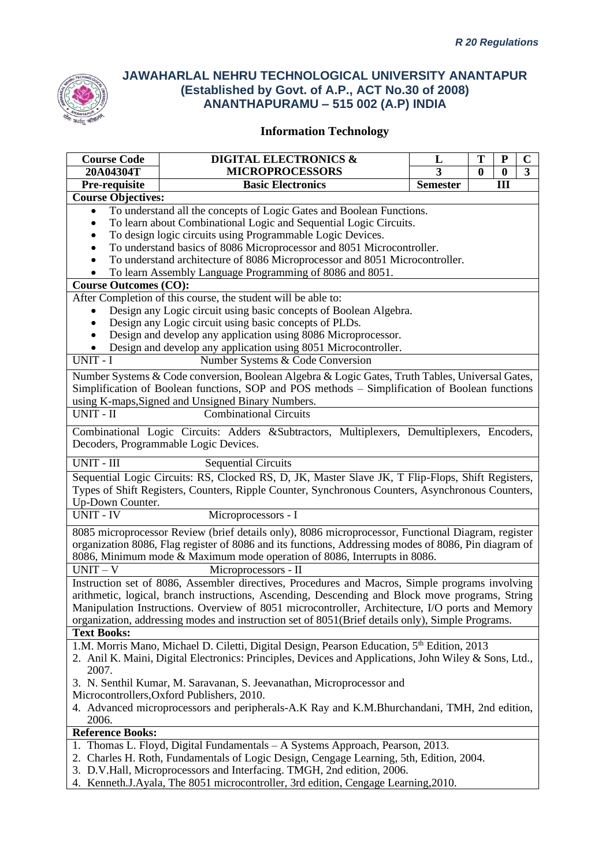

# **Information Technology**

| <b>Course Code</b>                   | <b>DIGITAL ELECTRONICS &amp;</b>                                                                       | L               | T        | ${\bf P}$ | $\mathbf C$    |
|--------------------------------------|--------------------------------------------------------------------------------------------------------|-----------------|----------|-----------|----------------|
| 20A04304T                            | <b>MICROPROCESSORS</b>                                                                                 | 3               | $\bf{0}$ | $\bf{0}$  | $\overline{3}$ |
| Pre-requisite                        | <b>Basic Electronics</b>                                                                               | <b>Semester</b> |          | III       |                |
| <b>Course Objectives:</b>            |                                                                                                        |                 |          |           |                |
|                                      | To understand all the concepts of Logic Gates and Boolean Functions.                                   |                 |          |           |                |
|                                      | To learn about Combinational Logic and Sequential Logic Circuits.                                      |                 |          |           |                |
|                                      | To design logic circuits using Programmable Logic Devices.                                             |                 |          |           |                |
|                                      | To understand basics of 8086 Microprocessor and 8051 Microcontroller.                                  |                 |          |           |                |
|                                      | To understand architecture of 8086 Microprocessor and 8051 Microcontroller.                            |                 |          |           |                |
|                                      | To learn Assembly Language Programming of 8086 and 8051.                                               |                 |          |           |                |
| <b>Course Outcomes (CO):</b>         |                                                                                                        |                 |          |           |                |
|                                      | After Completion of this course, the student will be able to:                                          |                 |          |           |                |
|                                      | Design any Logic circuit using basic concepts of Boolean Algebra.                                      |                 |          |           |                |
|                                      | Design any Logic circuit using basic concepts of PLDs.                                                 |                 |          |           |                |
|                                      | Design and develop any application using 8086 Microprocessor.                                          |                 |          |           |                |
| UNIT - I                             | Design and develop any application using 8051 Microcontroller.                                         |                 |          |           |                |
|                                      | Number Systems & Code Conversion                                                                       |                 |          |           |                |
|                                      | Number Systems & Code conversion, Boolean Algebra & Logic Gates, Truth Tables, Universal Gates,        |                 |          |           |                |
|                                      | Simplification of Boolean functions, SOP and POS methods – Simplification of Boolean functions         |                 |          |           |                |
|                                      | using K-maps, Signed and Unsigned Binary Numbers.                                                      |                 |          |           |                |
| $\overline{UNIT}$ - $\overline{II}$  | <b>Combinational Circuits</b>                                                                          |                 |          |           |                |
|                                      | Combinational Logic Circuits: Adders &Subtractors, Multiplexers, Demultiplexers, Encoders,             |                 |          |           |                |
|                                      | Decoders, Programmable Logic Devices.                                                                  |                 |          |           |                |
| UNIT - III                           | <b>Sequential Circuits</b>                                                                             |                 |          |           |                |
|                                      |                                                                                                        |                 |          |           |                |
|                                      | Sequential Logic Circuits: RS, Clocked RS, D, JK, Master Slave JK, T Flip-Flops, Shift Registers,      |                 |          |           |                |
|                                      | Types of Shift Registers, Counters, Ripple Counter, Synchronous Counters, Asynchronous Counters,       |                 |          |           |                |
| Up-Down Counter.<br><b>UNIT - IV</b> | Microprocessors - I                                                                                    |                 |          |           |                |
|                                      |                                                                                                        |                 |          |           |                |
|                                      | 8085 microprocessor Review (brief details only), 8086 microprocessor, Functional Diagram, register     |                 |          |           |                |
|                                      | organization 8086, Flag register of 8086 and its functions, Addressing modes of 8086, Pin diagram of   |                 |          |           |                |
|                                      | 8086, Minimum mode & Maximum mode operation of 8086, Interrupts in 8086.                               |                 |          |           |                |
| $UNIT - V$                           | Microprocessors - II                                                                                   |                 |          |           |                |
|                                      | Instruction set of 8086, Assembler directives, Procedures and Macros, Simple programs involving        |                 |          |           |                |
|                                      | arithmetic, logical, branch instructions, Ascending, Descending and Block move programs, String        |                 |          |           |                |
|                                      | Manipulation Instructions. Overview of 8051 microcontroller, Architecture, I/O ports and Memory        |                 |          |           |                |
| <b>Text Books:</b>                   | organization, addressing modes and instruction set of 8051(Brief details only), Simple Programs.       |                 |          |           |                |
|                                      | 1.M. Morris Mano, Michael D. Ciletti, Digital Design, Pearson Education, 5 <sup>th</sup> Edition, 2013 |                 |          |           |                |
|                                      | 2. Anil K. Maini, Digital Electronics: Principles, Devices and Applications, John Wiley & Sons, Ltd.,  |                 |          |           |                |
| 2007.                                |                                                                                                        |                 |          |           |                |
|                                      | 3. N. Senthil Kumar, M. Saravanan, S. Jeevanathan, Microprocessor and                                  |                 |          |           |                |
|                                      | Microcontrollers, Oxford Publishers, 2010.                                                             |                 |          |           |                |
|                                      | 4. Advanced microprocessors and peripherals-A.K Ray and K.M.Bhurchandani, TMH, 2nd edition,            |                 |          |           |                |
| 2006.                                |                                                                                                        |                 |          |           |                |
| <b>Reference Books:</b>              |                                                                                                        |                 |          |           |                |
|                                      | 1. Thomas L. Floyd, Digital Fundamentals – A Systems Approach, Pearson, 2013.                          |                 |          |           |                |
|                                      | 2. Charles H. Roth, Fundamentals of Logic Design, Cengage Learning, 5th, Edition, 2004.                |                 |          |           |                |
|                                      | 3. D.V.Hall, Microprocessors and Interfacing. TMGH, 2nd edition, 2006.                                 |                 |          |           |                |
|                                      | 4. Kenneth.J.Ayala, The 8051 microcontroller, 3rd edition, Cengage Learning, 2010.                     |                 |          |           |                |

4. Kenneth.J.Ayala, The 8051 microcontroller, 3rd edition, Cengage Learning,2010.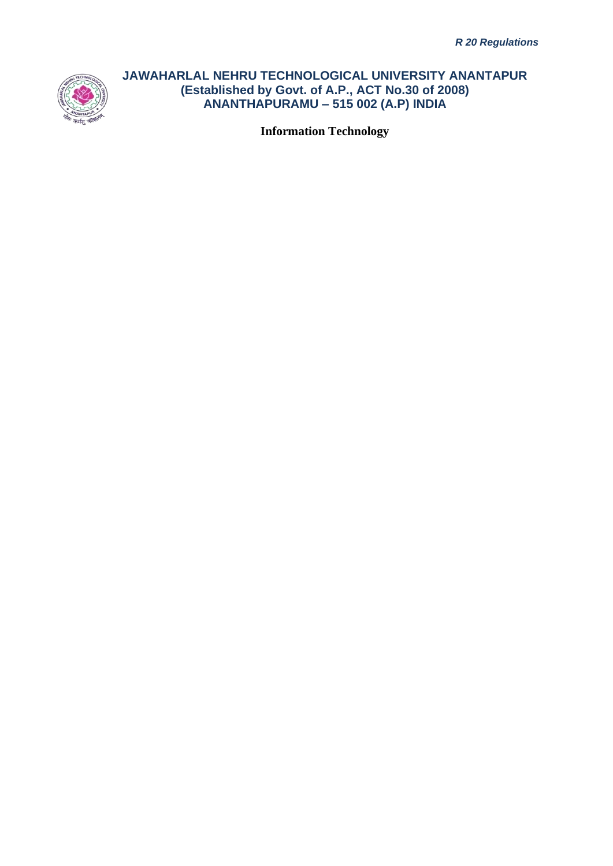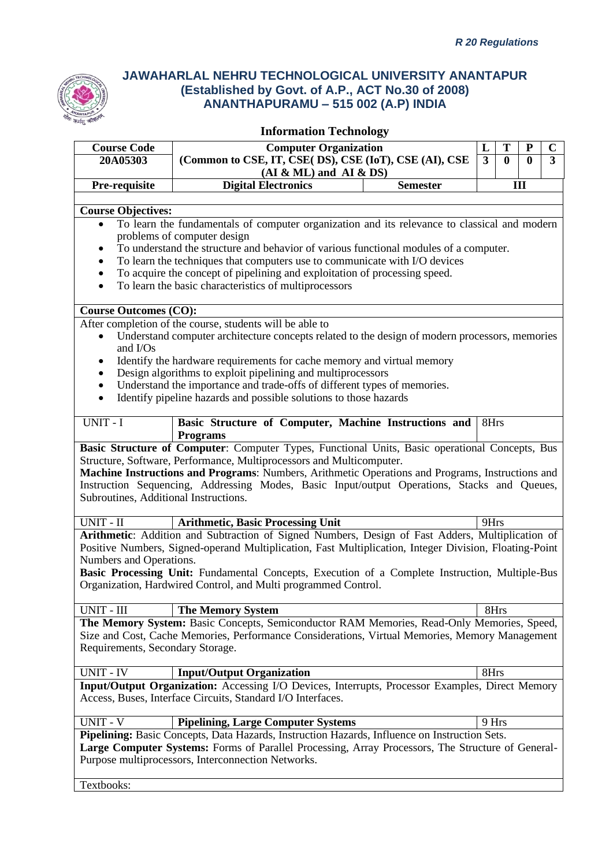

| <b>Course Code</b>                    | <b>Computer Organization</b>                                                                                                            |                 | T<br>L                     | P        | $\mathbf C$    |
|---------------------------------------|-----------------------------------------------------------------------------------------------------------------------------------------|-----------------|----------------------------|----------|----------------|
| 20A05303                              | (Common to CSE, IT, CSE( DS), CSE (IoT), CSE (AI), CSE                                                                                  |                 | $\overline{3}$<br>$\bf{0}$ | $\bf{0}$ | $\overline{3}$ |
| Pre-requisite                         | $(AI & ML)$ and $AI & DS)$<br><b>Digital Electronics</b>                                                                                | <b>Semester</b> |                            | III      |                |
|                                       |                                                                                                                                         |                 |                            |          |                |
| <b>Course Objectives:</b>             |                                                                                                                                         |                 |                            |          |                |
| $\bullet$                             | To learn the fundamentals of computer organization and its relevance to classical and modern                                            |                 |                            |          |                |
|                                       | problems of computer design                                                                                                             |                 |                            |          |                |
|                                       | To understand the structure and behavior of various functional modules of a computer.                                                   |                 |                            |          |                |
|                                       | To learn the techniques that computers use to communicate with I/O devices                                                              |                 |                            |          |                |
| $\bullet$<br>$\bullet$                | To acquire the concept of pipelining and exploitation of processing speed.<br>To learn the basic characteristics of multiprocessors     |                 |                            |          |                |
|                                       |                                                                                                                                         |                 |                            |          |                |
| <b>Course Outcomes (CO):</b>          |                                                                                                                                         |                 |                            |          |                |
|                                       | After completion of the course, students will be able to                                                                                |                 |                            |          |                |
| $\bullet$                             | Understand computer architecture concepts related to the design of modern processors, memories                                          |                 |                            |          |                |
| and I/Os                              |                                                                                                                                         |                 |                            |          |                |
|                                       | Identify the hardware requirements for cache memory and virtual memory                                                                  |                 |                            |          |                |
| $\bullet$                             | Design algorithms to exploit pipelining and multiprocessors<br>Understand the importance and trade-offs of different types of memories. |                 |                            |          |                |
| $\bullet$                             | Identify pipeline hazards and possible solutions to those hazards                                                                       |                 |                            |          |                |
|                                       |                                                                                                                                         |                 |                            |          |                |
| UNIT - I                              | Basic Structure of Computer, Machine Instructions and<br><b>Programs</b>                                                                |                 | 8Hrs                       |          |                |
|                                       | Basic Structure of Computer: Computer Types, Functional Units, Basic operational Concepts, Bus                                          |                 |                            |          |                |
|                                       | Structure, Software, Performance, Multiprocessors and Multicomputer.                                                                    |                 |                            |          |                |
|                                       | Machine Instructions and Programs: Numbers, Arithmetic Operations and Programs, Instructions and                                        |                 |                            |          |                |
|                                       | Instruction Sequencing, Addressing Modes, Basic Input/output Operations, Stacks and Queues,                                             |                 |                            |          |                |
| Subroutines, Additional Instructions. |                                                                                                                                         |                 |                            |          |                |
| UNIT - II                             | <b>Arithmetic, Basic Processing Unit</b>                                                                                                |                 | 9Hrs                       |          |                |
|                                       | Arithmetic: Addition and Subtraction of Signed Numbers, Design of Fast Adders, Multiplication of                                        |                 |                            |          |                |
|                                       | Positive Numbers, Signed-operand Multiplication, Fast Multiplication, Integer Division, Floating-Point                                  |                 |                            |          |                |
| Numbers and Operations.               |                                                                                                                                         |                 |                            |          |                |
|                                       | Basic Processing Unit: Fundamental Concepts, Execution of a Complete Instruction, Multiple-Bus                                          |                 |                            |          |                |
|                                       | Organization, Hardwired Control, and Multi programmed Control.                                                                          |                 |                            |          |                |
| UNIT - III                            | <b>The Memory System</b>                                                                                                                |                 | 8Hrs                       |          |                |
|                                       | The Memory System: Basic Concepts, Semiconductor RAM Memories, Read-Only Memories, Speed,                                               |                 |                            |          |                |
|                                       | Size and Cost, Cache Memories, Performance Considerations, Virtual Memories, Memory Management                                          |                 |                            |          |                |
| Requirements, Secondary Storage.      |                                                                                                                                         |                 |                            |          |                |
|                                       |                                                                                                                                         |                 |                            |          |                |
| <b>UNIT - IV</b>                      | <b>Input/Output Organization</b>                                                                                                        |                 | 8Hrs                       |          |                |
|                                       | Input/Output Organization: Accessing I/O Devices, Interrupts, Processor Examples, Direct Memory                                         |                 |                            |          |                |
|                                       | Access, Buses, Interface Circuits, Standard I/O Interfaces.                                                                             |                 |                            |          |                |
| <b>UNIT - V</b>                       | <b>Pipelining, Large Computer Systems</b>                                                                                               |                 | 9 Hrs                      |          |                |
|                                       | Pipelining: Basic Concepts, Data Hazards, Instruction Hazards, Influence on Instruction Sets.                                           |                 |                            |          |                |
|                                       | Large Computer Systems: Forms of Parallel Processing, Array Processors, The Structure of General-                                       |                 |                            |          |                |
|                                       | Purpose multiprocessors, Interconnection Networks.                                                                                      |                 |                            |          |                |
| Textbooks:                            |                                                                                                                                         |                 |                            |          |                |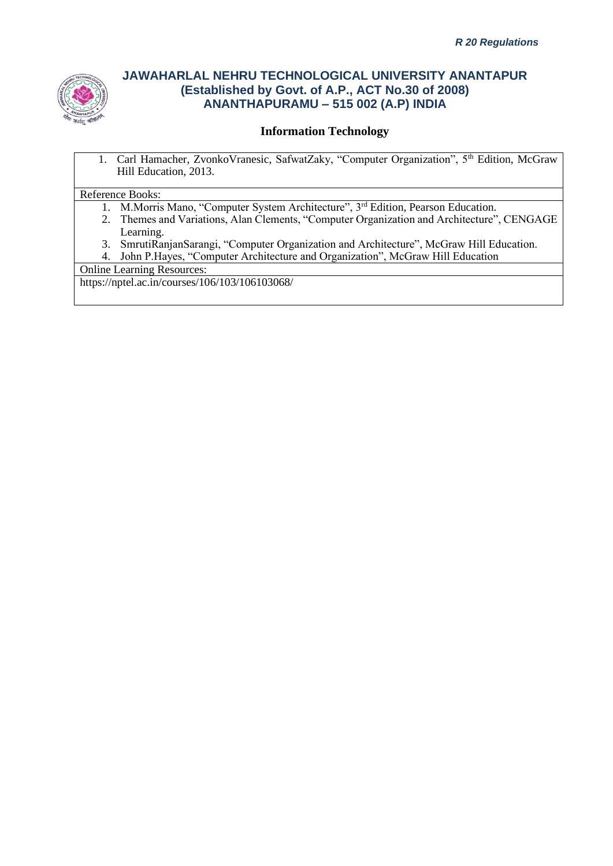

### **Information Technology**

1. Carl Hamacher, Zvonko Vranesic, SafwatZaky, "Computer Organization", 5<sup>th</sup> Edition, McGraw Hill Education, 2013.

#### Reference Books:

- 1. M.Morris Mano, "Computer System Architecture", 3<sup>rd</sup> Edition, Pearson Education.
- 2. Themes and Variations, Alan Clements, "Computer Organization and Architecture", CENGAGE Learning.
- 3. SmrutiRanjanSarangi, "Computer Organization and Architecture", McGraw Hill Education.
- 4. John P.Hayes, "Computer Architecture and Organization", McGraw Hill Education

Online Learning Resources:

https://nptel.ac.in/courses/106/103/106103068/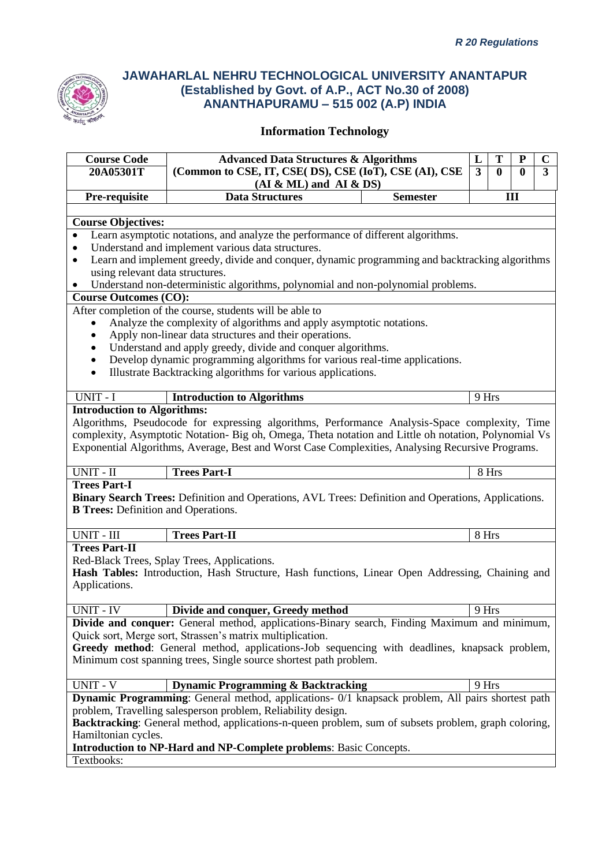

| <b>Course Code</b>                         | <b>Advanced Data Structures &amp; Algorithms</b>                                                           |                 | L            | T            | P            | $\mathbf C$    |
|--------------------------------------------|------------------------------------------------------------------------------------------------------------|-----------------|--------------|--------------|--------------|----------------|
| 20A05301T                                  | (Common to CSE, IT, CSE( DS), CSE (IoT), CSE (AI), CSE                                                     |                 | $\mathbf{3}$ | $\mathbf{0}$ | $\mathbf{0}$ | $\overline{3}$ |
|                                            | $(AI & ML)$ and $AI & DS)$                                                                                 |                 |              |              |              |                |
| Pre-requisite                              | <b>Data Structures</b>                                                                                     | <b>Semester</b> |              |              | III          |                |
|                                            |                                                                                                            |                 |              |              |              |                |
| <b>Course Objectives:</b>                  |                                                                                                            |                 |              |              |              |                |
|                                            | Learn asymptotic notations, and analyze the performance of different algorithms.                           |                 |              |              |              |                |
|                                            | Understand and implement various data structures.                                                          |                 |              |              |              |                |
| ٠                                          | Learn and implement greedy, divide and conquer, dynamic programming and backtracking algorithms            |                 |              |              |              |                |
| using relevant data structures.            |                                                                                                            |                 |              |              |              |                |
|                                            | Understand non-deterministic algorithms, polynomial and non-polynomial problems.                           |                 |              |              |              |                |
| <b>Course Outcomes (CO):</b>               |                                                                                                            |                 |              |              |              |                |
|                                            | After completion of the course, students will be able to                                                   |                 |              |              |              |                |
| ٠                                          | Analyze the complexity of algorithms and apply asymptotic notations.                                       |                 |              |              |              |                |
| $\bullet$                                  | Apply non-linear data structures and their operations.                                                     |                 |              |              |              |                |
| $\bullet$                                  | Understand and apply greedy, divide and conquer algorithms.                                                |                 |              |              |              |                |
| $\bullet$                                  | Develop dynamic programming algorithms for various real-time applications.                                 |                 |              |              |              |                |
| $\bullet$                                  | Illustrate Backtracking algorithms for various applications.                                               |                 |              |              |              |                |
|                                            |                                                                                                            |                 |              |              |              |                |
| UNIT - I                                   | <b>Introduction to Algorithms</b>                                                                          |                 | 9 Hrs        |              |              |                |
| <b>Introduction to Algorithms:</b>         |                                                                                                            |                 |              |              |              |                |
|                                            | Algorithms, Pseudocode for expressing algorithms, Performance Analysis-Space complexity, Time              |                 |              |              |              |                |
|                                            | complexity, Asymptotic Notation- Big oh, Omega, Theta notation and Little oh notation, Polynomial Vs       |                 |              |              |              |                |
|                                            | Exponential Algorithms, Average, Best and Worst Case Complexities, Analysing Recursive Programs.           |                 |              |              |              |                |
| UNIT - II                                  | <b>Trees Part-I</b>                                                                                        |                 |              | 8 Hrs        |              |                |
| <b>Trees Part-I</b>                        |                                                                                                            |                 |              |              |              |                |
|                                            | <b>Binary Search Trees:</b> Definition and Operations, AVL Trees: Definition and Operations, Applications. |                 |              |              |              |                |
| <b>B Trees:</b> Definition and Operations. |                                                                                                            |                 |              |              |              |                |
|                                            |                                                                                                            |                 |              |              |              |                |
| UNIT - III                                 | <b>Trees Part-II</b>                                                                                       |                 | 8 Hrs        |              |              |                |
| <b>Trees Part-II</b>                       |                                                                                                            |                 |              |              |              |                |
|                                            | Red-Black Trees, Splay Trees, Applications.                                                                |                 |              |              |              |                |
|                                            | Hash Tables: Introduction, Hash Structure, Hash functions, Linear Open Addressing, Chaining and            |                 |              |              |              |                |
| Applications.                              |                                                                                                            |                 |              |              |              |                |
|                                            |                                                                                                            |                 |              |              |              |                |
| UNIT - IV                                  | Divide and conquer, Greedy method                                                                          |                 | 9 Hrs        |              |              |                |
|                                            | Divide and conquer: General method, applications-Binary search, Finding Maximum and minimum,               |                 |              |              |              |                |
|                                            | Quick sort, Merge sort, Strassen's matrix multiplication.                                                  |                 |              |              |              |                |
|                                            | Greedy method: General method, applications-Job sequencing with deadlines, knapsack problem,               |                 |              |              |              |                |
|                                            | Minimum cost spanning trees, Single source shortest path problem.                                          |                 |              |              |              |                |
|                                            |                                                                                                            |                 |              |              |              |                |
| <b>UNIT - V</b>                            | <b>Dynamic Programming &amp; Backtracking</b>                                                              |                 | 9 Hrs        |              |              |                |
|                                            | <b>Dynamic Programming</b> : General method, applications- 0/1 knapsack problem, All pairs shortest path   |                 |              |              |              |                |
|                                            | problem, Travelling salesperson problem, Reliability design.                                               |                 |              |              |              |                |
|                                            | Backtracking: General method, applications-n-queen problem, sum of subsets problem, graph coloring,        |                 |              |              |              |                |
| Hamiltonian cycles.                        |                                                                                                            |                 |              |              |              |                |
|                                            | Introduction to NP-Hard and NP-Complete problems: Basic Concepts.                                          |                 |              |              |              |                |
| Textbooks:                                 |                                                                                                            |                 |              |              |              |                |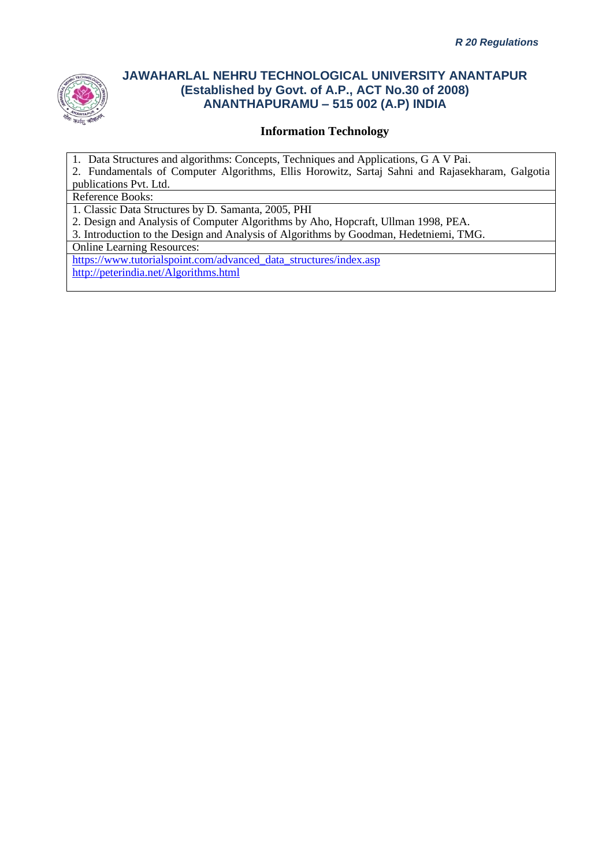

### **Information Technology**

1. Data Structures and algorithms: Concepts, Techniques and Applications, G A V Pai.

2. Fundamentals of Computer Algorithms, Ellis Horowitz, Sartaj Sahni and Rajasekharam, Galgotia publications Pvt. Ltd.

Reference Books:

1. Classic Data Structures by D. Samanta, 2005, PHI

2. Design and Analysis of Computer Algorithms by Aho, Hopcraft, Ullman 1998, PEA.

3. Introduction to the Design and Analysis of Algorithms by Goodman, Hedetniemi, TMG.

Online Learning Resources:

[https://www.tutorialspoint.com/advanced\\_data\\_structures/index.asp](https://www.tutorialspoint.com/advanced_data_structures/index.asp) <http://peterindia.net/Algorithms.html>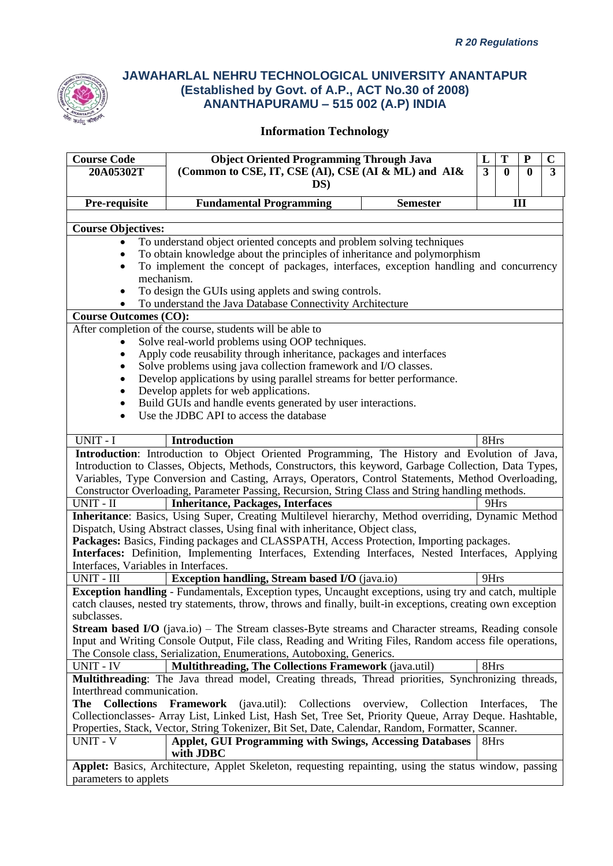

| <b>Object Oriented Programming Through Java</b><br><b>Course Code</b><br>T<br>L<br>${\bf P}$                        | $\mathbf C$             |  |  |  |  |
|---------------------------------------------------------------------------------------------------------------------|-------------------------|--|--|--|--|
| 20A05302T<br>(Common to CSE, IT, CSE (AI), CSE (AI & ML) and AI&<br>$\overline{3}$<br>$\mathbf{0}$<br>$\mathbf{0}$  | $\overline{\mathbf{3}}$ |  |  |  |  |
| DS)                                                                                                                 |                         |  |  |  |  |
|                                                                                                                     |                         |  |  |  |  |
| III<br>Pre-requisite<br><b>Fundamental Programming</b><br><b>Semester</b>                                           |                         |  |  |  |  |
|                                                                                                                     |                         |  |  |  |  |
| <b>Course Objectives:</b>                                                                                           |                         |  |  |  |  |
| To understand object oriented concepts and problem solving techniques                                               |                         |  |  |  |  |
| To obtain knowledge about the principles of inheritance and polymorphism                                            |                         |  |  |  |  |
| To implement the concept of packages, interfaces, exception handling and concurrency                                |                         |  |  |  |  |
| mechanism.                                                                                                          |                         |  |  |  |  |
| To design the GUIs using applets and swing controls.                                                                |                         |  |  |  |  |
| To understand the Java Database Connectivity Architecture                                                           |                         |  |  |  |  |
| <b>Course Outcomes (CO):</b>                                                                                        |                         |  |  |  |  |
| After completion of the course, students will be able to                                                            |                         |  |  |  |  |
| Solve real-world problems using OOP techniques.                                                                     |                         |  |  |  |  |
| Apply code reusability through inheritance, packages and interfaces                                                 |                         |  |  |  |  |
| Solve problems using java collection framework and I/O classes.                                                     |                         |  |  |  |  |
| Develop applications by using parallel streams for better performance.                                              |                         |  |  |  |  |
| Develop applets for web applications.                                                                               |                         |  |  |  |  |
| Build GUIs and handle events generated by user interactions.                                                        |                         |  |  |  |  |
| Use the JDBC API to access the database                                                                             |                         |  |  |  |  |
|                                                                                                                     |                         |  |  |  |  |
| UNIT - I<br>8Hrs<br><b>Introduction</b>                                                                             |                         |  |  |  |  |
| Introduction: Introduction to Object Oriented Programming, The History and Evolution of Java,                       |                         |  |  |  |  |
| Introduction to Classes, Objects, Methods, Constructors, this keyword, Garbage Collection, Data Types,              |                         |  |  |  |  |
| Variables, Type Conversion and Casting, Arrays, Operators, Control Statements, Method Overloading,                  |                         |  |  |  |  |
| Constructor Overloading, Parameter Passing, Recursion, String Class and String handling methods.                    |                         |  |  |  |  |
| UNIT - II<br><b>Inheritance, Packages, Interfaces</b><br>9Hrs                                                       |                         |  |  |  |  |
| Inheritance: Basics, Using Super, Creating Multilevel hierarchy, Method overriding, Dynamic Method                  |                         |  |  |  |  |
| Dispatch, Using Abstract classes, Using final with inheritance, Object class,                                       |                         |  |  |  |  |
|                                                                                                                     |                         |  |  |  |  |
| Packages: Basics, Finding packages and CLASSPATH, Access Protection, Importing packages.                            |                         |  |  |  |  |
| Interfaces: Definition, Implementing Interfaces, Extending Interfaces, Nested Interfaces, Applying                  |                         |  |  |  |  |
| Interfaces, Variables in Interfaces.                                                                                |                         |  |  |  |  |
| UNIT - III<br><b>Exception handling, Stream based I/O</b> (java.io)<br>9Hrs                                         |                         |  |  |  |  |
| Exception handling - Fundamentals, Exception types, Uncaught exceptions, using try and catch, multiple              |                         |  |  |  |  |
| catch clauses, nested try statements, throw, throws and finally, built-in exceptions, creating own exception        |                         |  |  |  |  |
| subclasses.                                                                                                         |                         |  |  |  |  |
| <b>Stream based I/O</b> (java.io) – The Stream classes-Byte streams and Character streams, Reading console          |                         |  |  |  |  |
| Input and Writing Console Output, File class, Reading and Writing Files, Random access file operations,             |                         |  |  |  |  |
| The Console class, Serialization, Enumerations, Autoboxing, Generics.                                               |                         |  |  |  |  |
| UNIT - IV<br>Multithreading, The Collections Framework (java.util)<br>8Hrs                                          |                         |  |  |  |  |
| Multithreading: The Java thread model, Creating threads, Thread priorities, Synchronizing threads,                  |                         |  |  |  |  |
| Interthread communication.                                                                                          |                         |  |  |  |  |
| The<br><b>Collections</b><br><b>Framework</b><br>(java.util): Collections<br>Collection<br>overview,<br>Interfaces, | The                     |  |  |  |  |
| Collectionclasses- Array List, Linked List, Hash Set, Tree Set, Priority Queue, Array Deque. Hashtable,             |                         |  |  |  |  |
| Properties, Stack, Vector, String Tokenizer, Bit Set, Date, Calendar, Random, Formatter, Scanner.                   |                         |  |  |  |  |
| UNIT - $\overline{V}$<br><b>Applet, GUI Programming with Swings, Accessing Databases</b><br>8Hrs                    |                         |  |  |  |  |
|                                                                                                                     |                         |  |  |  |  |
| with JDBC<br>Applet: Basics, Architecture, Applet Skeleton, requesting repainting, using the status window, passing |                         |  |  |  |  |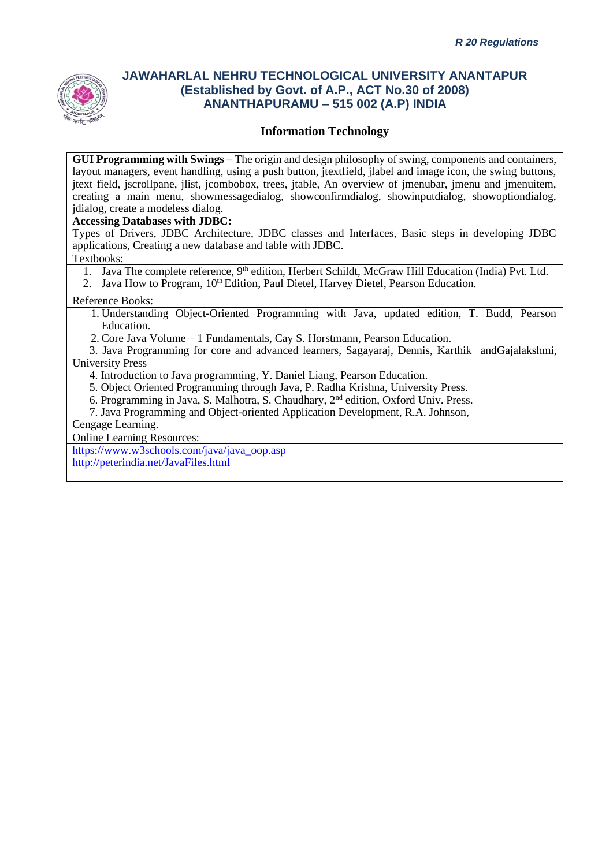

### **Information Technology**

**GUI Programming with Swings –** The origin and design philosophy of swing, components and containers, layout managers, event handling, using a push button, jtextfield, jlabel and image icon, the swing buttons, jtext field, jscrollpane, jlist, jcombobox, trees, jtable, An overview of jmenubar, jmenu and jmenuitem, creating a main menu, showmessagedialog, showconfirmdialog, showinputdialog, showoptiondialog, jdialog, create a modeless dialog.

#### **Accessing Databases with JDBC:**

Types of Drivers, JDBC Architecture, JDBC classes and Interfaces, Basic steps in developing JDBC applications, Creating a new database and table with JDBC.

Textbooks:

- 1. Java The complete reference, 9<sup>th</sup> edition, Herbert Schildt, McGraw Hill Education (India) Pvt. Ltd.
- 2. Java How to Program, 10<sup>th</sup> Edition, Paul Dietel, Harvey Dietel, Pearson Education.

#### Reference Books:

- 1. Understanding Object-Oriented Programming with Java, updated edition, T. Budd, Pearson Education.
- 2. Core Java Volume 1 Fundamentals, Cay S. Horstmann, Pearson Education.
- 3. Java Programming for core and advanced learners, Sagayaraj, Dennis, Karthik andGajalakshmi, University Press
	- 4. Introduction to Java programming, Y. Daniel Liang, Pearson Education.
	- 5. Object Oriented Programming through Java, P. Radha Krishna, University Press.
	- 6. Programming in Java, S. Malhotra, S. Chaudhary, 2nd edition, Oxford Univ. Press.
	- 7. Java Programming and Object-oriented Application Development, R.A. Johnson,

Cengage Learning.

Online Learning Resources:

[https://www.w3schools.com/java/java\\_oop.asp](https://www.w3schools.com/java/java_oop.asp) <http://peterindia.net/JavaFiles.html>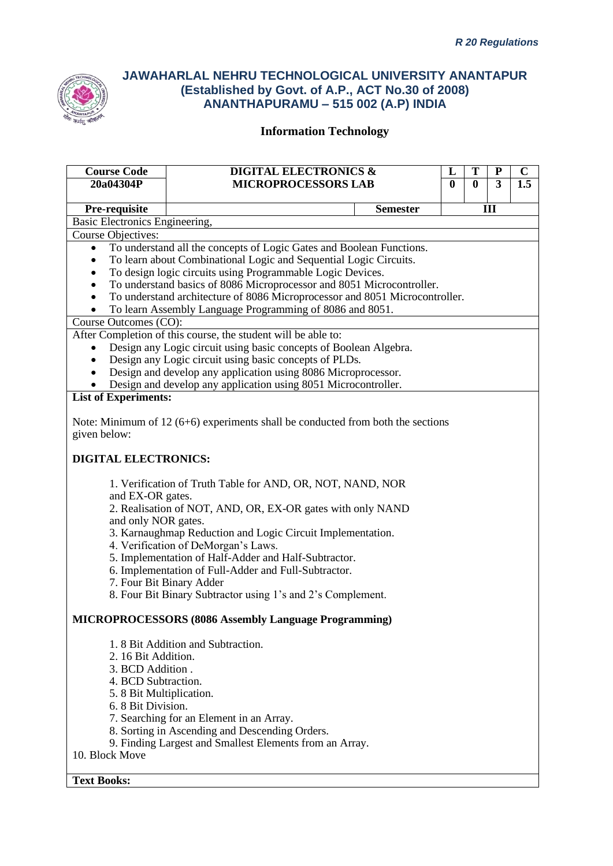

| 20a04304P<br>Pre-requisite<br><b>Basic Electronics Engineering,</b><br><b>Course Objectives:</b><br>$\bullet$<br>$\bullet$<br>$\bullet$<br>Course Outcomes (CO): | <b>MICROPROCESSORS LAB</b><br>To understand all the concepts of Logic Gates and Boolean Functions.<br>To learn about Combinational Logic and Sequential Logic Circuits.<br>To design logic circuits using Programmable Logic Devices.<br>To understand basics of 8086 Microprocessor and 8051 Microcontroller.<br>To understand architecture of 8086 Microprocessor and 8051 Microcontroller.<br>To learn Assembly Language Programming of 8086 and 8051.<br>After Completion of this course, the student will be able to:<br>Design any Logic circuit using basic concepts of Boolean Algebra.<br>Design any Logic circuit using basic concepts of PLDs. | <b>Semester</b> | $\bf{0}$ | $\bf{0}$ | 3<br>III | 1.5 |
|------------------------------------------------------------------------------------------------------------------------------------------------------------------|-----------------------------------------------------------------------------------------------------------------------------------------------------------------------------------------------------------------------------------------------------------------------------------------------------------------------------------------------------------------------------------------------------------------------------------------------------------------------------------------------------------------------------------------------------------------------------------------------------------------------------------------------------------|-----------------|----------|----------|----------|-----|
|                                                                                                                                                                  |                                                                                                                                                                                                                                                                                                                                                                                                                                                                                                                                                                                                                                                           |                 |          |          |          |     |
|                                                                                                                                                                  |                                                                                                                                                                                                                                                                                                                                                                                                                                                                                                                                                                                                                                                           |                 |          |          |          |     |
|                                                                                                                                                                  |                                                                                                                                                                                                                                                                                                                                                                                                                                                                                                                                                                                                                                                           |                 |          |          |          |     |
|                                                                                                                                                                  |                                                                                                                                                                                                                                                                                                                                                                                                                                                                                                                                                                                                                                                           |                 |          |          |          |     |
|                                                                                                                                                                  |                                                                                                                                                                                                                                                                                                                                                                                                                                                                                                                                                                                                                                                           |                 |          |          |          |     |
|                                                                                                                                                                  |                                                                                                                                                                                                                                                                                                                                                                                                                                                                                                                                                                                                                                                           |                 |          |          |          |     |
|                                                                                                                                                                  |                                                                                                                                                                                                                                                                                                                                                                                                                                                                                                                                                                                                                                                           |                 |          |          |          |     |
|                                                                                                                                                                  |                                                                                                                                                                                                                                                                                                                                                                                                                                                                                                                                                                                                                                                           |                 |          |          |          |     |
|                                                                                                                                                                  |                                                                                                                                                                                                                                                                                                                                                                                                                                                                                                                                                                                                                                                           |                 |          |          |          |     |
|                                                                                                                                                                  |                                                                                                                                                                                                                                                                                                                                                                                                                                                                                                                                                                                                                                                           |                 |          |          |          |     |
|                                                                                                                                                                  |                                                                                                                                                                                                                                                                                                                                                                                                                                                                                                                                                                                                                                                           |                 |          |          |          |     |
|                                                                                                                                                                  |                                                                                                                                                                                                                                                                                                                                                                                                                                                                                                                                                                                                                                                           |                 |          |          |          |     |
|                                                                                                                                                                  |                                                                                                                                                                                                                                                                                                                                                                                                                                                                                                                                                                                                                                                           |                 |          |          |          |     |
|                                                                                                                                                                  |                                                                                                                                                                                                                                                                                                                                                                                                                                                                                                                                                                                                                                                           |                 |          |          |          |     |
|                                                                                                                                                                  | Design and develop any application using 8086 Microprocessor.                                                                                                                                                                                                                                                                                                                                                                                                                                                                                                                                                                                             |                 |          |          |          |     |
|                                                                                                                                                                  | Design and develop any application using 8051 Microcontroller.                                                                                                                                                                                                                                                                                                                                                                                                                                                                                                                                                                                            |                 |          |          |          |     |
| <b>List of Experiments:</b>                                                                                                                                      |                                                                                                                                                                                                                                                                                                                                                                                                                                                                                                                                                                                                                                                           |                 |          |          |          |     |
|                                                                                                                                                                  |                                                                                                                                                                                                                                                                                                                                                                                                                                                                                                                                                                                                                                                           |                 |          |          |          |     |
|                                                                                                                                                                  | Note: Minimum of $12(6+6)$ experiments shall be conducted from both the sections                                                                                                                                                                                                                                                                                                                                                                                                                                                                                                                                                                          |                 |          |          |          |     |
| given below:                                                                                                                                                     |                                                                                                                                                                                                                                                                                                                                                                                                                                                                                                                                                                                                                                                           |                 |          |          |          |     |
|                                                                                                                                                                  |                                                                                                                                                                                                                                                                                                                                                                                                                                                                                                                                                                                                                                                           |                 |          |          |          |     |
| <b>DIGITAL ELECTRONICS:</b>                                                                                                                                      |                                                                                                                                                                                                                                                                                                                                                                                                                                                                                                                                                                                                                                                           |                 |          |          |          |     |
|                                                                                                                                                                  |                                                                                                                                                                                                                                                                                                                                                                                                                                                                                                                                                                                                                                                           |                 |          |          |          |     |
|                                                                                                                                                                  | 1. Verification of Truth Table for AND, OR, NOT, NAND, NOR                                                                                                                                                                                                                                                                                                                                                                                                                                                                                                                                                                                                |                 |          |          |          |     |
| and EX-OR gates.                                                                                                                                                 |                                                                                                                                                                                                                                                                                                                                                                                                                                                                                                                                                                                                                                                           |                 |          |          |          |     |
|                                                                                                                                                                  | 2. Realisation of NOT, AND, OR, EX-OR gates with only NAND                                                                                                                                                                                                                                                                                                                                                                                                                                                                                                                                                                                                |                 |          |          |          |     |
| and only NOR gates.                                                                                                                                              |                                                                                                                                                                                                                                                                                                                                                                                                                                                                                                                                                                                                                                                           |                 |          |          |          |     |
|                                                                                                                                                                  | 3. Karnaughmap Reduction and Logic Circuit Implementation.                                                                                                                                                                                                                                                                                                                                                                                                                                                                                                                                                                                                |                 |          |          |          |     |
|                                                                                                                                                                  | 4. Verification of DeMorgan's Laws.                                                                                                                                                                                                                                                                                                                                                                                                                                                                                                                                                                                                                       |                 |          |          |          |     |
|                                                                                                                                                                  | 5. Implementation of Half-Adder and Half-Subtractor.                                                                                                                                                                                                                                                                                                                                                                                                                                                                                                                                                                                                      |                 |          |          |          |     |
| 7. Four Bit Binary Adder                                                                                                                                         | 6. Implementation of Full-Adder and Full-Subtractor.                                                                                                                                                                                                                                                                                                                                                                                                                                                                                                                                                                                                      |                 |          |          |          |     |
|                                                                                                                                                                  | 8. Four Bit Binary Subtractor using 1's and 2's Complement.                                                                                                                                                                                                                                                                                                                                                                                                                                                                                                                                                                                               |                 |          |          |          |     |
|                                                                                                                                                                  |                                                                                                                                                                                                                                                                                                                                                                                                                                                                                                                                                                                                                                                           |                 |          |          |          |     |
|                                                                                                                                                                  | <b>MICROPROCESSORS (8086 Assembly Language Programming)</b>                                                                                                                                                                                                                                                                                                                                                                                                                                                                                                                                                                                               |                 |          |          |          |     |
|                                                                                                                                                                  |                                                                                                                                                                                                                                                                                                                                                                                                                                                                                                                                                                                                                                                           |                 |          |          |          |     |
|                                                                                                                                                                  | 1.8 Bit Addition and Subtraction.                                                                                                                                                                                                                                                                                                                                                                                                                                                                                                                                                                                                                         |                 |          |          |          |     |
| 2. 16 Bit Addition.                                                                                                                                              |                                                                                                                                                                                                                                                                                                                                                                                                                                                                                                                                                                                                                                                           |                 |          |          |          |     |
| 3. BCD Addition.                                                                                                                                                 |                                                                                                                                                                                                                                                                                                                                                                                                                                                                                                                                                                                                                                                           |                 |          |          |          |     |
| 4. BCD Subtraction.                                                                                                                                              |                                                                                                                                                                                                                                                                                                                                                                                                                                                                                                                                                                                                                                                           |                 |          |          |          |     |
| 5. 8 Bit Multiplication.                                                                                                                                         |                                                                                                                                                                                                                                                                                                                                                                                                                                                                                                                                                                                                                                                           |                 |          |          |          |     |
| 6. 8 Bit Division.                                                                                                                                               |                                                                                                                                                                                                                                                                                                                                                                                                                                                                                                                                                                                                                                                           |                 |          |          |          |     |
|                                                                                                                                                                  | 7. Searching for an Element in an Array.                                                                                                                                                                                                                                                                                                                                                                                                                                                                                                                                                                                                                  |                 |          |          |          |     |
|                                                                                                                                                                  | 8. Sorting in Ascending and Descending Orders.                                                                                                                                                                                                                                                                                                                                                                                                                                                                                                                                                                                                            |                 |          |          |          |     |
|                                                                                                                                                                  | 9. Finding Largest and Smallest Elements from an Array.                                                                                                                                                                                                                                                                                                                                                                                                                                                                                                                                                                                                   |                 |          |          |          |     |
| 10. Block Move                                                                                                                                                   |                                                                                                                                                                                                                                                                                                                                                                                                                                                                                                                                                                                                                                                           |                 |          |          |          |     |
|                                                                                                                                                                  |                                                                                                                                                                                                                                                                                                                                                                                                                                                                                                                                                                                                                                                           |                 |          |          |          |     |
| <b>Text Books:</b>                                                                                                                                               |                                                                                                                                                                                                                                                                                                                                                                                                                                                                                                                                                                                                                                                           |                 |          |          |          |     |
|                                                                                                                                                                  |                                                                                                                                                                                                                                                                                                                                                                                                                                                                                                                                                                                                                                                           |                 |          |          |          |     |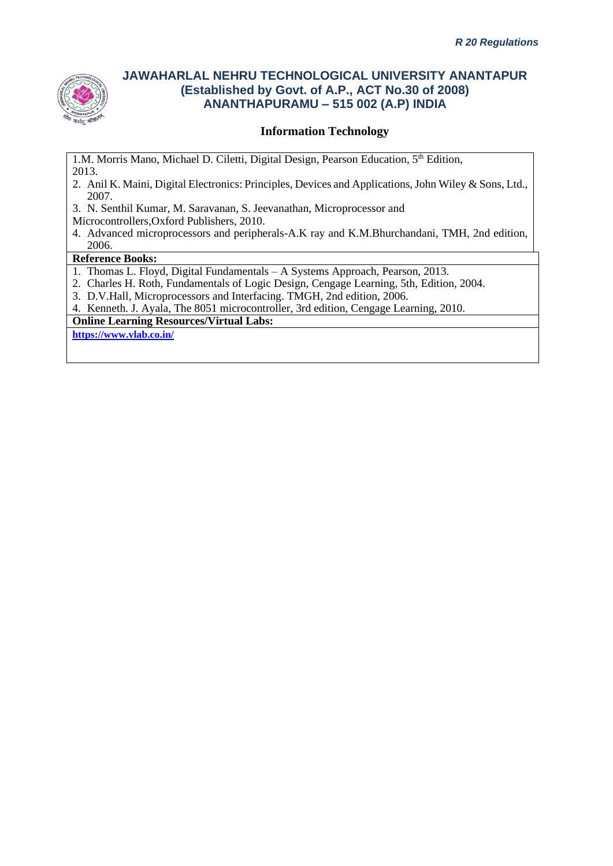

### **Information Technology**

1.M. Morris Mano, Michael D. Ciletti, Digital Design, Pearson Education, 5th Edition, 2013.

- 2. Anil K. Maini, Digital Electronics: Principles, Devices and Applications, John Wiley & Sons, Ltd., 2007.
- 3. N. Senthil Kumar, M. Saravanan, S. Jeevanathan, Microprocessor and
- Microcontrollers,Oxford Publishers, 2010.
- 4. Advanced microprocessors and peripherals-A.K ray and K.M.Bhurchandani, TMH, 2nd edition, 2006.

#### **Reference Books:**

- 1. Thomas L. Floyd, Digital Fundamentals A Systems Approach, Pearson, 2013.
- 2. Charles H. Roth, Fundamentals of Logic Design, Cengage Learning, 5th, Edition, 2004.
- 3. D.V.Hall, Microprocessors and Interfacing. TMGH, 2nd edition, 2006.
- 4. Kenneth. J. Ayala, The 8051 microcontroller, 3rd edition, Cengage Learning, 2010.

#### **Online Learning Resources/Virtual Labs:**

**<https://www.vlab.co.in/>**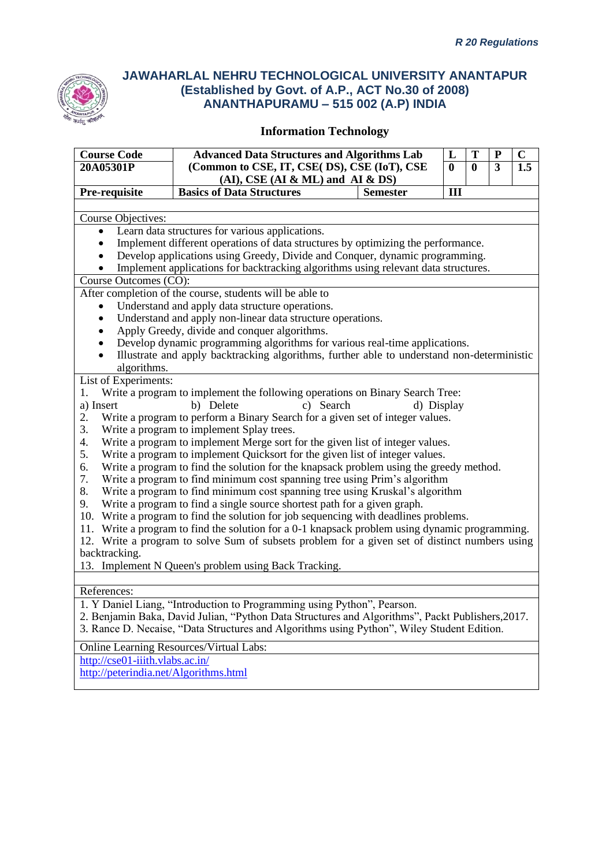

| <b>Course Code</b><br>20A05301P       | <b>Advanced Data Structures and Algorithms Lab</b><br>(Common to CSE, IT, CSE(DS), CSE (IoT), CSE |                 | L<br>$\bf{0}$ | T<br>$\bf{0}$ | ${\bf P}$<br>3 | $\mathbf C$<br>1.5 |
|---------------------------------------|---------------------------------------------------------------------------------------------------|-----------------|---------------|---------------|----------------|--------------------|
|                                       | $(AI)$ , CSE $(AI & ML)$ and $AI & DS$                                                            |                 |               |               |                |                    |
| Pre-requisite                         | <b>Basics of Data Structures</b>                                                                  | <b>Semester</b> | III           |               |                |                    |
| Course Objectives:                    |                                                                                                   |                 |               |               |                |                    |
| $\bullet$                             | Learn data structures for various applications.                                                   |                 |               |               |                |                    |
|                                       | Implement different operations of data structures by optimizing the performance.                  |                 |               |               |                |                    |
|                                       | Develop applications using Greedy, Divide and Conquer, dynamic programming.                       |                 |               |               |                |                    |
|                                       | Implement applications for backtracking algorithms using relevant data structures.                |                 |               |               |                |                    |
| Course Outcomes (CO):                 |                                                                                                   |                 |               |               |                |                    |
|                                       | After completion of the course, students will be able to                                          |                 |               |               |                |                    |
| $\bullet$                             | Understand and apply data structure operations.                                                   |                 |               |               |                |                    |
| $\bullet$                             | Understand and apply non-linear data structure operations.                                        |                 |               |               |                |                    |
| ٠                                     | Apply Greedy, divide and conquer algorithms.                                                      |                 |               |               |                |                    |
| ٠                                     | Develop dynamic programming algorithms for various real-time applications.                        |                 |               |               |                |                    |
| $\bullet$<br>algorithms.              | Illustrate and apply backtracking algorithms, further able to understand non-deterministic        |                 |               |               |                |                    |
| List of Experiments:                  |                                                                                                   |                 |               |               |                |                    |
| 1.                                    | Write a program to implement the following operations on Binary Search Tree:                      |                 |               |               |                |                    |
| a) Insert                             | c) Search<br>b) Delete                                                                            |                 | d) Display    |               |                |                    |
| 2.                                    | Write a program to perform a Binary Search for a given set of integer values.                     |                 |               |               |                |                    |
| 3.                                    | Write a program to implement Splay trees.                                                         |                 |               |               |                |                    |
| 4.                                    | Write a program to implement Merge sort for the given list of integer values.                     |                 |               |               |                |                    |
| 5.                                    | Write a program to implement Quicksort for the given list of integer values.                      |                 |               |               |                |                    |
| 6.                                    | Write a program to find the solution for the knapsack problem using the greedy method.            |                 |               |               |                |                    |
| 7.                                    | Write a program to find minimum cost spanning tree using Prim's algorithm                         |                 |               |               |                |                    |
| 8.                                    | Write a program to find minimum cost spanning tree using Kruskal's algorithm                      |                 |               |               |                |                    |
| 9.                                    | Write a program to find a single source shortest path for a given graph.                          |                 |               |               |                |                    |
|                                       | 10. Write a program to find the solution for job sequencing with deadlines problems.              |                 |               |               |                |                    |
|                                       | 11. Write a program to find the solution for a 0-1 knapsack problem using dynamic programming.    |                 |               |               |                |                    |
|                                       | 12. Write a program to solve Sum of subsets problem for a given set of distinct numbers using     |                 |               |               |                |                    |
| backtracking.                         |                                                                                                   |                 |               |               |                |                    |
|                                       | 13. Implement N Queen's problem using Back Tracking.                                              |                 |               |               |                |                    |
| References:                           |                                                                                                   |                 |               |               |                |                    |
|                                       | 1. Y Daniel Liang, "Introduction to Programming using Python", Pearson.                           |                 |               |               |                |                    |
|                                       | 2. Benjamin Baka, David Julian, "Python Data Structures and Algorithms", Packt Publishers, 2017.  |                 |               |               |                |                    |
|                                       | 3. Rance D. Necaise, "Data Structures and Algorithms using Python", Wiley Student Edition.        |                 |               |               |                |                    |
|                                       |                                                                                                   |                 |               |               |                |                    |
| http://cse01-iiith.vlabs.ac.in/       | Online Learning Resources/Virtual Labs:                                                           |                 |               |               |                |                    |
| http://peterindia.net/Algorithms.html |                                                                                                   |                 |               |               |                |                    |
|                                       |                                                                                                   |                 |               |               |                |                    |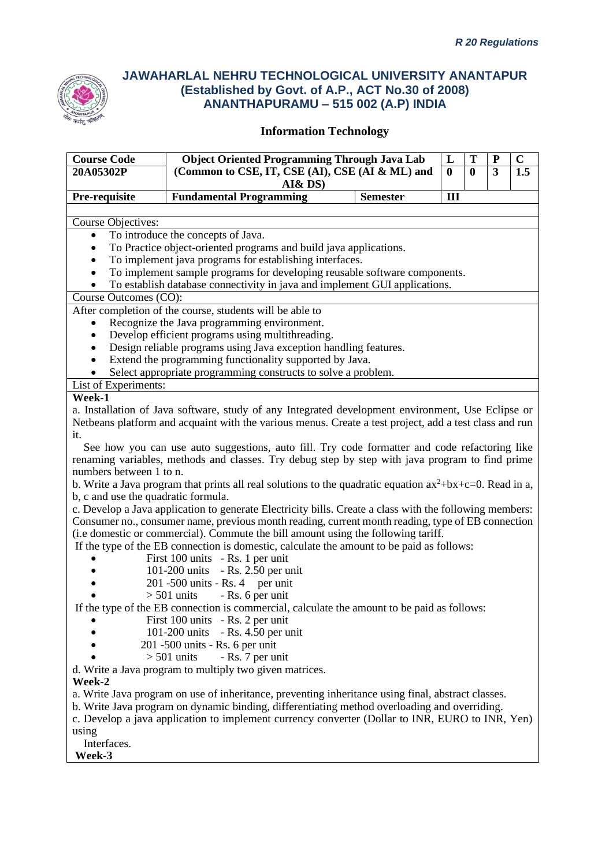

| <b>Course Code</b>                  | <b>Object Oriented Programming Through Java Lab</b>                                                         |                 | L        | T            | P | $\mathbf C$ |
|-------------------------------------|-------------------------------------------------------------------------------------------------------------|-----------------|----------|--------------|---|-------------|
| 20A05302P                           | (Common to CSE, IT, CSE (AI), CSE (AI & ML) and                                                             |                 | $\bf{0}$ | $\mathbf{0}$ | 3 | 1.5         |
|                                     | AI&DS)                                                                                                      |                 |          |              |   |             |
| Pre-requisite                       | <b>Fundamental Programming</b>                                                                              | <b>Semester</b> | III      |              |   |             |
|                                     |                                                                                                             |                 |          |              |   |             |
| Course Objectives:                  |                                                                                                             |                 |          |              |   |             |
|                                     | To introduce the concepts of Java.                                                                          |                 |          |              |   |             |
|                                     | To Practice object-oriented programs and build java applications.                                           |                 |          |              |   |             |
|                                     | To implement java programs for establishing interfaces.                                                     |                 |          |              |   |             |
|                                     | To implement sample programs for developing reusable software components.                                   |                 |          |              |   |             |
| $\bullet$                           | To establish database connectivity in java and implement GUI applications.                                  |                 |          |              |   |             |
| Course Outcomes (CO):               |                                                                                                             |                 |          |              |   |             |
|                                     | After completion of the course, students will be able to                                                    |                 |          |              |   |             |
| ٠                                   | Recognize the Java programming environment.                                                                 |                 |          |              |   |             |
| $\bullet$                           | Develop efficient programs using multithreading.                                                            |                 |          |              |   |             |
| $\bullet$                           | Design reliable programs using Java exception handling features.                                            |                 |          |              |   |             |
| $\bullet$                           | Extend the programming functionality supported by Java.                                                     |                 |          |              |   |             |
|                                     | Select appropriate programming constructs to solve a problem.                                               |                 |          |              |   |             |
| List of Experiments:                |                                                                                                             |                 |          |              |   |             |
| Week-1                              |                                                                                                             |                 |          |              |   |             |
|                                     | a. Installation of Java software, study of any Integrated development environment, Use Eclipse or           |                 |          |              |   |             |
|                                     | Netbeans platform and acquaint with the various menus. Create a test project, add a test class and run      |                 |          |              |   |             |
| it.                                 |                                                                                                             |                 |          |              |   |             |
|                                     | See how you can use auto suggestions, auto fill. Try code formatter and code refactoring like               |                 |          |              |   |             |
|                                     | renaming variables, methods and classes. Try debug step by step with java program to find prime             |                 |          |              |   |             |
| numbers between 1 to n.             |                                                                                                             |                 |          |              |   |             |
|                                     | b. Write a Java program that prints all real solutions to the quadratic equation $ax^2+bx+c=0$ . Read in a, |                 |          |              |   |             |
| b, c and use the quadratic formula. |                                                                                                             |                 |          |              |   |             |
|                                     | c. Develop a Java application to generate Electricity bills. Create a class with the following members:     |                 |          |              |   |             |
|                                     | Consumer no., consumer name, previous month reading, current month reading, type of EB connection           |                 |          |              |   |             |
|                                     | (i.e domestic or commercial). Commute the bill amount using the following tariff.                           |                 |          |              |   |             |
|                                     | If the type of the EB connection is domestic, calculate the amount to be paid as follows:                   |                 |          |              |   |             |
|                                     | First 100 units - Rs. 1 per unit<br>101-200 units<br>$-Rs. 2.50$ per unit                                   |                 |          |              |   |             |
|                                     | $201 - 500$ units - Rs. 4 per unit                                                                          |                 |          |              |   |             |
|                                     | $> 501$ units<br>- Rs. 6 per unit                                                                           |                 |          |              |   |             |
|                                     | If the type of the EB connection is commercial, calculate the amount to be paid as follows:                 |                 |          |              |   |             |
|                                     | First 100 units - Rs. 2 per unit                                                                            |                 |          |              |   |             |
|                                     | 101-200 units<br>$-Rs. 4.50$ per unit                                                                       |                 |          |              |   |             |
|                                     | 201 -500 units - Rs. 6 per unit                                                                             |                 |          |              |   |             |
|                                     | $> 501$ units<br>- Rs. 7 per unit                                                                           |                 |          |              |   |             |
|                                     | d. Write a Java program to multiply two given matrices.                                                     |                 |          |              |   |             |
| Week-2                              |                                                                                                             |                 |          |              |   |             |
|                                     | a. Write Java program on use of inheritance, preventing inheritance using final, abstract classes.          |                 |          |              |   |             |
|                                     | b. Write Java program on dynamic binding, differentiating method overloading and overriding.                |                 |          |              |   |             |
|                                     | c. Develop a java application to implement currency converter (Dollar to INR, EURO to INR, Yen)             |                 |          |              |   |             |
| using                               |                                                                                                             |                 |          |              |   |             |
| Interfaces.                         |                                                                                                             |                 |          |              |   |             |
| Week-3                              |                                                                                                             |                 |          |              |   |             |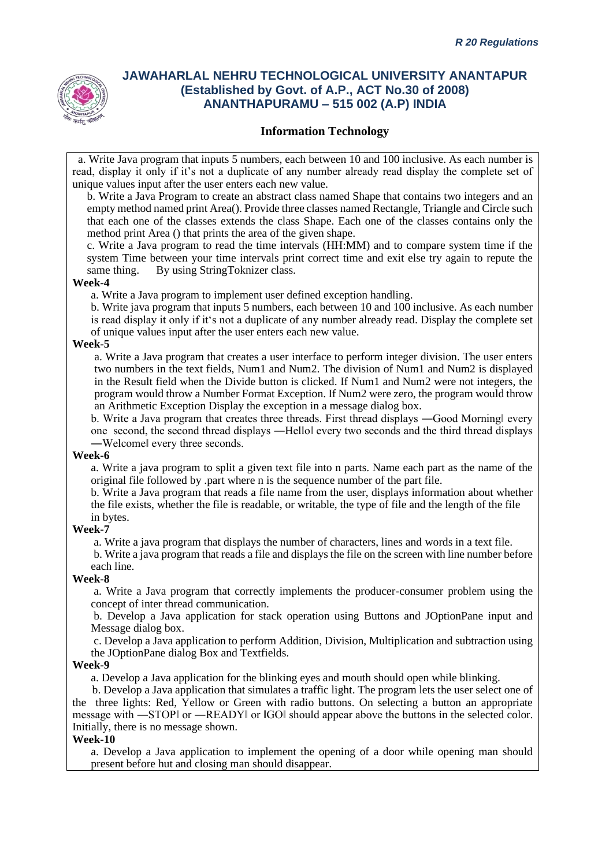

### **Information Technology**

 a. Write Java program that inputs 5 numbers, each between 10 and 100 inclusive. As each number is read, display it only if it's not a duplicate of any number already read display the complete set of unique values input after the user enters each new value.

b. Write a Java Program to create an abstract class named Shape that contains two integers and an empty method named print Area(). Provide three classes named Rectangle, Triangle and Circle such that each one of the classes extends the class Shape. Each one of the classes contains only the method print Area () that prints the area of the given shape.

c. Write a Java program to read the time intervals (HH:MM) and to compare system time if the system Time between your time intervals print correct time and exit else try again to repute the same thing. By using StringToknizer class.

#### **Week-4**

a. Write a Java program to implement user defined exception handling.

b. Write java program that inputs 5 numbers, each between 10 and 100 inclusive. As each number is read display it only if it's not a duplicate of any number already read. Display the complete set of unique values input after the user enters each new value.

#### **Week-5**

a. Write a Java program that creates a user interface to perform integer division. The user enters two numbers in the text fields, Num1 and Num2. The division of Num1 and Num2 is displayed in the Result field when the Divide button is clicked. If Num1 and Num2 were not integers, the program would throw a Number Format Exception. If Num2 were zero, the program would throw an Arithmetic Exception Display the exception in a message dialog box.

b. Write a Java program that creates three threads. First thread displays —Good Morning every one second, the second thread displays ―Hello‖ every two seconds and the third thread displays ―Welcome‖ every three seconds.

#### **Week-6**

a. Write a java program to split a given text file into n parts. Name each part as the name of the original file followed by .part where n is the sequence number of the part file.

b. Write a Java program that reads a file name from the user, displays information about whether the file exists, whether the file is readable, or writable, the type of file and the length of the file in bytes.

#### **Week-7**

a. Write a java program that displays the number of characters, lines and words in a text file.

b. Write a java program that reads a file and displays the file on the screen with line number before each line.

#### **Week-8**

a. Write a Java program that correctly implements the producer-consumer problem using the concept of inter thread communication.

b. Develop a Java application for stack operation using Buttons and JOptionPane input and Message dialog box.

c. Develop a Java application to perform Addition, Division, Multiplication and subtraction using the JOptionPane dialog Box and Textfields.

#### **Week-9**

a. Develop a Java application for the blinking eyes and mouth should open while blinking.

 b. Develop a Java application that simulates a traffic light. The program lets the user select one of the three lights: Red, Yellow or Green with radio buttons. On selecting a button an appropriate message with ―STOP‖ or ―READY‖ or ‖GO‖ should appear above the buttons in the selected color. Initially, there is no message shown.

#### **Week-10**

a. Develop a Java application to implement the opening of a door while opening man should present before hut and closing man should disappear.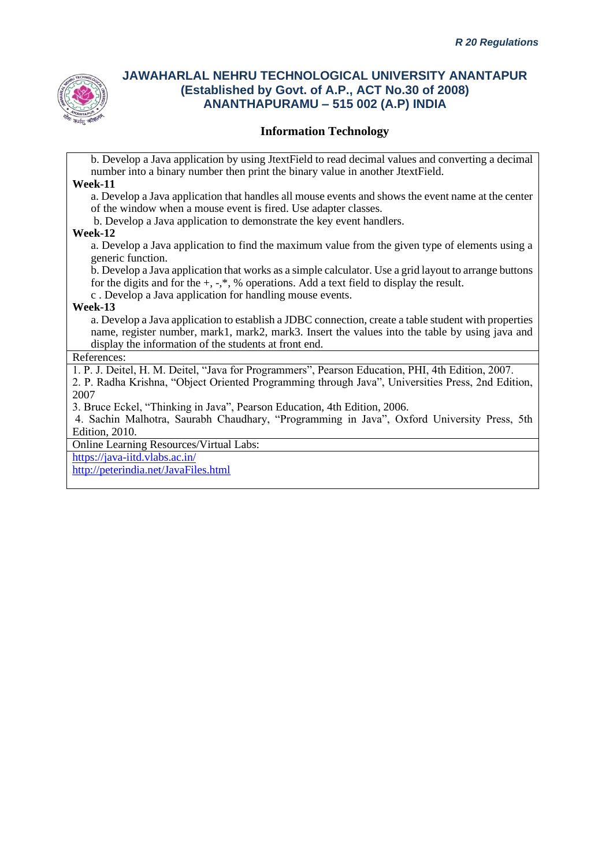

### **Information Technology**

b. Develop a Java application by using JtextField to read decimal values and converting a decimal number into a binary number then print the binary value in another JtextField.

#### **Week-11**

a. Develop a Java application that handles all mouse events and shows the event name at the center of the window when a mouse event is fired. Use adapter classes.

b. Develop a Java application to demonstrate the key event handlers.

#### **Week-12**

a. Develop a Java application to find the maximum value from the given type of elements using a generic function.

b. Develop a Java application that works as a simple calculator. Use a grid layout to arrange buttons for the digits and for the  $+, -$ ,  $\frac{8}{3}$  operations. Add a text field to display the result.

c . Develop a Java application for handling mouse events.

#### **Week-13**

a. Develop a Java application to establish a JDBC connection, create a table student with properties name, register number, mark1, mark2, mark3. Insert the values into the table by using java and display the information of the students at front end.

#### References:

1. P. J. Deitel, H. M. Deitel, "Java for Programmers", Pearson Education, PHI, 4th Edition, 2007.

2. P. Radha Krishna, "Object Oriented Programming through Java", Universities Press, 2nd Edition, 2007

3. Bruce Eckel, "Thinking in Java", Pearson Education, 4th Edition, 2006.

4. Sachin Malhotra, Saurabh Chaudhary, "Programming in Java", Oxford University Press, 5th Edition, 2010.

Online Learning Resources/Virtual Labs:

<https://java-iitd.vlabs.ac.in/>

<http://peterindia.net/JavaFiles.html>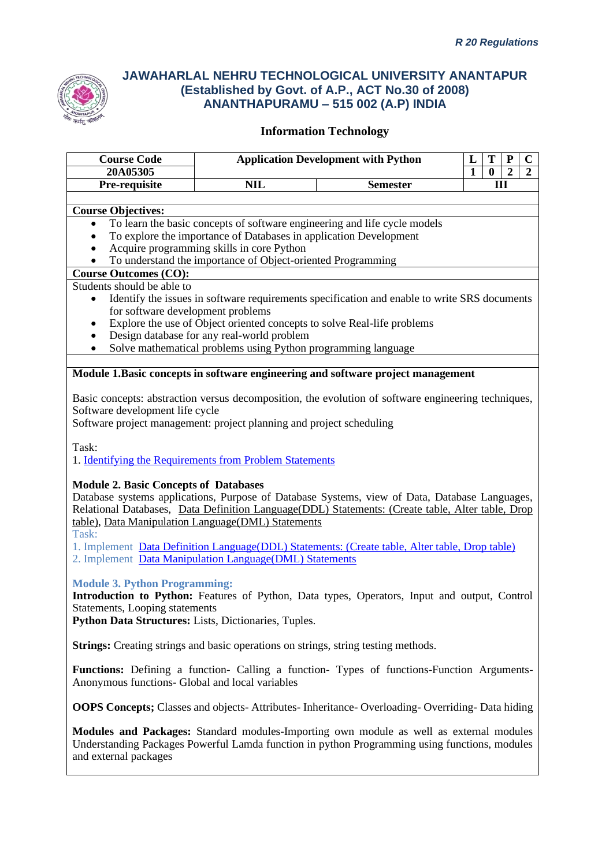

### **Information Technology**

| <b>Course Code</b>                |                                                                   | <b>Application Development with Python</b>                                                   |  |   |                |   |  |  |
|-----------------------------------|-------------------------------------------------------------------|----------------------------------------------------------------------------------------------|--|---|----------------|---|--|--|
| 20A05305                          |                                                                   |                                                                                              |  |   | $\overline{2}$ | 2 |  |  |
| Pre-requisite                     | <b>NIL</b>                                                        | <b>Semester</b>                                                                              |  | Ш |                |   |  |  |
|                                   |                                                                   |                                                                                              |  |   |                |   |  |  |
| <b>Course Objectives:</b>         |                                                                   |                                                                                              |  |   |                |   |  |  |
| $\bullet$                         |                                                                   | To learn the basic concepts of software engineering and life cycle models                    |  |   |                |   |  |  |
|                                   | To explore the importance of Databases in application Development |                                                                                              |  |   |                |   |  |  |
|                                   | Acquire programming skills in core Python                         |                                                                                              |  |   |                |   |  |  |
|                                   | To understand the importance of Object-oriented Programming       |                                                                                              |  |   |                |   |  |  |
| <b>Course Outcomes (CO):</b>      |                                                                   |                                                                                              |  |   |                |   |  |  |
| Students should be able to        |                                                                   |                                                                                              |  |   |                |   |  |  |
|                                   |                                                                   | Identify the issues in software requirements specification and enable to write SRS documents |  |   |                |   |  |  |
| for software development problems |                                                                   |                                                                                              |  |   |                |   |  |  |
|                                   |                                                                   | Explore the use of Object oriented concepts to solve Real-life problems                      |  |   |                |   |  |  |
|                                   | Design database for any real-world problem                        |                                                                                              |  |   |                |   |  |  |
|                                   | Solve mathematical problems using Python programming language     |                                                                                              |  |   |                |   |  |  |
|                                   |                                                                   |                                                                                              |  |   |                |   |  |  |
|                                   |                                                                   | Module 1. Basic concepts in software engineering and software project management             |  |   |                |   |  |  |
|                                   |                                                                   |                                                                                              |  |   |                |   |  |  |

Basic concepts: abstraction versus decomposition, the evolution of software engineering techniques, Software development life cycle

Software project management: project planning and project scheduling

Task:

1. [Identifying the Requirements from Problem Statements](http://vlabs.iitkgp.ernet.in/se/1/)

#### **Module 2. Basic Concepts of Databases**

Database systems applications, Purpose of Database Systems, view of Data, Database Languages, Relational Databases, [Data Definition Language\(DDL\) Statements: \(Create table, Alter table, Drop](http://vlabs.iitb.ac.in/vlabs-dev/labs/dblab/labs/exp1/index.php)  [table\),](http://vlabs.iitb.ac.in/vlabs-dev/labs/dblab/labs/exp1/index.php) [Data Manipulation Language\(DML\) Statements](http://vlabs.iitb.ac.in/vlabs-dev/labs/dblab/labs/exp2/index.php)

Task:

1. Implement [Data Definition Language\(DDL\) Statements: \(Create table, Alter table, Drop table\)](http://vlabs.iitb.ac.in/vlabs-dev/labs/dblab/labs/exp1/index.php)

2. Implement [Data Manipulation Language\(DML\) Statements](http://vlabs.iitb.ac.in/vlabs-dev/labs/dblab/labs/exp2/index.php)

#### **Module 3. Python Programming:**

**Introduction to Python:** Features of Python, Data types, Operators, Input and output, Control Statements, Looping statements

**Python Data Structures:** Lists, Dictionaries, Tuples.

**Strings:** Creating strings and basic operations on strings, string testing methods.

Functions: Defining a function- Calling a function- Types of functions-Function Arguments-Anonymous functions- Global and local variables

**OOPS Concepts;** Classes and objects- Attributes- Inheritance- Overloading- Overriding- Data hiding

**Modules and Packages:** Standard modules-Importing own module as well as external modules Understanding Packages Powerful Lamda function in python Programming using functions, modules and external packages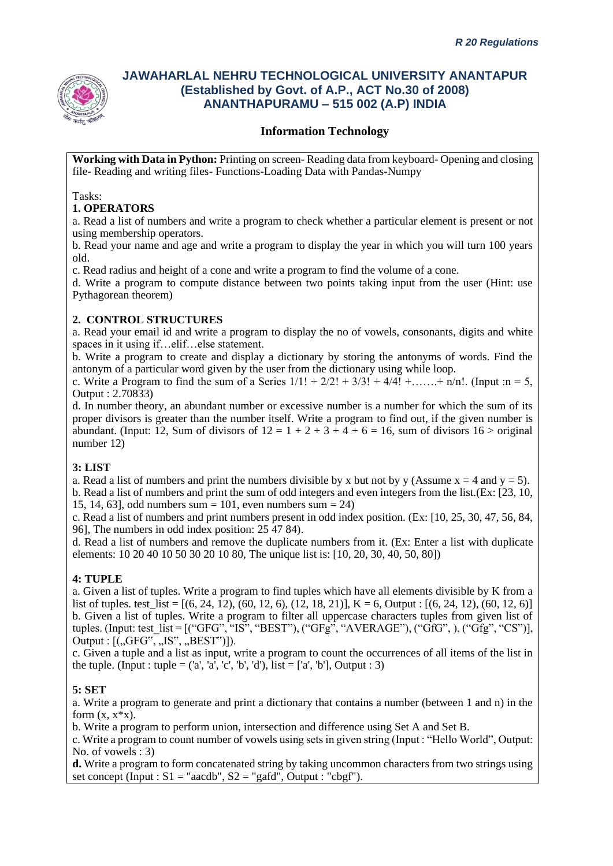

### **Information Technology**

**Working with Data in Python:** Printing on screen- Reading data from keyboard- Opening and closing file- Reading and writing files- Functions-Loading Data with Pandas-Numpy

#### Tasks:

### **1. OPERATORS**

a. Read a list of numbers and write a program to check whether a particular element is present or not using membership operators.

b. Read your name and age and write a program to display the year in which you will turn 100 years old.

c. Read radius and height of a cone and write a program to find the volume of a cone.

d. Write a program to compute distance between two points taking input from the user (Hint: use Pythagorean theorem)

### **2. CONTROL STRUCTURES**

a. Read your email id and write a program to display the no of vowels, consonants, digits and white spaces in it using if…elif…else statement.

b. Write a program to create and display a dictionary by storing the antonyms of words. Find the antonym of a particular word given by the user from the dictionary using while loop.

c. Write a Program to find the sum of a Series  $1/1! + 2/2! + 3/3! + 4/4! + \dots + n/n!$ . (Input :n = 5, Output : 2.70833)

d. In number theory, an abundant number or excessive number is a number for which the sum of its proper divisors is greater than the number itself. Write a program to find out, if the given number is abundant. (Input: 12, Sum of divisors of  $12 = 1 + 2 + 3 + 4 + 6 = 16$ , sum of divisors  $16 >$  original number 12)

#### **3: LIST**

a. Read a list of numbers and print the numbers divisible by x but not by y (Assume  $x = 4$  and  $y = 5$ ). b. Read a list of numbers and print the sum of odd integers and even integers from the list.(Ex: [23, 10, 15, 14, 63], odd numbers sum = 101, even numbers sum = 24)

c. Read a list of numbers and print numbers present in odd index position. (Ex: [10, 25, 30, 47, 56, 84, 96], The numbers in odd index position: 25 47 84).

d. Read a list of numbers and remove the duplicate numbers from it. (Ex: Enter a list with duplicate elements: 10 20 40 10 50 30 20 10 80, The unique list is: [10, 20, 30, 40, 50, 80])

#### **4: TUPLE**

a. Given a list of tuples. Write a program to find tuples which have all elements divisible by K from a list of tuples. test  $list = [(6, 24, 12), (60, 12, 6), (12, 18, 21)]$ , K = 6, Output :  $[(6, 24, 12), (60, 12, 6)]$ b. Given a list of tuples. Write a program to filter all uppercase characters tuples from given list of tuples. (Input: test\_list = [("GFG", "IS", "BEST"), ("GFg", "AVERAGE"), ("GfG", ), ("Gfg", "CS")], Output :  $[(, GFG", , 'IS", ', BEST")]$ .

c. Given a tuple and a list as input, write a program to count the occurrences of all items of the list in the tuple. (Input : tuple =  $(a', 'a', 'c', 'b', 'd'),$  list =  $[a', 'b'],$  Output : 3)

#### **5: SET**

a. Write a program to generate and print a dictionary that contains a number (between 1 and n) in the form  $(x, x^*x)$ .

b. Write a program to perform union, intersection and difference using Set A and Set B.

c. Write a program to count number of vowels using sets in given string (Input : "Hello World", Output: No. of vowels : 3)

**d.** Write a program to form concatenated string by taking uncommon characters from two strings using set concept (Input :  $S1 = "aacdb", S2 = "gafd", Output : "cbgf").$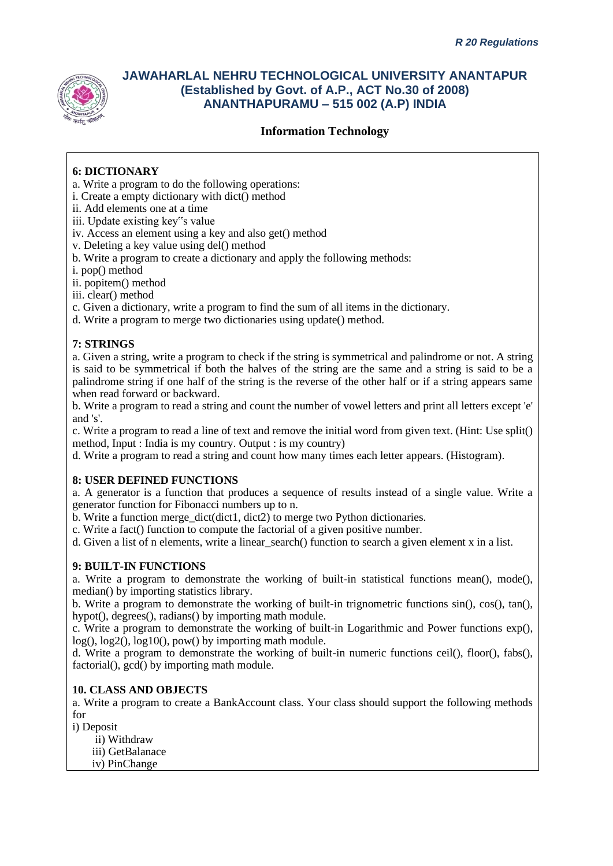

### **Information Technology**

### **6: DICTIONARY**

- a. Write a program to do the following operations:
- i. Create a empty dictionary with dict() method
- ii. Add elements one at a time
- iii. Update existing key"s value
- iv. Access an element using a key and also get() method
- v. Deleting a key value using del() method
- b. Write a program to create a dictionary and apply the following methods:
- i. pop() method
- ii. popitem() method
- iii. clear() method
- c. Given a dictionary, write a program to find the sum of all items in the dictionary.
- d. Write a program to merge two dictionaries using update() method.

#### **7: STRINGS**

a. Given a string, write a program to check if the string is symmetrical and palindrome or not. A string is said to be symmetrical if both the halves of the string are the same and a string is said to be a palindrome string if one half of the string is the reverse of the other half or if a string appears same when read forward or backward.

b. Write a program to read a string and count the number of vowel letters and print all letters except 'e' and 's'.

c. Write a program to read a line of text and remove the initial word from given text. (Hint: Use split() method, Input : India is my country. Output : is my country)

d. Write a program to read a string and count how many times each letter appears. (Histogram).

#### **8: USER DEFINED FUNCTIONS**

a. A generator is a function that produces a sequence of results instead of a single value. Write a generator function for Fibonacci numbers up to n.

b. Write a function merge dict(dict1, dict2) to merge two Python dictionaries.

c. Write a fact() function to compute the factorial of a given positive number.

d. Given a list of n elements, write a linear\_search() function to search a given element x in a list.

#### **9: BUILT-IN FUNCTIONS**

a. Write a program to demonstrate the working of built-in statistical functions mean(), mode(), median() by importing statistics library.

b. Write a program to demonstrate the working of built-in trignometric functions sin(), cos(), tan(), hypot(), degrees(), radians() by importing math module.

c. Write a program to demonstrate the working of built-in Logarithmic and Power functions exp(), log(), log2(), log10(), pow() by importing math module.

d. Write a program to demonstrate the working of built-in numeric functions ceil(), floor(), fabs(), factorial(), gcd() by importing math module.

#### **10. CLASS AND OBJECTS**

a. Write a program to create a BankAccount class. Your class should support the following methods for

i) Deposit

- ii) Withdraw iii) GetBalanace
- iv) PinChange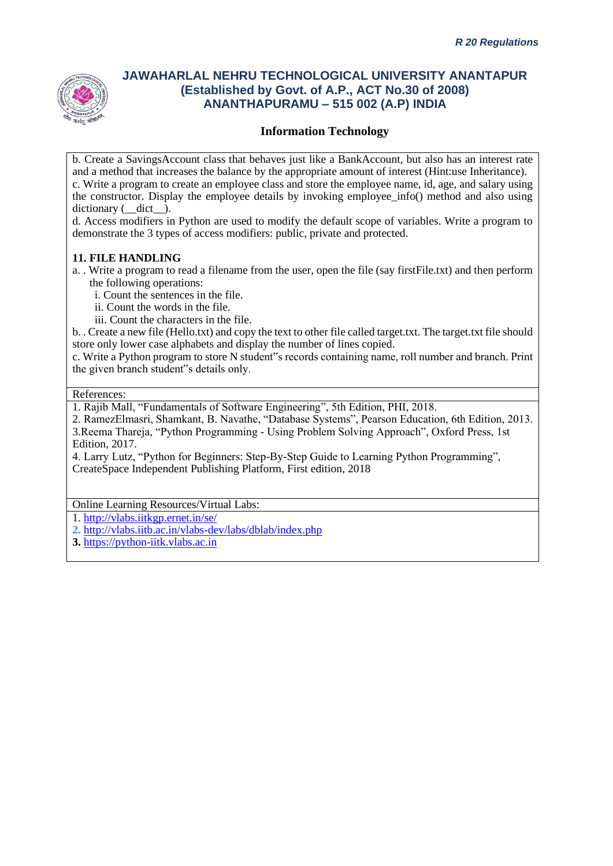

### **Information Technology**

b. Create a SavingsAccount class that behaves just like a BankAccount, but also has an interest rate and a method that increases the balance by the appropriate amount of interest (Hint:use Inheritance). c. Write a program to create an employee class and store the employee name, id, age, and salary using the constructor. Display the employee details by invoking employee\_info() method and also using dictionary ( $\det$ ).

d. Access modifiers in Python are used to modify the default scope of variables. Write a program to demonstrate the 3 types of access modifiers: public, private and protected.

#### **11. FILE HANDLING**

a. . Write a program to read a filename from the user, open the file (say firstFile.txt) and then perform the following operations:

i. Count the sentences in the file.

- ii. Count the words in the file.
- iii. Count the characters in the file.

b. . Create a new file (Hello.txt) and copy the text to other file called target.txt. The target.txt file should store only lower case alphabets and display the number of lines copied.

c. Write a Python program to store N student"s records containing name, roll number and branch. Print the given branch student"s details only.

#### References:

1. Rajib Mall, "Fundamentals of Software Engineering", 5th Edition, PHI, 2018.

2. RamezElmasri, Shamkant, B. Navathe, "Database Systems", Pearson Education, 6th Edition, 2013. 3.Reema Thareja, "Python Programming - Using Problem Solving Approach", Oxford Press, 1st Edition, 2017.

4. Larry Lutz, "Python for Beginners: Step-By-Step Guide to Learning Python Programming", CreateSpace Independent Publishing Platform, First edition, 2018

Online Learning Resources/Virtual Labs:

1.<http://vlabs.iitkgp.ernet.in/se/>

- **2.** <http://vlabs.iitb.ac.in/vlabs-dev/labs/dblab/index.php>
- **3.** [https://python-iitk.vlabs.ac.in](https://python-iitk.vlabs.ac.in/)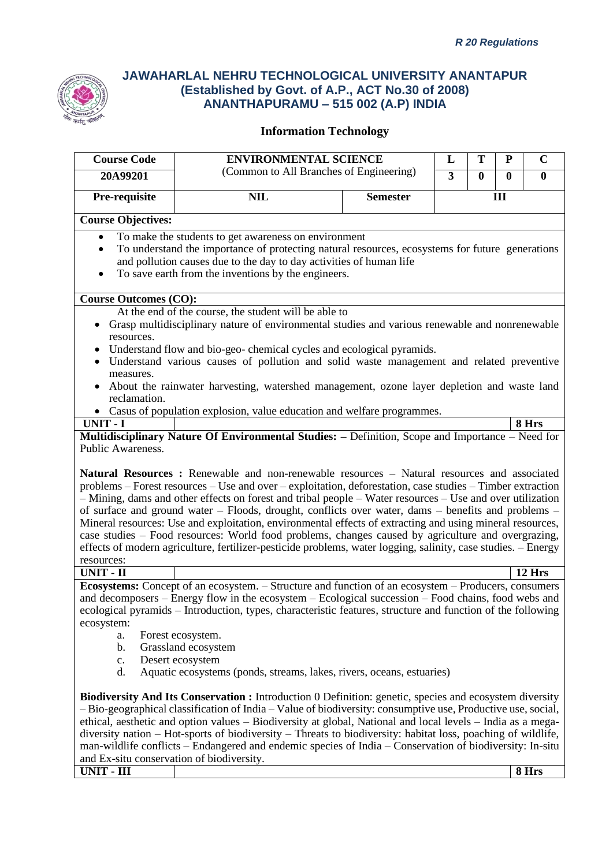

| <b>Course Code</b>                                                                                       | <b>ENVIRONMENTAL SCIENCE</b>                                                                                                                                                                                                                                                                                                                                                                                                                                                                                                                                                                                                                                       |                 | L                       | T            | ${\bf P}$    | $\mathbf C$ |
|----------------------------------------------------------------------------------------------------------|--------------------------------------------------------------------------------------------------------------------------------------------------------------------------------------------------------------------------------------------------------------------------------------------------------------------------------------------------------------------------------------------------------------------------------------------------------------------------------------------------------------------------------------------------------------------------------------------------------------------------------------------------------------------|-----------------|-------------------------|--------------|--------------|-------------|
| 20A99201                                                                                                 | (Common to All Branches of Engineering)                                                                                                                                                                                                                                                                                                                                                                                                                                                                                                                                                                                                                            |                 | $\overline{\mathbf{3}}$ | $\mathbf{0}$ | $\mathbf{0}$ | $\bf{0}$    |
| Pre-requisite                                                                                            | <b>NIL</b>                                                                                                                                                                                                                                                                                                                                                                                                                                                                                                                                                                                                                                                         | <b>Semester</b> |                         |              | III          |             |
| <b>Course Objectives:</b>                                                                                |                                                                                                                                                                                                                                                                                                                                                                                                                                                                                                                                                                                                                                                                    |                 |                         |              |              |             |
| $\bullet$<br>$\bullet$<br>$\bullet$                                                                      | To make the students to get awareness on environment<br>To understand the importance of protecting natural resources, ecosystems for future generations<br>and pollution causes due to the day to day activities of human life<br>To save earth from the inventions by the engineers.                                                                                                                                                                                                                                                                                                                                                                              |                 |                         |              |              |             |
| <b>Course Outcomes (CO):</b>                                                                             |                                                                                                                                                                                                                                                                                                                                                                                                                                                                                                                                                                                                                                                                    |                 |                         |              |              |             |
| ٠<br>resources.<br>measures.<br>reclamation.                                                             | At the end of the course, the student will be able to<br>Grasp multidisciplinary nature of environmental studies and various renewable and nonrenewable<br>Understand flow and bio-geo-chemical cycles and ecological pyramids.<br>Understand various causes of pollution and solid waste management and related preventive<br>About the rainwater harvesting, watershed management, ozone layer depletion and waste land<br>• Casus of population explosion, value education and welfare programmes.                                                                                                                                                              |                 |                         |              |              |             |
| UNIT - I                                                                                                 |                                                                                                                                                                                                                                                                                                                                                                                                                                                                                                                                                                                                                                                                    |                 |                         |              |              | 8 Hrs       |
| resources:                                                                                               | problems – Forest resources – Use and over – exploitation, deforestation, case studies – Timber extraction<br>- Mining, dams and other effects on forest and tribal people - Water resources - Use and over utilization<br>of surface and ground water - Floods, drought, conflicts over water, dams - benefits and problems -<br>Mineral resources: Use and exploitation, environmental effects of extracting and using mineral resources,<br>case studies - Food resources: World food problems, changes caused by agriculture and overgrazing,<br>effects of modern agriculture, fertilizer-pesticide problems, water logging, salinity, case studies. - Energy |                 |                         |              |              |             |
| <b>UNIT - II</b>                                                                                         |                                                                                                                                                                                                                                                                                                                                                                                                                                                                                                                                                                                                                                                                    |                 |                         |              |              | 12 Hrs      |
| ecosystem:<br>a.<br>b.<br>c.<br>d.                                                                       | <b>Ecosystems:</b> Concept of an ecosystem. – Structure and function of an ecosystem – Producers, consumers<br>and decomposers – Energy flow in the ecosystem – Ecological succession – Food chains, food webs and<br>ecological pyramids - Introduction, types, characteristic features, structure and function of the following<br>Forest ecosystem.<br>Grassland ecosystem<br>Desert ecosystem<br>Aquatic ecosystems (ponds, streams, lakes, rivers, oceans, estuaries)                                                                                                                                                                                         |                 |                         |              |              |             |
| man-wildlife conflicts – Endangered and endemic species of India – Conservation of biodiversity: In-situ | Biodiversity And Its Conservation : Introduction 0 Definition: genetic, species and ecosystem diversity<br>$-$ Bio-geographical classification of India $-$ Value of biodiversity: consumptive use, Productive use, social,<br>ethical, aesthetic and option values – Biodiversity at global, National and local levels – India as a mega-<br>diversity nation – Hot-sports of biodiversity – Threats to biodiversity: habitat loss, poaching of wildlife,                                                                                                                                                                                                         |                 |                         |              |              |             |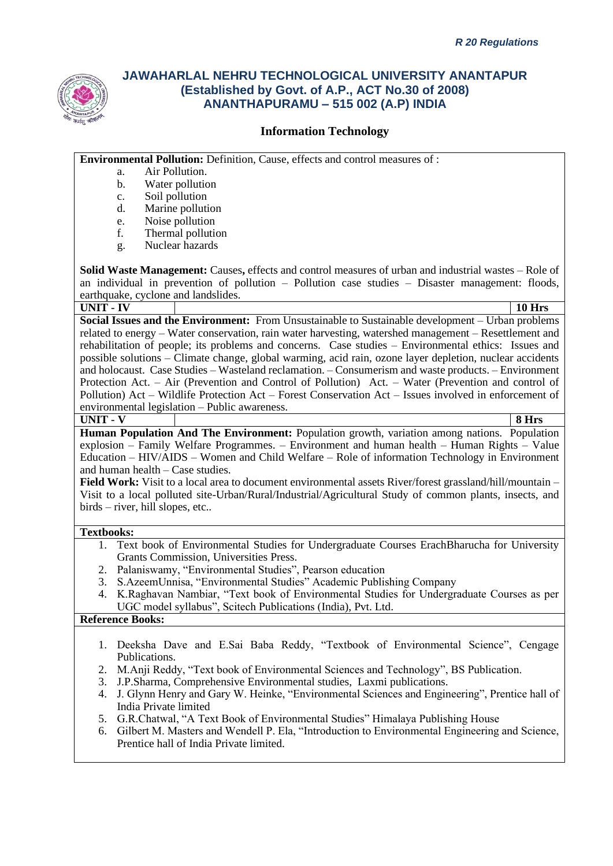

### **Information Technology**

**Environmental Pollution:** Definition, Cause, effects and control measures of :

- a. Air Pollution.
- b. Water pollution
- c. Soil pollution
- d. Marine pollution
- e. Noise pollution<br>f. Thermal pollution
- Thermal pollution
- g. Nuclear hazards

**Solid Waste Management:** Causes**,** effects and control measures of urban and industrial wastes – Role of an individual in prevention of pollution – Pollution case studies – Disaster management: floods, earthquake, cyclone and landslides.

#### **UNIT - IV 10 Hrs**

**Social Issues and the Environment:** From Unsustainable to Sustainable development – Urban problems related to energy – Water conservation, rain water harvesting, watershed management – Resettlement and rehabilitation of people; its problems and concerns. Case studies – Environmental ethics: Issues and possible solutions – Climate change, global warming, acid rain, ozone layer depletion, nuclear accidents and holocaust. Case Studies – Wasteland reclamation. – Consumerism and waste products. – Environment Protection Act. – Air (Prevention and Control of Pollution) Act. – Water (Prevention and control of Pollution) Act – Wildlife Protection Act – Forest Conservation Act – Issues involved in enforcement of environmental legislation – Public awareness.

**UNIT - V 8 Hrs**

**Human Population And The Environment:** Population growth, variation among nations. Population explosion – Family Welfare Programmes. – Environment and human health – Human Rights – Value Education – HIV/AIDS – Women and Child Welfare – Role of information Technology in Environment and human health – Case studies.

**Field Work:** Visit to a local area to document environmental assets River/forest grassland/hill/mountain – Visit to a local polluted site-Urban/Rural/Industrial/Agricultural Study of common plants, insects, and birds – river, hill slopes, etc..

#### **Textbooks:**

- 1. Text book of Environmental Studies for Undergraduate Courses ErachBharucha for University Grants Commission, Universities Press.
- 2. Palaniswamy, "Environmental Studies", Pearson education
- 3. S.AzeemUnnisa, "Environmental Studies" Academic Publishing Company
- 4. K.Raghavan Nambiar, "Text book of Environmental Studies for Undergraduate Courses as per UGC model syllabus", Scitech Publications (India), Pvt. Ltd.

### **Reference Books:**

- 1. Deeksha Dave and E.Sai Baba Reddy, "Textbook of Environmental Science", Cengage Publications.
- 2. M.Anji Reddy, "Text book of Environmental Sciences and Technology", BS Publication.
- 3. J.P.Sharma, Comprehensive Environmental studies, Laxmi publications.
- 4. J. Glynn Henry and Gary W. Heinke, "Environmental Sciences and Engineering", Prentice hall of India Private limited
- 5. G.R.Chatwal, "A Text Book of Environmental Studies" Himalaya Publishing House
- 6. Gilbert M. Masters and Wendell P. Ela, "Introduction to Environmental Engineering and Science, Prentice hall of India Private limited.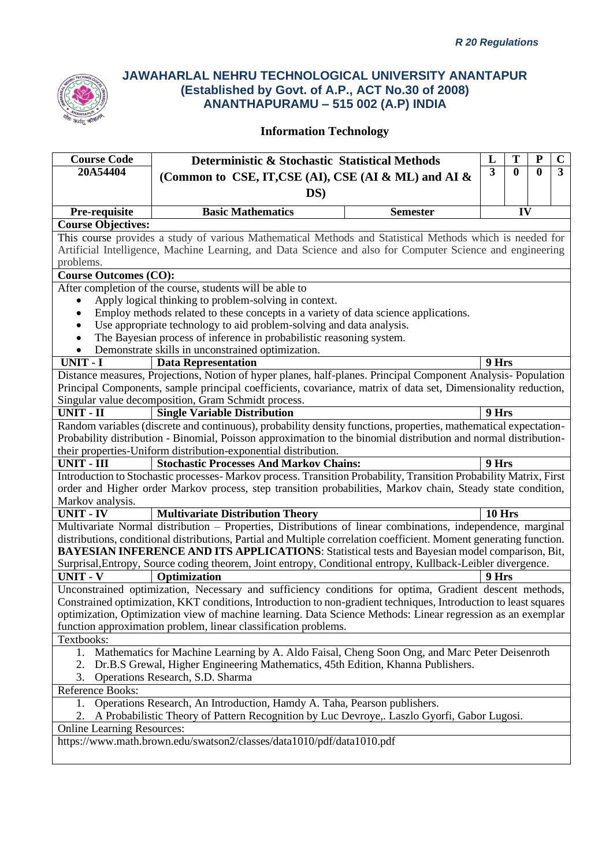

| <b>Course Code</b>                                                                                             | T<br>P<br>L<br>Deterministic & Stochastic Statistical Methods                                                       |  |                 |        |                  | $\mathbf C$  |                         |
|----------------------------------------------------------------------------------------------------------------|---------------------------------------------------------------------------------------------------------------------|--|-----------------|--------|------------------|--------------|-------------------------|
| 20A54404                                                                                                       | (Common to CSE, IT, CSE (AI), CSE (AI & ML) and AI &                                                                |  |                 |        | $\boldsymbol{0}$ | $\mathbf{0}$ | $\overline{\mathbf{3}}$ |
|                                                                                                                |                                                                                                                     |  |                 |        |                  |              |                         |
|                                                                                                                | DS)                                                                                                                 |  |                 |        |                  |              |                         |
| Pre-requisite                                                                                                  | <b>Basic Mathematics</b>                                                                                            |  | <b>Semester</b> |        | IV               |              |                         |
| <b>Course Objectives:</b>                                                                                      |                                                                                                                     |  |                 |        |                  |              |                         |
|                                                                                                                | This course provides a study of various Mathematical Methods and Statistical Methods which is needed for            |  |                 |        |                  |              |                         |
|                                                                                                                | Artificial Intelligence, Machine Learning, and Data Science and also for Computer Science and engineering           |  |                 |        |                  |              |                         |
| problems.                                                                                                      |                                                                                                                     |  |                 |        |                  |              |                         |
| <b>Course Outcomes (CO):</b>                                                                                   |                                                                                                                     |  |                 |        |                  |              |                         |
|                                                                                                                | After completion of the course, students will be able to                                                            |  |                 |        |                  |              |                         |
|                                                                                                                | Apply logical thinking to problem-solving in context.                                                               |  |                 |        |                  |              |                         |
| $\bullet$                                                                                                      | Employ methods related to these concepts in a variety of data science applications.                                 |  |                 |        |                  |              |                         |
| $\bullet$                                                                                                      | Use appropriate technology to aid problem-solving and data analysis.                                                |  |                 |        |                  |              |                         |
|                                                                                                                | The Bayesian process of inference in probabilistic reasoning system.                                                |  |                 |        |                  |              |                         |
| $\bullet$                                                                                                      | Demonstrate skills in unconstrained optimization.                                                                   |  |                 |        |                  |              |                         |
| <b>UNIT - I</b>                                                                                                | <b>Data Representation</b>                                                                                          |  |                 | 9 Hrs  |                  |              |                         |
|                                                                                                                | Distance measures, Projections, Notion of hyper planes, half-planes. Principal Component Analysis-Population        |  |                 |        |                  |              |                         |
| Principal Components, sample principal coefficients, covariance, matrix of data set, Dimensionality reduction, |                                                                                                                     |  |                 |        |                  |              |                         |
|                                                                                                                | Singular value decomposition, Gram Schmidt process.                                                                 |  |                 |        |                  |              |                         |
| $UNIT - II$                                                                                                    | <b>Single Variable Distribution</b>                                                                                 |  |                 | 9 Hrs  |                  |              |                         |
|                                                                                                                | Random variables (discrete and continuous), probability density functions, properties, mathematical expectation-    |  |                 |        |                  |              |                         |
|                                                                                                                | Probability distribution - Binomial, Poisson approximation to the binomial distribution and normal distribution-    |  |                 |        |                  |              |                         |
|                                                                                                                | their properties-Uniform distribution-exponential distribution.                                                     |  |                 |        |                  |              |                         |
| <b>UNIT - III</b>                                                                                              | <b>Stochastic Processes And Markov Chains:</b>                                                                      |  |                 | 9 Hrs  |                  |              |                         |
|                                                                                                                | Introduction to Stochastic processes- Markov process. Transition Probability, Transition Probability Matrix, First  |  |                 |        |                  |              |                         |
|                                                                                                                | order and Higher order Markov process, step transition probabilities, Markov chain, Steady state condition,         |  |                 |        |                  |              |                         |
| Markov analysis.                                                                                               |                                                                                                                     |  |                 |        |                  |              |                         |
| <b>UNIT - IV</b>                                                                                               | <b>Multivariate Distribution Theory</b>                                                                             |  |                 | 10 Hrs |                  |              |                         |
|                                                                                                                | Multivariate Normal distribution - Properties, Distributions of linear combinations, independence, marginal         |  |                 |        |                  |              |                         |
|                                                                                                                | distributions, conditional distributions, Partial and Multiple correlation coefficient. Moment generating function. |  |                 |        |                  |              |                         |
|                                                                                                                | <b>BAYESIAN INFERENCE AND ITS APPLICATIONS:</b> Statistical tests and Bayesian model comparison, Bit,               |  |                 |        |                  |              |                         |
|                                                                                                                | Surprisal, Entropy, Source coding theorem, Joint entropy, Conditional entropy, Kullback-Leibler divergence.         |  |                 |        |                  |              |                         |
| <b>UNIT - V</b>                                                                                                | Optimization                                                                                                        |  |                 | 9 Hrs  |                  |              |                         |
|                                                                                                                | Unconstrained optimization, Necessary and sufficiency conditions for optima, Gradient descent methods,              |  |                 |        |                  |              |                         |
|                                                                                                                | Constrained optimization, KKT conditions, Introduction to non-gradient techniques, Introduction to least squares    |  |                 |        |                  |              |                         |
|                                                                                                                | optimization, Optimization view of machine learning. Data Science Methods: Linear regression as an exemplar         |  |                 |        |                  |              |                         |
|                                                                                                                | function approximation problem, linear classification problems.                                                     |  |                 |        |                  |              |                         |
| Textbooks:                                                                                                     |                                                                                                                     |  |                 |        |                  |              |                         |
| 1.                                                                                                             | Mathematics for Machine Learning by A. Aldo Faisal, Cheng Soon Ong, and Marc Peter Deisenroth                       |  |                 |        |                  |              |                         |
| Dr.B.S Grewal, Higher Engineering Mathematics, 45th Edition, Khanna Publishers.<br>2.                          |                                                                                                                     |  |                 |        |                  |              |                         |
| Operations Research, S.D. Sharma<br>3.                                                                         |                                                                                                                     |  |                 |        |                  |              |                         |
| Reference Books:                                                                                               |                                                                                                                     |  |                 |        |                  |              |                         |
| Operations Research, An Introduction, Hamdy A. Taha, Pearson publishers.<br>1.                                 |                                                                                                                     |  |                 |        |                  |              |                         |
| A Probabilistic Theory of Pattern Recognition by Luc Devroye,. Laszlo Gyorfi, Gabor Lugosi.                    |                                                                                                                     |  |                 |        |                  |              |                         |
| <b>Online Learning Resources:</b>                                                                              |                                                                                                                     |  |                 |        |                  |              |                         |
| https://www.math.brown.edu/swatson2/classes/data1010/pdf/data1010.pdf                                          |                                                                                                                     |  |                 |        |                  |              |                         |
|                                                                                                                |                                                                                                                     |  |                 |        |                  |              |                         |
|                                                                                                                |                                                                                                                     |  |                 |        |                  |              |                         |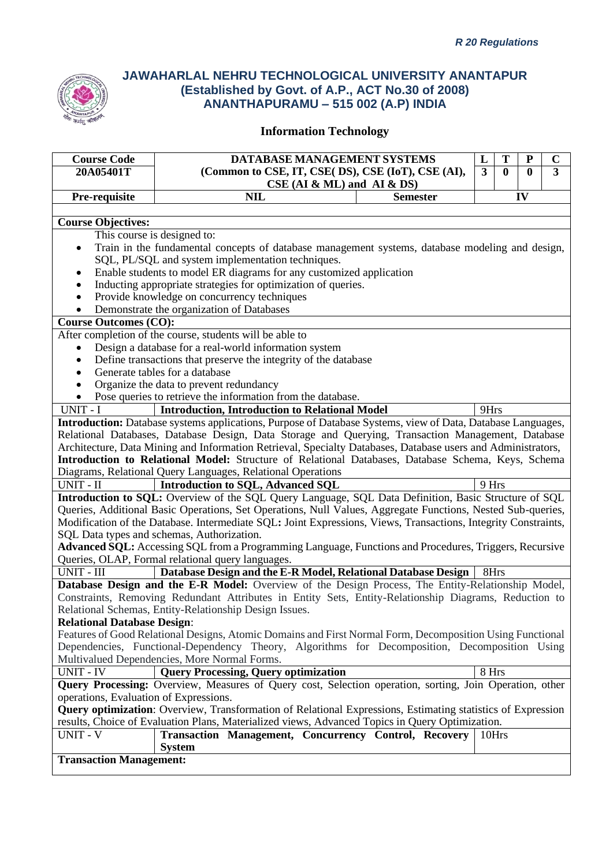

| <b>Course Code</b>                                                                                                 | DATABASE MANAGEMENT SYSTEMS                                                                                    | L              | T            | P | $\mathbf C$    |  |
|--------------------------------------------------------------------------------------------------------------------|----------------------------------------------------------------------------------------------------------------|----------------|--------------|---|----------------|--|
| 20A05401T                                                                                                          | (Common to CSE, IT, CSE( DS), CSE (IoT), CSE (AI),                                                             | $\overline{3}$ | $\mathbf{0}$ | 0 | $\overline{3}$ |  |
|                                                                                                                    | $CSE$ (AI & ML) and AI & DS)                                                                                   |                |              |   |                |  |
| Pre-requisite                                                                                                      | <b>NIL</b><br>IV<br><b>Semester</b>                                                                            |                |              |   |                |  |
|                                                                                                                    |                                                                                                                |                |              |   |                |  |
| <b>Course Objectives:</b>                                                                                          |                                                                                                                |                |              |   |                |  |
|                                                                                                                    | This course is designed to:                                                                                    |                |              |   |                |  |
|                                                                                                                    | Train in the fundamental concepts of database management systems, database modeling and design,                |                |              |   |                |  |
| SQL, PL/SQL and system implementation techniques.                                                                  |                                                                                                                |                |              |   |                |  |
|                                                                                                                    | Enable students to model ER diagrams for any customized application                                            |                |              |   |                |  |
|                                                                                                                    | Inducting appropriate strategies for optimization of queries.                                                  |                |              |   |                |  |
|                                                                                                                    | Provide knowledge on concurrency techniques                                                                    |                |              |   |                |  |
|                                                                                                                    | Demonstrate the organization of Databases                                                                      |                |              |   |                |  |
| <b>Course Outcomes (CO):</b>                                                                                       |                                                                                                                |                |              |   |                |  |
|                                                                                                                    | After completion of the course, students will be able to                                                       |                |              |   |                |  |
|                                                                                                                    | Design a database for a real-world information system                                                          |                |              |   |                |  |
| $\bullet$                                                                                                          | Define transactions that preserve the integrity of the database                                                |                |              |   |                |  |
|                                                                                                                    | Generate tables for a database                                                                                 |                |              |   |                |  |
|                                                                                                                    | Organize the data to prevent redundancy                                                                        |                |              |   |                |  |
|                                                                                                                    | Pose queries to retrieve the information from the database.                                                    |                |              |   |                |  |
| <b>Introduction, Introduction to Relational Model</b><br>UNIT - I<br>9Hrs                                          |                                                                                                                |                |              |   |                |  |
| Introduction: Database systems applications, Purpose of Database Systems, view of Data, Database Languages,        |                                                                                                                |                |              |   |                |  |
| Relational Databases, Database Design, Data Storage and Querying, Transaction Management, Database                 |                                                                                                                |                |              |   |                |  |
|                                                                                                                    | Architecture, Data Mining and Information Retrieval, Specialty Databases, Database users and Administrators,   |                |              |   |                |  |
|                                                                                                                    | Introduction to Relational Model: Structure of Relational Databases, Database Schema, Keys, Schema             |                |              |   |                |  |
| Diagrams, Relational Query Languages, Relational Operations                                                        |                                                                                                                |                |              |   |                |  |
|                                                                                                                    | UNIT - II<br><b>Introduction to SQL, Advanced SQL</b><br>9 Hrs                                                 |                |              |   |                |  |
|                                                                                                                    | Introduction to SQL: Overview of the SQL Query Language, SQL Data Definition, Basic Structure of SQL           |                |              |   |                |  |
|                                                                                                                    | Queries, Additional Basic Operations, Set Operations, Null Values, Aggregate Functions, Nested Sub-queries,    |                |              |   |                |  |
|                                                                                                                    | Modification of the Database. Intermediate SQL: Joint Expressions, Views, Transactions, Integrity Constraints, |                |              |   |                |  |
|                                                                                                                    | SQL Data types and schemas, Authorization.                                                                     |                |              |   |                |  |
| Advanced SQL: Accessing SQL from a Programming Language, Functions and Procedures, Triggers, Recursive             |                                                                                                                |                |              |   |                |  |
| Queries, OLAP, Formal relational query languages.                                                                  |                                                                                                                |                |              |   |                |  |
| UNIT - III<br>Database Design and the E-R Model, Relational Database Design<br>8Hrs                                |                                                                                                                |                |              |   |                |  |
|                                                                                                                    | Database Design and the E-R Model: Overview of the Design Process, The Entity-Relationship Model,              |                |              |   |                |  |
|                                                                                                                    | Constraints, Removing Redundant Attributes in Entity Sets, Entity-Relationship Diagrams, Reduction to          |                |              |   |                |  |
|                                                                                                                    | Relational Schemas, Entity-Relationship Design Issues.                                                         |                |              |   |                |  |
| <b>Relational Database Design:</b>                                                                                 |                                                                                                                |                |              |   |                |  |
|                                                                                                                    | Features of Good Relational Designs, Atomic Domains and First Normal Form, Decomposition Using Functional      |                |              |   |                |  |
| Dependencies, Functional-Dependency Theory, Algorithms for Decomposition, Decomposition Using                      |                                                                                                                |                |              |   |                |  |
|                                                                                                                    | Multivalued Dependencies, More Normal Forms.                                                                   |                |              |   |                |  |
| <b>UNIT - IV</b>                                                                                                   | <b>Query Processing, Query optimization</b>                                                                    | 8 Hrs          |              |   |                |  |
|                                                                                                                    | Query Processing: Overview, Measures of Query cost, Selection operation, sorting, Join Operation, other        |                |              |   |                |  |
| operations, Evaluation of Expressions.                                                                             |                                                                                                                |                |              |   |                |  |
| <b>Query optimization:</b> Overview, Transformation of Relational Expressions, Estimating statistics of Expression |                                                                                                                |                |              |   |                |  |
|                                                                                                                    | results, Choice of Evaluation Plans, Materialized views, Advanced Topics in Query Optimization.                |                |              |   |                |  |
| <b>UNIT - V</b>                                                                                                    | Transaction Management, Concurrency Control, Recovery                                                          | 10Hrs          |              |   |                |  |
|                                                                                                                    | <b>System</b>                                                                                                  |                |              |   |                |  |
| <b>Transaction Management:</b>                                                                                     |                                                                                                                |                |              |   |                |  |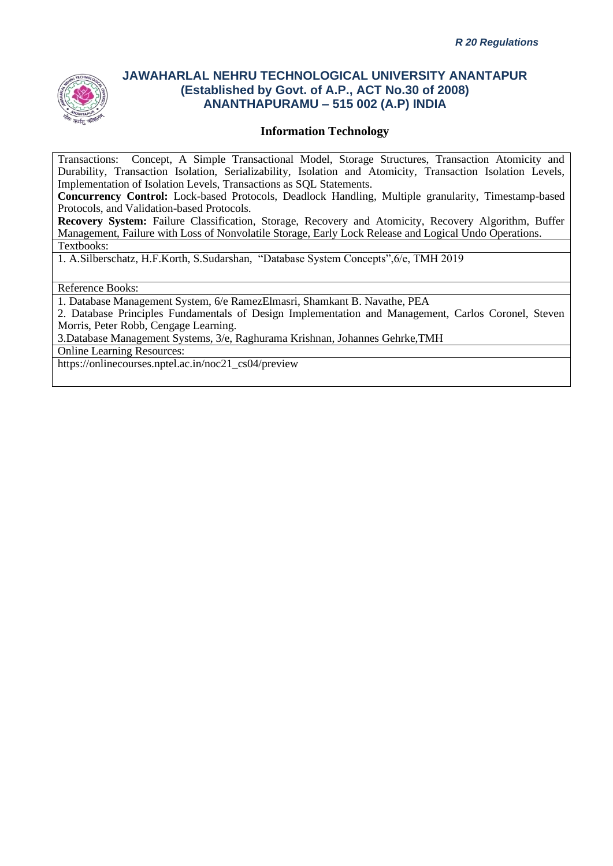

### **Information Technology**

Transactions: Concept, A Simple Transactional Model, Storage Structures, Transaction Atomicity and Durability, Transaction Isolation, Serializability, Isolation and Atomicity, Transaction Isolation Levels, Implementation of Isolation Levels, Transactions as SQL Statements.

**Concurrency Control:** Lock-based Protocols, Deadlock Handling, Multiple granularity, Timestamp-based Protocols, and Validation-based Protocols.

**Recovery System:** Failure Classification, Storage, Recovery and Atomicity, Recovery Algorithm, Buffer Management, Failure with Loss of Nonvolatile Storage, Early Lock Release and Logical Undo Operations. Textbooks:

1. A.Silberschatz, H.F.Korth, S.Sudarshan, "Database System Concepts",6/e, TMH 2019

#### Reference Books:

1. Database Management System, 6/e RamezElmasri, Shamkant B. Navathe, PEA

2. Database Principles Fundamentals of Design Implementation and Management, Carlos Coronel, Steven Morris, Peter Robb, Cengage Learning.

3.Database Management Systems, 3/e, Raghurama Krishnan, Johannes Gehrke,TMH

Online Learning Resources:

https://onlinecourses.nptel.ac.in/noc21\_cs04/preview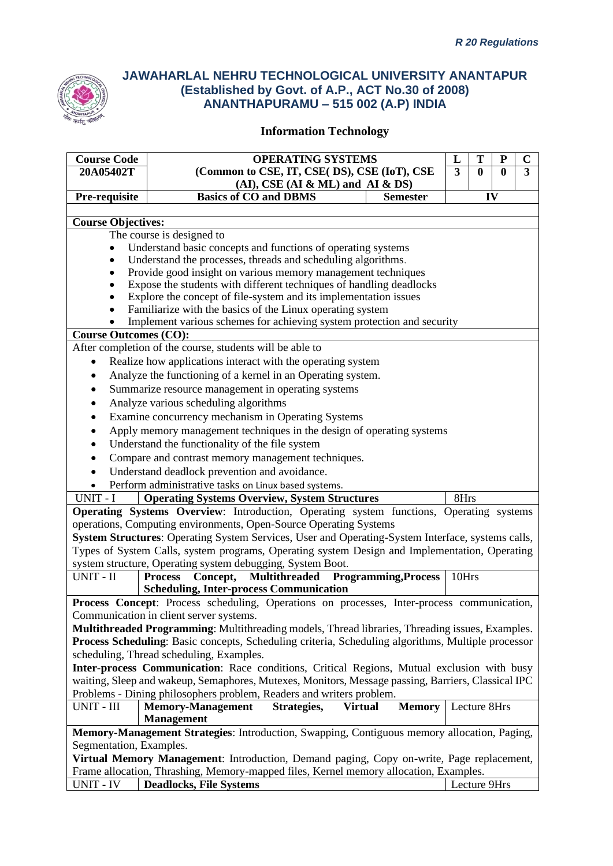

| <b>Course Code</b>                                                                                                           | <b>OPERATING SYSTEMS</b><br>L<br>T<br>P                                                                                                                                                               |               |       |              |   | $\mathbf C$ |  |
|------------------------------------------------------------------------------------------------------------------------------|-------------------------------------------------------------------------------------------------------------------------------------------------------------------------------------------------------|---------------|-------|--------------|---|-------------|--|
| 20A05402T                                                                                                                    | (Common to CSE, IT, CSE(DS), CSE (IoT), CSE<br>3<br>$\bf{0}$<br>0                                                                                                                                     |               |       |              | 3 |             |  |
| $(AI)$ , CSE $(AI & ML)$ and $AI & DS$                                                                                       |                                                                                                                                                                                                       |               |       |              |   |             |  |
|                                                                                                                              | <b>Basics of CO and DBMS</b><br>Pre-requisite<br>IV<br><b>Semester</b>                                                                                                                                |               |       |              |   |             |  |
|                                                                                                                              |                                                                                                                                                                                                       |               |       |              |   |             |  |
| <b>Course Objectives:</b>                                                                                                    |                                                                                                                                                                                                       |               |       |              |   |             |  |
|                                                                                                                              | The course is designed to                                                                                                                                                                             |               |       |              |   |             |  |
| Understand basic concepts and functions of operating systems<br>Understand the processes, threads and scheduling algorithms. |                                                                                                                                                                                                       |               |       |              |   |             |  |
|                                                                                                                              | Provide good insight on various memory management techniques                                                                                                                                          |               |       |              |   |             |  |
|                                                                                                                              | Expose the students with different techniques of handling deadlocks                                                                                                                                   |               |       |              |   |             |  |
|                                                                                                                              | Explore the concept of file-system and its implementation issues                                                                                                                                      |               |       |              |   |             |  |
|                                                                                                                              | Familiarize with the basics of the Linux operating system                                                                                                                                             |               |       |              |   |             |  |
|                                                                                                                              | Implement various schemes for achieving system protection and security                                                                                                                                |               |       |              |   |             |  |
| <b>Course Outcomes (CO):</b>                                                                                                 |                                                                                                                                                                                                       |               |       |              |   |             |  |
|                                                                                                                              | After completion of the course, students will be able to                                                                                                                                              |               |       |              |   |             |  |
| $\bullet$                                                                                                                    | Realize how applications interact with the operating system                                                                                                                                           |               |       |              |   |             |  |
|                                                                                                                              | Analyze the functioning of a kernel in an Operating system.                                                                                                                                           |               |       |              |   |             |  |
| $\bullet$                                                                                                                    | Summarize resource management in operating systems                                                                                                                                                    |               |       |              |   |             |  |
| $\bullet$                                                                                                                    | Analyze various scheduling algorithms                                                                                                                                                                 |               |       |              |   |             |  |
| $\bullet$                                                                                                                    | Examine concurrency mechanism in Operating Systems                                                                                                                                                    |               |       |              |   |             |  |
| $\bullet$                                                                                                                    | Apply memory management techniques in the design of operating systems                                                                                                                                 |               |       |              |   |             |  |
| $\bullet$                                                                                                                    | Understand the functionality of the file system                                                                                                                                                       |               |       |              |   |             |  |
| $\bullet$                                                                                                                    | Compare and contrast memory management techniques.                                                                                                                                                    |               |       |              |   |             |  |
| $\bullet$                                                                                                                    | Understand deadlock prevention and avoidance.                                                                                                                                                         |               |       |              |   |             |  |
| $\bullet$                                                                                                                    | Perform administrative tasks on Linux based systems.                                                                                                                                                  |               |       |              |   |             |  |
| UNIT - I                                                                                                                     | <b>Operating Systems Overview, System Structures</b>                                                                                                                                                  |               | 8Hrs  |              |   |             |  |
|                                                                                                                              | Operating Systems Overview: Introduction, Operating system functions, Operating systems                                                                                                               |               |       |              |   |             |  |
|                                                                                                                              | operations, Computing environments, Open-Source Operating Systems                                                                                                                                     |               |       |              |   |             |  |
|                                                                                                                              | System Structures: Operating System Services, User and Operating-System Interface, systems calls,                                                                                                     |               |       |              |   |             |  |
|                                                                                                                              | Types of System Calls, system programs, Operating system Design and Implementation, Operating                                                                                                         |               |       |              |   |             |  |
|                                                                                                                              | system structure, Operating system debugging, System Boot.                                                                                                                                            |               |       |              |   |             |  |
| UNIT - II                                                                                                                    | Concept, Multithreaded Programming, Process<br><b>Process</b>                                                                                                                                         |               | 10Hrs |              |   |             |  |
|                                                                                                                              | <b>Scheduling, Inter-process Communication</b><br>Process Concept: Process scheduling, Operations on processes, Inter-process communication,                                                          |               |       |              |   |             |  |
|                                                                                                                              | Communication in client server systems.                                                                                                                                                               |               |       |              |   |             |  |
|                                                                                                                              |                                                                                                                                                                                                       |               |       |              |   |             |  |
|                                                                                                                              | Multithreaded Programming: Multithreading models, Thread libraries, Threading issues, Examples.<br>Process Scheduling: Basic concepts, Scheduling criteria, Scheduling algorithms, Multiple processor |               |       |              |   |             |  |
| scheduling, Thread scheduling, Examples.                                                                                     |                                                                                                                                                                                                       |               |       |              |   |             |  |
| Inter-process Communication: Race conditions, Critical Regions, Mutual exclusion with busy                                   |                                                                                                                                                                                                       |               |       |              |   |             |  |
| waiting, Sleep and wakeup, Semaphores, Mutexes, Monitors, Message passing, Barriers, Classical IPC                           |                                                                                                                                                                                                       |               |       |              |   |             |  |
| Problems - Dining philosophers problem, Readers and writers problem.                                                         |                                                                                                                                                                                                       |               |       |              |   |             |  |
| UNIT - III                                                                                                                   | <b>Memory-Management</b><br>Strategies,<br><b>Virtual</b>                                                                                                                                             | <b>Memory</b> |       | Lecture 8Hrs |   |             |  |
| <b>Management</b>                                                                                                            |                                                                                                                                                                                                       |               |       |              |   |             |  |
|                                                                                                                              | Memory-Management Strategies: Introduction, Swapping, Contiguous memory allocation, Paging,                                                                                                           |               |       |              |   |             |  |
| Segmentation, Examples.                                                                                                      |                                                                                                                                                                                                       |               |       |              |   |             |  |
| Virtual Memory Management: Introduction, Demand paging, Copy on-write, Page replacement,                                     |                                                                                                                                                                                                       |               |       |              |   |             |  |
|                                                                                                                              | Frame allocation, Thrashing, Memory-mapped files, Kernel memory allocation, Examples.                                                                                                                 |               |       |              |   |             |  |
| <b>UNIT - IV</b>                                                                                                             | <b>Deadlocks, File Systems</b>                                                                                                                                                                        |               |       | Lecture 9Hrs |   |             |  |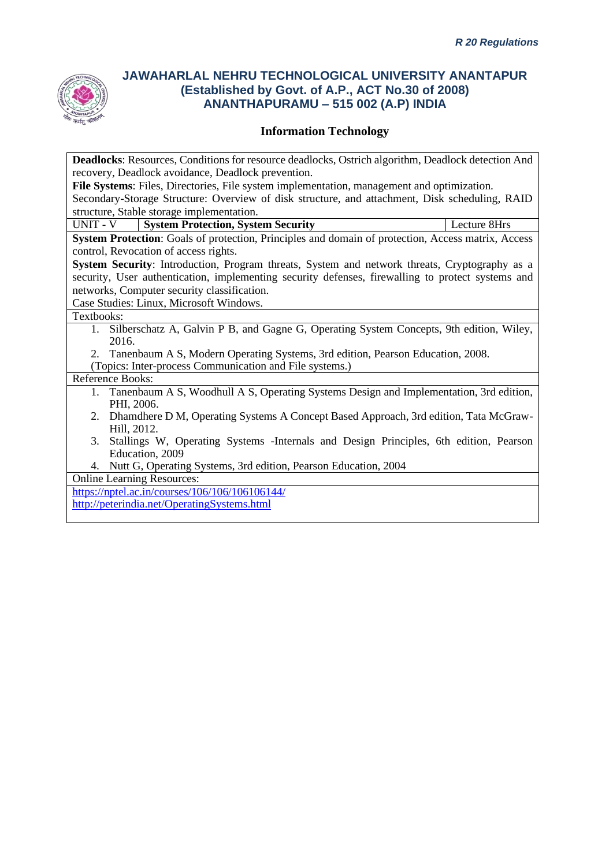

# **Information Technology**

| <b>Deadlocks:</b> Resources, Conditions for resource deadlocks, Ostrich algorithm, Deadlock detection And |  |  |  |  |  |
|-----------------------------------------------------------------------------------------------------------|--|--|--|--|--|
| recovery, Deadlock avoidance, Deadlock prevention.                                                        |  |  |  |  |  |
| File Systems: Files, Directories, File system implementation, management and optimization.                |  |  |  |  |  |
| Secondary-Storage Structure: Overview of disk structure, and attachment, Disk scheduling, RAID            |  |  |  |  |  |
| structure, Stable storage implementation.                                                                 |  |  |  |  |  |
| Lecture 8Hrs<br>UNIT - V<br><b>System Protection, System Security</b>                                     |  |  |  |  |  |
| System Protection: Goals of protection, Principles and domain of protection, Access matrix, Access        |  |  |  |  |  |
| control, Revocation of access rights.                                                                     |  |  |  |  |  |
| System Security: Introduction, Program threats, System and network threats, Cryptography as a             |  |  |  |  |  |
| security, User authentication, implementing security defenses, firewalling to protect systems and         |  |  |  |  |  |
| networks, Computer security classification.                                                               |  |  |  |  |  |
| Case Studies: Linux, Microsoft Windows.                                                                   |  |  |  |  |  |
| Textbooks:                                                                                                |  |  |  |  |  |
| Silberschatz A, Galvin P B, and Gagne G, Operating System Concepts, 9th edition, Wiley,<br>1.             |  |  |  |  |  |
| 2016.                                                                                                     |  |  |  |  |  |
| 2. Tanenbaum A S, Modern Operating Systems, 3rd edition, Pearson Education, 2008.                         |  |  |  |  |  |
| (Topics: Inter-process Communication and File systems.)                                                   |  |  |  |  |  |
| Reference Books:                                                                                          |  |  |  |  |  |
| 1. Tanenbaum A S, Woodhull A S, Operating Systems Design and Implementation, 3rd edition,                 |  |  |  |  |  |
| PHI, 2006.                                                                                                |  |  |  |  |  |
| 2. Dhamdhere D M, Operating Systems A Concept Based Approach, 3rd edition, Tata McGraw-                   |  |  |  |  |  |
| Hill, 2012.                                                                                               |  |  |  |  |  |
| Stallings W, Operating Systems - Internals and Design Principles, 6th edition, Pearson<br>3.              |  |  |  |  |  |
| Education, 2009                                                                                           |  |  |  |  |  |
| Nutt G, Operating Systems, 3rd edition, Pearson Education, 2004<br>4.                                     |  |  |  |  |  |
| <b>Online Learning Resources:</b>                                                                         |  |  |  |  |  |
| https://nptel.ac.in/courses/106/106/106106144/                                                            |  |  |  |  |  |

<http://peterindia.net/OperatingSystems.html>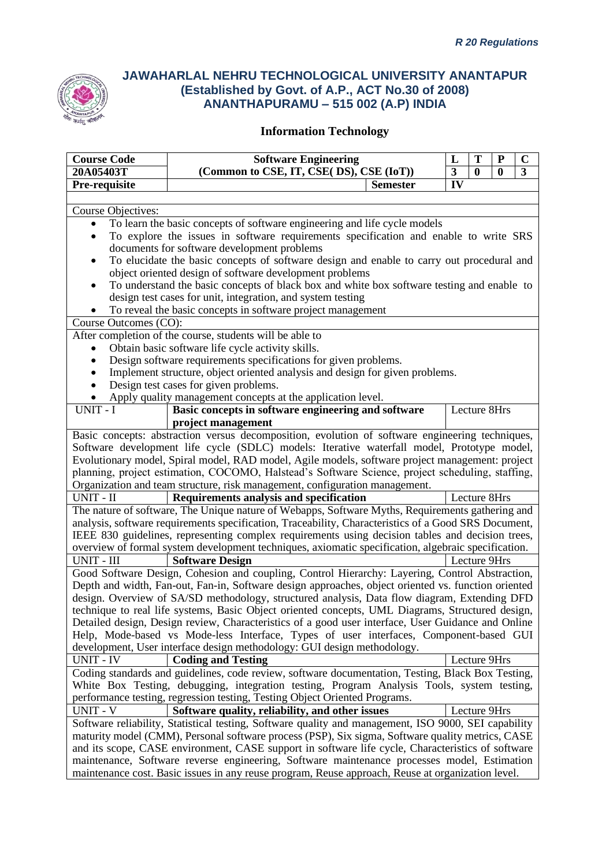

| <b>Course Code</b>                                                                                                                | T<br><b>Software Engineering</b><br>${\bf P}$<br>L                                                                                                                                                    |                          |  | $\mathbf C$  |  |
|-----------------------------------------------------------------------------------------------------------------------------------|-------------------------------------------------------------------------------------------------------------------------------------------------------------------------------------------------------|--------------------------|--|--------------|--|
| 20A05403T                                                                                                                         | (Common to CSE, IT, CSE(DS), CSE (IoT))<br>$\overline{\mathbf{3}}$<br>$\bf{0}$<br>$\bf{0}$                                                                                                            |                          |  | 3            |  |
| Pre-requisite                                                                                                                     | <b>Semester</b>                                                                                                                                                                                       | $\overline{\mathbf{IV}}$ |  |              |  |
|                                                                                                                                   |                                                                                                                                                                                                       |                          |  |              |  |
| Course Objectives:                                                                                                                |                                                                                                                                                                                                       |                          |  |              |  |
| $\bullet$                                                                                                                         | To learn the basic concepts of software engineering and life cycle models                                                                                                                             |                          |  |              |  |
| $\bullet$                                                                                                                         | To explore the issues in software requirements specification and enable to write SRS                                                                                                                  |                          |  |              |  |
|                                                                                                                                   | documents for software development problems                                                                                                                                                           |                          |  |              |  |
| $\bullet$                                                                                                                         | To elucidate the basic concepts of software design and enable to carry out procedural and                                                                                                             |                          |  |              |  |
| object oriented design of software development problems                                                                           |                                                                                                                                                                                                       |                          |  |              |  |
| ٠                                                                                                                                 | To understand the basic concepts of black box and white box software testing and enable to                                                                                                            |                          |  |              |  |
|                                                                                                                                   | design test cases for unit, integration, and system testing                                                                                                                                           |                          |  |              |  |
|                                                                                                                                   | To reveal the basic concepts in software project management                                                                                                                                           |                          |  |              |  |
| Course Outcomes (CO):                                                                                                             |                                                                                                                                                                                                       |                          |  |              |  |
|                                                                                                                                   | After completion of the course, students will be able to                                                                                                                                              |                          |  |              |  |
| $\bullet$                                                                                                                         | Obtain basic software life cycle activity skills.                                                                                                                                                     |                          |  |              |  |
|                                                                                                                                   | Design software requirements specifications for given problems.                                                                                                                                       |                          |  |              |  |
| $\bullet$                                                                                                                         | Implement structure, object oriented analysis and design for given problems.                                                                                                                          |                          |  |              |  |
| $\bullet$                                                                                                                         | Design test cases for given problems.                                                                                                                                                                 |                          |  |              |  |
|                                                                                                                                   | Apply quality management concepts at the application level.                                                                                                                                           |                          |  |              |  |
| UNIT - I                                                                                                                          | Basic concepts in software engineering and software                                                                                                                                                   |                          |  | Lecture 8Hrs |  |
|                                                                                                                                   | project management                                                                                                                                                                                    |                          |  |              |  |
| Basic concepts: abstraction versus decomposition, evolution of software engineering techniques,                                   |                                                                                                                                                                                                       |                          |  |              |  |
|                                                                                                                                   | Software development life cycle (SDLC) models: Iterative waterfall model, Prototype model,                                                                                                            |                          |  |              |  |
|                                                                                                                                   | Evolutionary model, Spiral model, RAD model, Agile models, software project management: project                                                                                                       |                          |  |              |  |
|                                                                                                                                   | planning, project estimation, COCOMO, Halstead's Software Science, project scheduling, staffing,                                                                                                      |                          |  |              |  |
|                                                                                                                                   | Organization and team structure, risk management, configuration management.                                                                                                                           |                          |  |              |  |
| UNIT - II                                                                                                                         | Requirements analysis and specification                                                                                                                                                               |                          |  | Lecture 8Hrs |  |
|                                                                                                                                   | The nature of software, The Unique nature of Webapps, Software Myths, Requirements gathering and                                                                                                      |                          |  |              |  |
|                                                                                                                                   | analysis, software requirements specification, Traceability, Characteristics of a Good SRS Document,                                                                                                  |                          |  |              |  |
|                                                                                                                                   | IEEE 830 guidelines, representing complex requirements using decision tables and decision trees,                                                                                                      |                          |  |              |  |
|                                                                                                                                   | overview of formal system development techniques, axiomatic specification, algebraic specification.                                                                                                   |                          |  |              |  |
| UNIT - III                                                                                                                        | <b>Software Design</b>                                                                                                                                                                                |                          |  | Lecture 9Hrs |  |
|                                                                                                                                   | Good Software Design, Cohesion and coupling, Control Hierarchy: Layering, Control Abstraction,                                                                                                        |                          |  |              |  |
|                                                                                                                                   | Depth and width, Fan-out, Fan-in, Software design approaches, object oriented vs. function oriented<br>design. Overview of SA/SD methodology, structured analysis, Data flow diagram, Extending DFD   |                          |  |              |  |
|                                                                                                                                   | technique to real life systems, Basic Object oriented concepts, UML Diagrams, Structured design,                                                                                                      |                          |  |              |  |
|                                                                                                                                   | Detailed design, Design review, Characteristics of a good user interface, User Guidance and Online                                                                                                    |                          |  |              |  |
|                                                                                                                                   | Help, Mode-based vs Mode-less Interface, Types of user interfaces, Component-based GUI                                                                                                                |                          |  |              |  |
|                                                                                                                                   |                                                                                                                                                                                                       |                          |  |              |  |
| development, User interface design methodology: GUI design methodology.<br>UNIT - IV<br>Lecture 9Hrs<br><b>Coding and Testing</b> |                                                                                                                                                                                                       |                          |  |              |  |
|                                                                                                                                   | Coding standards and guidelines, code review, software documentation, Testing, Black Box Testing,                                                                                                     |                          |  |              |  |
|                                                                                                                                   | White Box Testing, debugging, integration testing, Program Analysis Tools, system testing,                                                                                                            |                          |  |              |  |
|                                                                                                                                   | performance testing, regression testing, Testing Object Oriented Programs.                                                                                                                            |                          |  |              |  |
| UNIT - V<br>Software quality, reliability, and other issues<br>Lecture 9Hrs                                                       |                                                                                                                                                                                                       |                          |  |              |  |
| Software reliability, Statistical testing, Software quality and management, ISO 9000, SEI capability                              |                                                                                                                                                                                                       |                          |  |              |  |
|                                                                                                                                   |                                                                                                                                                                                                       |                          |  |              |  |
|                                                                                                                                   | maturity model (CMM), Personal software process (PSP), Six sigma, Software quality metrics, CASE<br>and its scope, CASE environment, CASE support in software life cycle, Characteristics of software |                          |  |              |  |
|                                                                                                                                   | maintenance, Software reverse engineering, Software maintenance processes model, Estimation                                                                                                           |                          |  |              |  |
|                                                                                                                                   | maintenance cost. Basic issues in any reuse program, Reuse approach, Reuse at organization level.                                                                                                     |                          |  |              |  |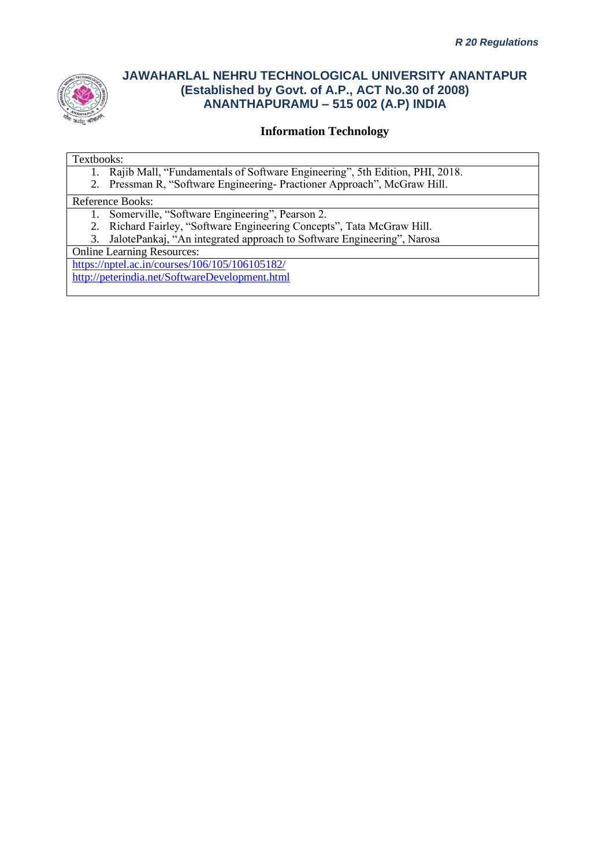

### **Information Technology**

#### Textbooks:

- 1. Rajib Mall, "Fundamentals of Software Engineering", 5th Edition, PHI, 2018.
- 2. Pressman R, "Software Engineering- Practioner Approach", McGraw Hill.

#### Reference Books:

- 1. Somerville, "Software Engineering", Pearson 2.
- 2. Richard Fairley, "Software Engineering Concepts", Tata McGraw Hill.
- 3. JalotePankaj, "An integrated approach to Software Engineering", Narosa

Online Learning Resources:

<https://nptel.ac.in/courses/106/105/106105182/> <http://peterindia.net/SoftwareDevelopment.html>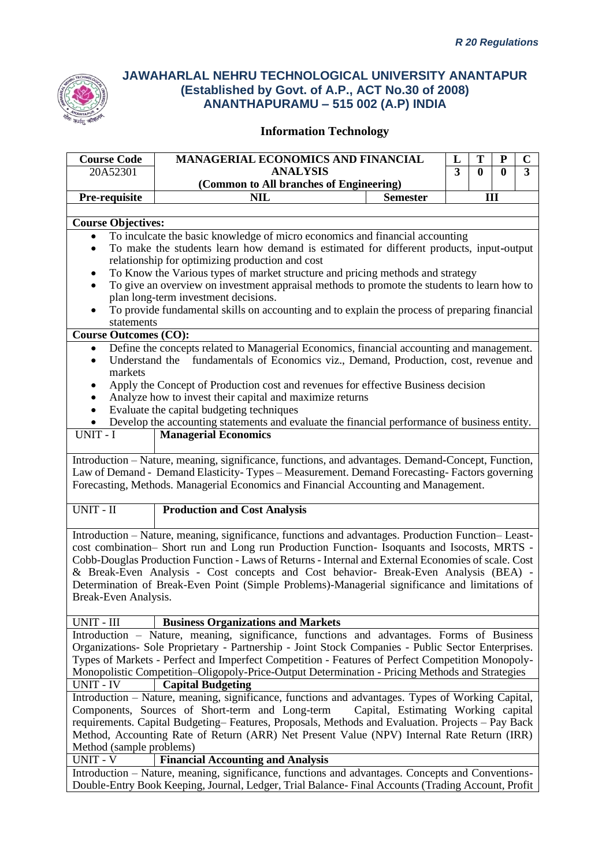

| <b>Course Code</b>                                                                                   | <b>MANAGERIAL ECONOMICS AND FINANCIAL</b><br>T<br>${\bf P}$<br>L                                                                                                                                                                                                                         |                                     | $\mathbf C$ |              |              |                         |
|------------------------------------------------------------------------------------------------------|------------------------------------------------------------------------------------------------------------------------------------------------------------------------------------------------------------------------------------------------------------------------------------------|-------------------------------------|-------------|--------------|--------------|-------------------------|
| 20A52301                                                                                             | <b>ANALYSIS</b>                                                                                                                                                                                                                                                                          |                                     | 3           | $\mathbf{0}$ | $\mathbf{0}$ | $\overline{\mathbf{3}}$ |
|                                                                                                      | (Common to All branches of Engineering)                                                                                                                                                                                                                                                  |                                     |             |              |              |                         |
| Pre-requisite                                                                                        | <b>NIL</b>                                                                                                                                                                                                                                                                               | <b>Semester</b>                     |             | III          |              |                         |
|                                                                                                      |                                                                                                                                                                                                                                                                                          |                                     |             |              |              |                         |
| <b>Course Objectives:</b>                                                                            |                                                                                                                                                                                                                                                                                          |                                     |             |              |              |                         |
| To inculcate the basic knowledge of micro economics and financial accounting<br>$\bullet$            |                                                                                                                                                                                                                                                                                          |                                     |             |              |              |                         |
| To make the students learn how demand is estimated for different products, input-output<br>$\bullet$ |                                                                                                                                                                                                                                                                                          |                                     |             |              |              |                         |
|                                                                                                      | relationship for optimizing production and cost                                                                                                                                                                                                                                          |                                     |             |              |              |                         |
| ٠                                                                                                    | To Know the Various types of market structure and pricing methods and strategy                                                                                                                                                                                                           |                                     |             |              |              |                         |
| $\bullet$                                                                                            | To give an overview on investment appraisal methods to promote the students to learn how to                                                                                                                                                                                              |                                     |             |              |              |                         |
|                                                                                                      | plan long-term investment decisions.                                                                                                                                                                                                                                                     |                                     |             |              |              |                         |
| $\bullet$                                                                                            | To provide fundamental skills on accounting and to explain the process of preparing financial                                                                                                                                                                                            |                                     |             |              |              |                         |
| statements                                                                                           |                                                                                                                                                                                                                                                                                          |                                     |             |              |              |                         |
| <b>Course Outcomes (CO):</b>                                                                         |                                                                                                                                                                                                                                                                                          |                                     |             |              |              |                         |
| $\bullet$                                                                                            | Define the concepts related to Managerial Economics, financial accounting and management.                                                                                                                                                                                                |                                     |             |              |              |                         |
| Understand the<br>٠                                                                                  | fundamentals of Economics viz., Demand, Production, cost, revenue and                                                                                                                                                                                                                    |                                     |             |              |              |                         |
| markets                                                                                              |                                                                                                                                                                                                                                                                                          |                                     |             |              |              |                         |
|                                                                                                      | Apply the Concept of Production cost and revenues for effective Business decision                                                                                                                                                                                                        |                                     |             |              |              |                         |
| $\bullet$                                                                                            | Analyze how to invest their capital and maximize returns                                                                                                                                                                                                                                 |                                     |             |              |              |                         |
| $\bullet$                                                                                            | Evaluate the capital budgeting techniques                                                                                                                                                                                                                                                |                                     |             |              |              |                         |
| Develop the accounting statements and evaluate the financial performance of business entity.         |                                                                                                                                                                                                                                                                                          |                                     |             |              |              |                         |
| UNIT - I                                                                                             | <b>Managerial Economics</b>                                                                                                                                                                                                                                                              |                                     |             |              |              |                         |
|                                                                                                      | Introduction - Nature, meaning, significance, functions, and advantages. Demand-Concept, Function,<br>Law of Demand - Demand Elasticity-Types - Measurement. Demand Forecasting-Factors governing<br>Forecasting, Methods. Managerial Economics and Financial Accounting and Management. |                                     |             |              |              |                         |
| UNIT - II                                                                                            | <b>Production and Cost Analysis</b>                                                                                                                                                                                                                                                      |                                     |             |              |              |                         |
|                                                                                                      | Introduction - Nature, meaning, significance, functions and advantages. Production Function-Least-                                                                                                                                                                                       |                                     |             |              |              |                         |
|                                                                                                      | cost combination- Short run and Long run Production Function- Isoquants and Isocosts, MRTS -                                                                                                                                                                                             |                                     |             |              |              |                         |
|                                                                                                      | Cobb-Douglas Production Function - Laws of Returns - Internal and External Economies of scale. Cost                                                                                                                                                                                      |                                     |             |              |              |                         |
|                                                                                                      | & Break-Even Analysis - Cost concepts and Cost behavior- Break-Even Analysis (BEA) -                                                                                                                                                                                                     |                                     |             |              |              |                         |
|                                                                                                      | Determination of Break-Even Point (Simple Problems)-Managerial significance and limitations of                                                                                                                                                                                           |                                     |             |              |              |                         |
| Break-Even Analysis.                                                                                 |                                                                                                                                                                                                                                                                                          |                                     |             |              |              |                         |
|                                                                                                      |                                                                                                                                                                                                                                                                                          |                                     |             |              |              |                         |
| UNIT - III                                                                                           | <b>Business Organizations and Markets</b>                                                                                                                                                                                                                                                |                                     |             |              |              |                         |
|                                                                                                      | Introduction - Nature, meaning, significance, functions and advantages. Forms of Business                                                                                                                                                                                                |                                     |             |              |              |                         |
|                                                                                                      | Organizations- Sole Proprietary - Partnership - Joint Stock Companies - Public Sector Enterprises.                                                                                                                                                                                       |                                     |             |              |              |                         |
|                                                                                                      | Types of Markets - Perfect and Imperfect Competition - Features of Perfect Competition Monopoly-                                                                                                                                                                                         |                                     |             |              |              |                         |
| Monopolistic Competition-Oligopoly-Price-Output Determination - Pricing Methods and Strategies       |                                                                                                                                                                                                                                                                                          |                                     |             |              |              |                         |
| <b>UNIT - IV</b>                                                                                     | <b>Capital Budgeting</b>                                                                                                                                                                                                                                                                 |                                     |             |              |              |                         |
|                                                                                                      | Introduction – Nature, meaning, significance, functions and advantages. Types of Working Capital,                                                                                                                                                                                        |                                     |             |              |              |                         |
|                                                                                                      | Components, Sources of Short-term and Long-term                                                                                                                                                                                                                                          | Capital, Estimating Working capital |             |              |              |                         |
| requirements. Capital Budgeting-Features, Proposals, Methods and Evaluation. Projects - Pay Back     |                                                                                                                                                                                                                                                                                          |                                     |             |              |              |                         |
| Method, Accounting Rate of Return (ARR) Net Present Value (NPV) Internal Rate Return (IRR)           |                                                                                                                                                                                                                                                                                          |                                     |             |              |              |                         |
| Method (sample problems)                                                                             |                                                                                                                                                                                                                                                                                          |                                     |             |              |              |                         |
| UNIT - V                                                                                             | <b>Financial Accounting and Analysis</b>                                                                                                                                                                                                                                                 |                                     |             |              |              |                         |
|                                                                                                      | Introduction – Nature, meaning, significance, functions and advantages. Concepts and Conventions-                                                                                                                                                                                        |                                     |             |              |              |                         |
|                                                                                                      | Double-Entry Book Keeping, Journal, Ledger, Trial Balance-Final Accounts (Trading Account, Profit                                                                                                                                                                                        |                                     |             |              |              |                         |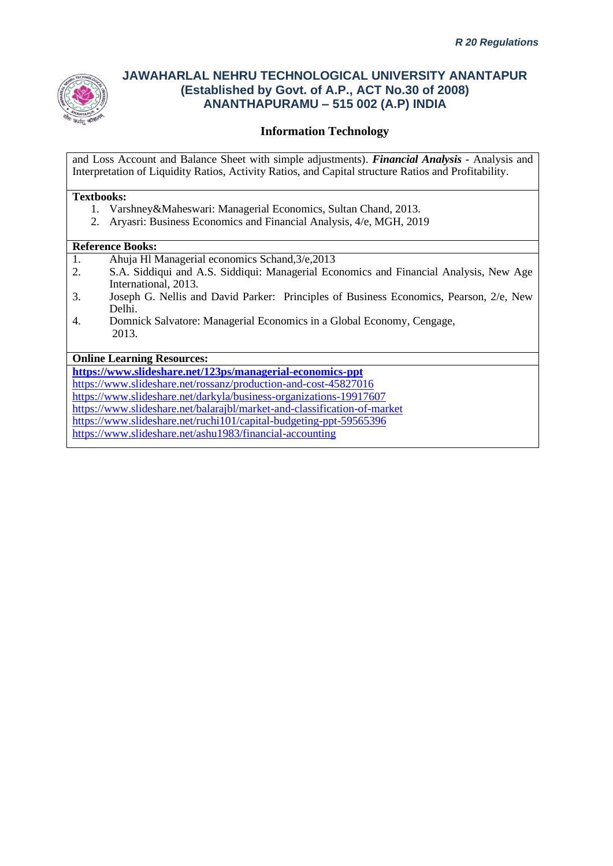

### **Information Technology**

and Loss Account and Balance Sheet with simple adjustments). *Financial Analysis -* Analysis and Interpretation of Liquidity Ratios, Activity Ratios, and Capital structure Ratios and Profitability.

#### **Textbooks:**

- 1. Varshney&Maheswari: Managerial Economics, Sultan Chand, 2013.
- 2. Aryasri: Business Economics and Financial Analysis, 4/e, MGH, 2019

#### **Reference Books:**

- 1. Ahuja Hl Managerial economics Schand,3/e,2013
- 2. S.A. Siddiqui and A.S. Siddiqui: Managerial Economics and Financial Analysis, New Age International, 2013.
- 3. Joseph G. Nellis and David Parker: Principles of Business Economics, Pearson, 2/e, New Delhi.
- 4. Domnick Salvatore: Managerial Economics in a Global Economy, Cengage, 2013.

#### **Online Learning Resources:**

**<https://www.slideshare.net/123ps/managerial-economics-ppt>** <https://www.slideshare.net/rossanz/production-and-cost-45827016> <https://www.slideshare.net/darkyla/business-organizations-19917607> <https://www.slideshare.net/balarajbl/market-and-classification-of-market> <https://www.slideshare.net/ruchi101/capital-budgeting-ppt-59565396>

<https://www.slideshare.net/ashu1983/financial-accounting>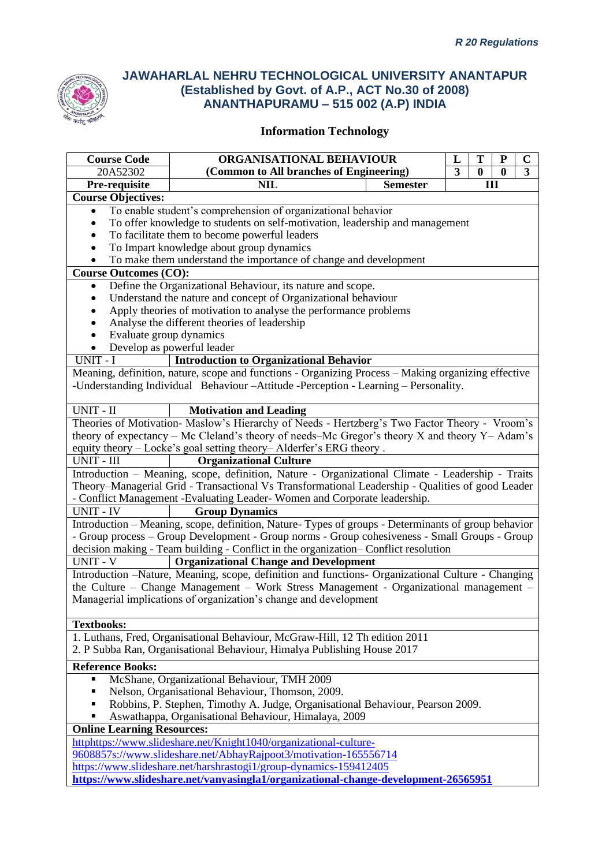

| <b>Course Code</b>                                                                 | ORGANISATIONAL BEHAVIOUR<br>T<br>L<br>P                                                             |  |  |  | $\mathbf C$ |  |
|------------------------------------------------------------------------------------|-----------------------------------------------------------------------------------------------------|--|--|--|-------------|--|
| 20A52302                                                                           | (Common to All branches of Engineering)<br>3<br>$\bf{0}$<br>$\bf{0}$                                |  |  |  | 3           |  |
| Pre-requisite                                                                      | <b>NIL</b><br><b>Semester</b><br>III                                                                |  |  |  |             |  |
| <b>Course Objectives:</b>                                                          |                                                                                                     |  |  |  |             |  |
| $\bullet$                                                                          | To enable student's comprehension of organizational behavior                                        |  |  |  |             |  |
|                                                                                    | To offer knowledge to students on self-motivation, leadership and management                        |  |  |  |             |  |
| To facilitate them to become powerful leaders                                      |                                                                                                     |  |  |  |             |  |
|                                                                                    | To Impart knowledge about group dynamics                                                            |  |  |  |             |  |
|                                                                                    | To make them understand the importance of change and development                                    |  |  |  |             |  |
| <b>Course Outcomes (CO):</b>                                                       |                                                                                                     |  |  |  |             |  |
| $\bullet$                                                                          | Define the Organizational Behaviour, its nature and scope.                                          |  |  |  |             |  |
|                                                                                    | Understand the nature and concept of Organizational behaviour                                       |  |  |  |             |  |
|                                                                                    | Apply theories of motivation to analyse the performance problems                                    |  |  |  |             |  |
|                                                                                    | Analyse the different theories of leadership                                                        |  |  |  |             |  |
| Evaluate group dynamics                                                            |                                                                                                     |  |  |  |             |  |
|                                                                                    | Develop as powerful leader                                                                          |  |  |  |             |  |
| UNIT - I                                                                           | <b>Introduction to Organizational Behavior</b>                                                      |  |  |  |             |  |
|                                                                                    | Meaning, definition, nature, scope and functions - Organizing Process - Making organizing effective |  |  |  |             |  |
|                                                                                    | -Understanding Individual Behaviour-Attitude -Perception - Learning - Personality.                  |  |  |  |             |  |
| UNIT - II                                                                          | <b>Motivation and Leading</b>                                                                       |  |  |  |             |  |
|                                                                                    | Theories of Motivation- Maslow's Hierarchy of Needs - Hertzberg's Two Factor Theory - Vroom's       |  |  |  |             |  |
|                                                                                    | theory of expectancy – Mc Cleland's theory of needs–Mc Gregor's theory $X$ and theory $Y$ – Adam's  |  |  |  |             |  |
|                                                                                    | equity theory - Locke's goal setting theory- Alderfer's ERG theory.                                 |  |  |  |             |  |
| UNIT - III                                                                         | <b>Organizational Culture</b>                                                                       |  |  |  |             |  |
|                                                                                    | Introduction - Meaning, scope, definition, Nature - Organizational Climate - Leadership - Traits    |  |  |  |             |  |
|                                                                                    | Theory–Managerial Grid - Transactional Vs Transformational Leadership - Qualities of good Leader    |  |  |  |             |  |
|                                                                                    |                                                                                                     |  |  |  |             |  |
| <b>UNIT - IV</b>                                                                   | - Conflict Management -Evaluating Leader-Women and Corporate leadership.<br><b>Group Dynamics</b>   |  |  |  |             |  |
|                                                                                    | Introduction - Meaning, scope, definition, Nature-Types of groups - Determinants of group behavior  |  |  |  |             |  |
|                                                                                    | - Group process - Group Development - Group norms - Group cohesiveness - Small Groups - Group       |  |  |  |             |  |
|                                                                                    | decision making - Team building - Conflict in the organization- Conflict resolution                 |  |  |  |             |  |
| <b>UNIT - V</b>                                                                    | <b>Organizational Change and Development</b>                                                        |  |  |  |             |  |
|                                                                                    | Introduction -Nature, Meaning, scope, definition and functions- Organizational Culture - Changing   |  |  |  |             |  |
|                                                                                    | the Culture - Change Management - Work Stress Management - Organizational management -              |  |  |  |             |  |
|                                                                                    | Managerial implications of organization's change and development                                    |  |  |  |             |  |
|                                                                                    |                                                                                                     |  |  |  |             |  |
| <b>Textbooks:</b>                                                                  |                                                                                                     |  |  |  |             |  |
|                                                                                    | 1. Luthans, Fred, Organisational Behaviour, McGraw-Hill, 12 Th edition 2011                         |  |  |  |             |  |
|                                                                                    | 2. P Subba Ran, Organisational Behaviour, Himalya Publishing House 2017                             |  |  |  |             |  |
| <b>Reference Books:</b>                                                            |                                                                                                     |  |  |  |             |  |
| Ξ                                                                                  | McShane, Organizational Behaviour, TMH 2009                                                         |  |  |  |             |  |
| Nelson, Organisational Behaviour, Thomson, 2009.                                   |                                                                                                     |  |  |  |             |  |
| Robbins, P. Stephen, Timothy A. Judge, Organisational Behaviour, Pearson 2009.     |                                                                                                     |  |  |  |             |  |
| Aswathappa, Organisational Behaviour, Himalaya, 2009                               |                                                                                                     |  |  |  |             |  |
| <b>Online Learning Resources:</b>                                                  |                                                                                                     |  |  |  |             |  |
| httphttps://www.slideshare.net/Knight1040/organizational-culture-                  |                                                                                                     |  |  |  |             |  |
| 9608857s://www.slideshare.net/AbhayRajpoot3/motivation-165556714                   |                                                                                                     |  |  |  |             |  |
|                                                                                    | https://www.slideshare.net/harshrastogi1/group-dynamics-159412405                                   |  |  |  |             |  |
| https://www.slideshare.net/vanyasingla1/organizational-change-development-26565951 |                                                                                                     |  |  |  |             |  |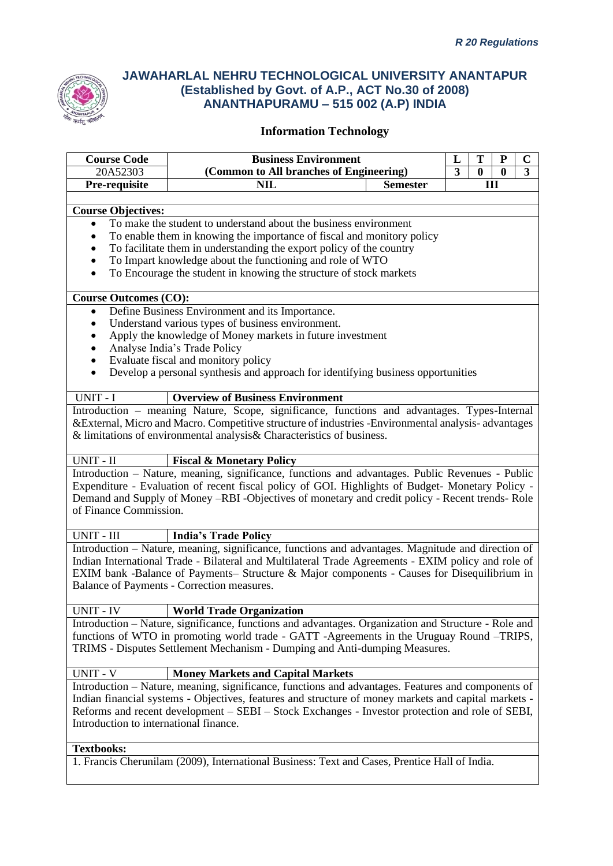

| <b>Course Code</b>                                                                                   | <b>Business Environment</b>                                                                           |  | L | Т        | ${\bf P}$ | C |  |
|------------------------------------------------------------------------------------------------------|-------------------------------------------------------------------------------------------------------|--|---|----------|-----------|---|--|
| 20A52303                                                                                             | (Common to All branches of Engineering)<br>$\overline{\mathbf{3}}$<br>$\bf{0}$                        |  |   | $\bf{0}$ | 3         |   |  |
| Pre-requisite                                                                                        | <b>NIL</b><br><b>Semester</b><br>Ш                                                                    |  |   |          |           |   |  |
|                                                                                                      |                                                                                                       |  |   |          |           |   |  |
| <b>Course Objectives:</b>                                                                            |                                                                                                       |  |   |          |           |   |  |
| To make the student to understand about the business environment<br>$\bullet$                        |                                                                                                       |  |   |          |           |   |  |
| To enable them in knowing the importance of fiscal and monitory policy<br>$\bullet$                  |                                                                                                       |  |   |          |           |   |  |
|                                                                                                      | To facilitate them in understanding the export policy of the country                                  |  |   |          |           |   |  |
| $\bullet$                                                                                            | To Impart knowledge about the functioning and role of WTO                                             |  |   |          |           |   |  |
| $\bullet$                                                                                            | To Encourage the student in knowing the structure of stock markets                                    |  |   |          |           |   |  |
|                                                                                                      |                                                                                                       |  |   |          |           |   |  |
| <b>Course Outcomes (CO):</b>                                                                         |                                                                                                       |  |   |          |           |   |  |
|                                                                                                      | Define Business Environment and its Importance.                                                       |  |   |          |           |   |  |
|                                                                                                      | Understand various types of business environment.                                                     |  |   |          |           |   |  |
|                                                                                                      | Apply the knowledge of Money markets in future investment                                             |  |   |          |           |   |  |
|                                                                                                      | Analyse India's Trade Policy                                                                          |  |   |          |           |   |  |
|                                                                                                      | Evaluate fiscal and monitory policy                                                                   |  |   |          |           |   |  |
| $\bullet$                                                                                            | Develop a personal synthesis and approach for identifying business opportunities                      |  |   |          |           |   |  |
| UNIT - I                                                                                             | <b>Overview of Business Environment</b>                                                               |  |   |          |           |   |  |
|                                                                                                      | Introduction – meaning Nature, Scope, significance, functions and advantages. Types-Internal          |  |   |          |           |   |  |
|                                                                                                      | & External, Micro and Macro. Competitive structure of industries - Environmental analysis- advantages |  |   |          |           |   |  |
|                                                                                                      | & limitations of environmental analysis& Characteristics of business.                                 |  |   |          |           |   |  |
|                                                                                                      |                                                                                                       |  |   |          |           |   |  |
| UNIT - II                                                                                            | <b>Fiscal &amp; Monetary Policy</b>                                                                   |  |   |          |           |   |  |
|                                                                                                      | Introduction - Nature, meaning, significance, functions and advantages. Public Revenues - Public      |  |   |          |           |   |  |
|                                                                                                      | Expenditure - Evaluation of recent fiscal policy of GOI. Highlights of Budget- Monetary Policy -      |  |   |          |           |   |  |
|                                                                                                      | Demand and Supply of Money -RBI -Objectives of monetary and credit policy - Recent trends- Role       |  |   |          |           |   |  |
| of Finance Commission.                                                                               |                                                                                                       |  |   |          |           |   |  |
| UNIT - III                                                                                           | <b>India's Trade Policy</b>                                                                           |  |   |          |           |   |  |
|                                                                                                      | Introduction - Nature, meaning, significance, functions and advantages. Magnitude and direction of    |  |   |          |           |   |  |
|                                                                                                      | Indian International Trade - Bilateral and Multilateral Trade Agreements - EXIM policy and role of    |  |   |          |           |   |  |
|                                                                                                      | EXIM bank -Balance of Payments- Structure & Major components - Causes for Disequilibrium in           |  |   |          |           |   |  |
|                                                                                                      | Balance of Payments - Correction measures.                                                            |  |   |          |           |   |  |
|                                                                                                      |                                                                                                       |  |   |          |           |   |  |
| <b>UNIT - IV</b>                                                                                     | <b>World Trade Organization</b>                                                                       |  |   |          |           |   |  |
|                                                                                                      | Introduction - Nature, significance, functions and advantages. Organization and Structure - Role and  |  |   |          |           |   |  |
|                                                                                                      | functions of WTO in promoting world trade - GATT -Agreements in the Uruguay Round -TRIPS,             |  |   |          |           |   |  |
| TRIMS - Disputes Settlement Mechanism - Dumping and Anti-dumping Measures.                           |                                                                                                       |  |   |          |           |   |  |
|                                                                                                      |                                                                                                       |  |   |          |           |   |  |
| <b>UNIT - V</b>                                                                                      | <b>Money Markets and Capital Markets</b>                                                              |  |   |          |           |   |  |
|                                                                                                      | Introduction – Nature, meaning, significance, functions and advantages. Features and components of    |  |   |          |           |   |  |
| Indian financial systems - Objectives, features and structure of money markets and capital markets - |                                                                                                       |  |   |          |           |   |  |
| Reforms and recent development – SEBI – Stock Exchanges - Investor protection and role of SEBI,      |                                                                                                       |  |   |          |           |   |  |
| Introduction to international finance.                                                               |                                                                                                       |  |   |          |           |   |  |
|                                                                                                      |                                                                                                       |  |   |          |           |   |  |
| <b>Textbooks:</b>                                                                                    |                                                                                                       |  |   |          |           |   |  |
|                                                                                                      | 1. Francis Cherunilam (2009), International Business: Text and Cases, Prentice Hall of India.         |  |   |          |           |   |  |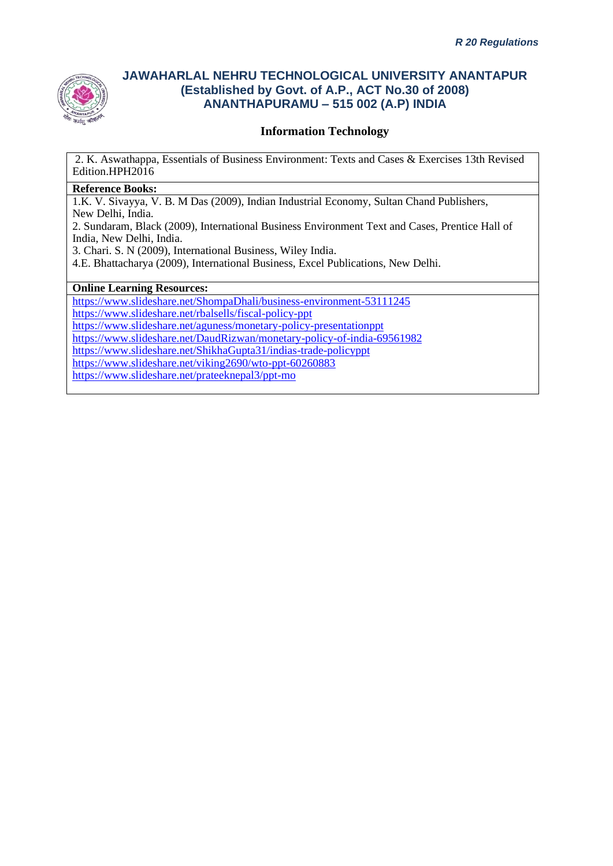

### **Information Technology**

2. K. Aswathappa, Essentials of Business Environment: Texts and Cases & Exercises 13th Revised Edition.HPH2016

#### **Reference Books:**

1.K. V. Sivayya, V. B. M Das (2009), Indian Industrial Economy, Sultan Chand Publishers, New Delhi, India.

2. Sundaram, Black (2009), International Business Environment Text and Cases, Prentice Hall of India, New Delhi, India.

3. Chari. S. N (2009), International Business, Wiley India.

4.E. Bhattacharya (2009), International Business, Excel Publications, New Delhi.

#### **Online Learning Resources:**

<https://www.slideshare.net/ShompaDhali/business-environment-53111245>

<https://www.slideshare.net/rbalsells/fiscal-policy-ppt>

<https://www.slideshare.net/aguness/monetary-policy-presentationppt>

<https://www.slideshare.net/DaudRizwan/monetary-policy-of-india-69561982>

<https://www.slideshare.net/ShikhaGupta31/indias-trade-policyppt>

<https://www.slideshare.net/viking2690/wto-ppt-60260883>

<https://www.slideshare.net/prateeknepal3/ppt-mo>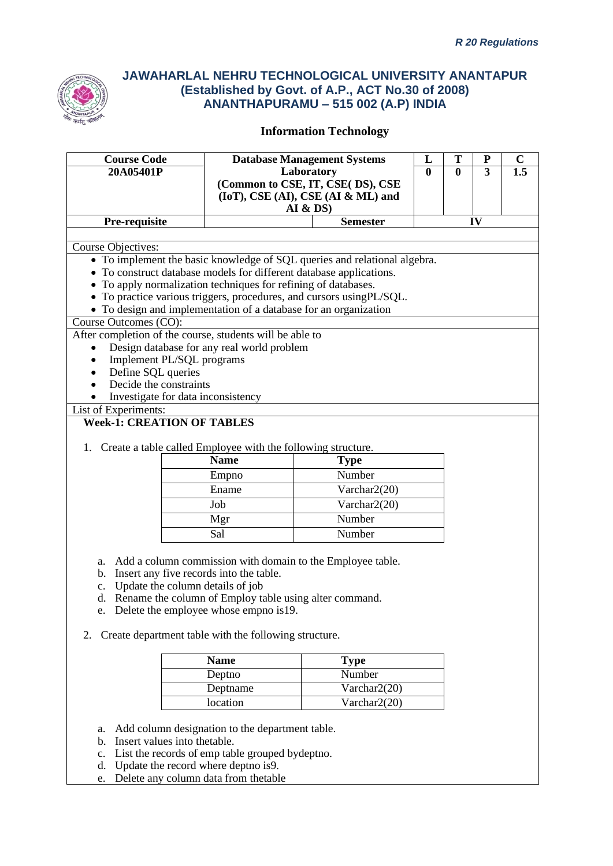

| <b>Course Code</b><br>20A05401P                                                   | <b>Database Management Systems</b><br>Laboratory |                                                                           |  | T<br>$\bf{0}$ | ${\bf P}$<br>$\overline{3}$ | $\mathbf C$<br>$\overline{1.5}$ |
|-----------------------------------------------------------------------------------|--------------------------------------------------|---------------------------------------------------------------------------|--|---------------|-----------------------------|---------------------------------|
|                                                                                   |                                                  | (Common to CSE, IT, CSE(DS), CSE                                          |  |               |                             |                                 |
|                                                                                   |                                                  | (IoT), CSE (AI), CSE (AI & ML) and                                        |  |               |                             |                                 |
|                                                                                   |                                                  | AI & DS                                                                   |  |               |                             |                                 |
| Pre-requisite                                                                     |                                                  | <b>Semester</b>                                                           |  |               | IV                          |                                 |
| Course Objectives:                                                                |                                                  |                                                                           |  |               |                             |                                 |
|                                                                                   |                                                  | • To implement the basic knowledge of SQL queries and relational algebra. |  |               |                             |                                 |
| • To construct database models for different database applications.               |                                                  |                                                                           |  |               |                             |                                 |
| • To apply normalization techniques for refining of databases.                    |                                                  |                                                                           |  |               |                             |                                 |
|                                                                                   |                                                  | • To practice various triggers, procedures, and cursors usingPL/SQL.      |  |               |                             |                                 |
| • To design and implementation of a database for an organization                  |                                                  |                                                                           |  |               |                             |                                 |
| Course Outcomes (CO):<br>After completion of the course, students will be able to |                                                  |                                                                           |  |               |                             |                                 |
| Design database for any real world problem<br>$\bullet$                           |                                                  |                                                                           |  |               |                             |                                 |
| Implement PL/SQL programs<br>$\bullet$                                            |                                                  |                                                                           |  |               |                             |                                 |
| Define SQL queries<br>$\bullet$                                                   |                                                  |                                                                           |  |               |                             |                                 |
| Decide the constraints                                                            |                                                  |                                                                           |  |               |                             |                                 |
| Investigate for data inconsistency                                                |                                                  |                                                                           |  |               |                             |                                 |
| List of Experiments:                                                              |                                                  |                                                                           |  |               |                             |                                 |
| <b>Week-1: CREATION OF TABLES</b>                                                 |                                                  |                                                                           |  |               |                             |                                 |
| 1. Create a table called Employee with the following structure.                   |                                                  |                                                                           |  |               |                             |                                 |
|                                                                                   | <b>Name</b>                                      | <b>Type</b>                                                               |  |               |                             |                                 |
|                                                                                   | Empno                                            | Number                                                                    |  |               |                             |                                 |
|                                                                                   | Ename                                            | Varchar2(20)                                                              |  |               |                             |                                 |
|                                                                                   | Job                                              | Varchar2(20)                                                              |  |               |                             |                                 |
|                                                                                   | Mgr                                              | Number                                                                    |  |               |                             |                                 |
|                                                                                   | Sal                                              | Number                                                                    |  |               |                             |                                 |
|                                                                                   |                                                  |                                                                           |  |               |                             |                                 |
| a.                                                                                |                                                  | Add a column commission with domain to the Employee table.                |  |               |                             |                                 |
| b. Insert any five records into the table.                                        |                                                  |                                                                           |  |               |                             |                                 |
| Update the column details of job<br>c.                                            |                                                  |                                                                           |  |               |                             |                                 |
| d. Rename the column of Employ table using alter command.                         |                                                  |                                                                           |  |               |                             |                                 |
| e. Delete the employee whose empno is 19.                                         |                                                  |                                                                           |  |               |                             |                                 |
|                                                                                   |                                                  |                                                                           |  |               |                             |                                 |
| Create department table with the following structure.<br>2.                       |                                                  |                                                                           |  |               |                             |                                 |
|                                                                                   | <b>Name</b>                                      | <b>Type</b>                                                               |  |               |                             |                                 |
|                                                                                   | Deptno                                           | Number                                                                    |  |               |                             |                                 |
|                                                                                   | Deptname                                         | Varchar2(20)                                                              |  |               |                             |                                 |
|                                                                                   | Varchar2(20)<br>location                         |                                                                           |  |               |                             |                                 |
|                                                                                   |                                                  |                                                                           |  |               |                             |                                 |
| a.                                                                                | Add column designation to the department table.  |                                                                           |  |               |                             |                                 |
| Insert values into thetable.<br>b.                                                |                                                  |                                                                           |  |               |                             |                                 |
| c.                                                                                | List the records of emp table grouped bydeptno.  |                                                                           |  |               |                             |                                 |

- d. Update the record where deptno is9.
- e. Delete any column data from thetable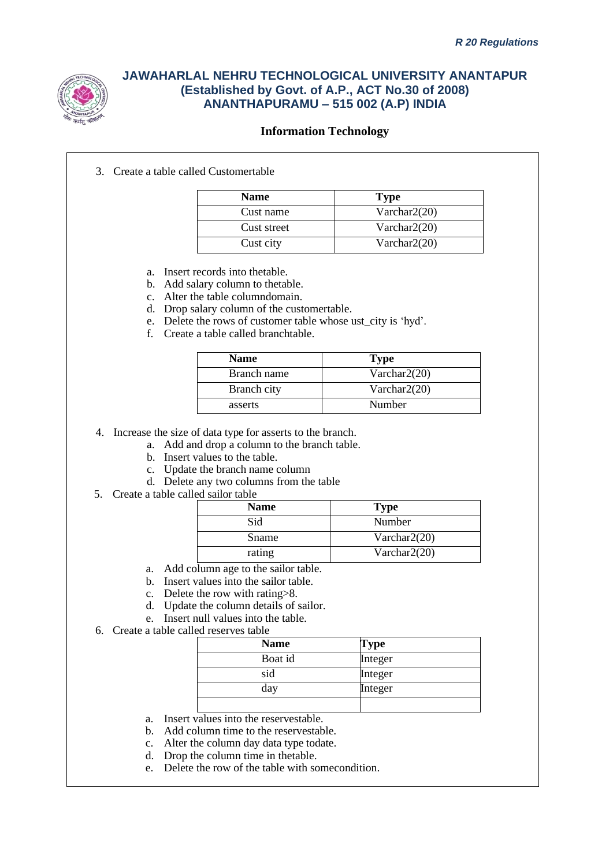

### **Information Technology**

3. Create a table called Customertable

| <b>Name</b> | <b>Type</b>     |
|-------------|-----------------|
| Cust name   | Varchar $2(20)$ |
| Cust street | Varchar $2(20)$ |
| Cust city   | Varchar $2(20)$ |

- a. Insert records into thetable.
- b. Add salary column to thetable.
- c. Alter the table columndomain.
- d. Drop salary column of the customertable.
- e. Delete the rows of customer table whose ust\_city is 'hyd'.
- f. Create a table called branchtable.

| <b>Name</b> | <b>Type</b>     |
|-------------|-----------------|
| Branch name | Varchar $2(20)$ |
| Branch city | Varchar $2(20)$ |
| asserts     | Number          |

4. Increase the size of data type for asserts to the branch.

- a. Add and drop a column to the branch table.
	- b. Insert values to the table.
	- c. Update the branch name column
	- d. Delete any two columns from the table
- 5. Create a table called sailor table

| <b>Name</b> | <b>Type</b>     |
|-------------|-----------------|
| Sid         | Number          |
| Sname       | Varchar $2(20)$ |
| rating      | Varchar $2(20)$ |

- a. Add column age to the sailor table.
- b. Insert values into the sailor table.
- c. Delete the row with rating>8.
- d. Update the column details of sailor.
- e. Insert null values into the table.
- 6. Create a table called reserves table

| <b>Name</b> | Type    |
|-------------|---------|
| Boat id     | Integer |
| sid         | Integer |
| day         | Integer |
|             |         |

- a. Insert values into the reservestable.
- b. Add column time to the reservestable.
- c. Alter the column day data type todate.
- d. Drop the column time in thetable.
- e. Delete the row of the table with somecondition.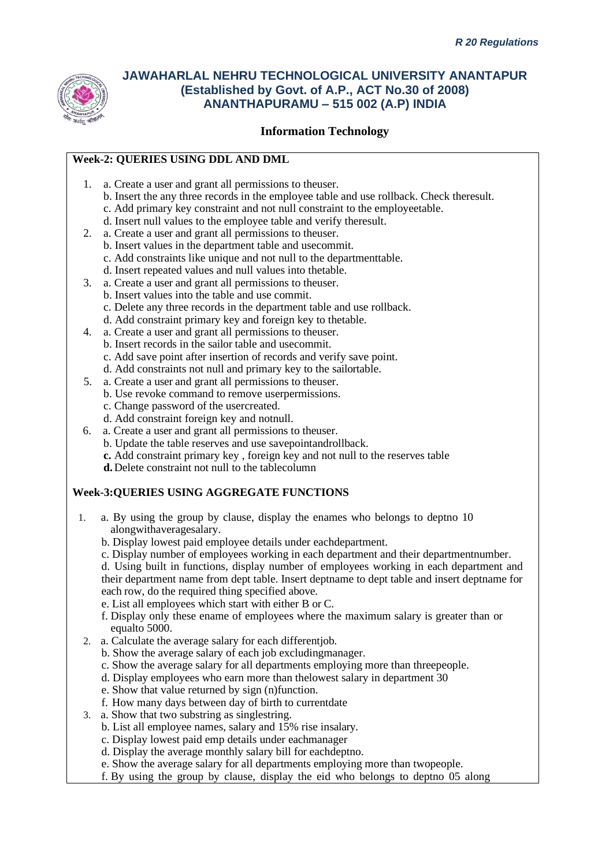

### **Information Technology**

### **Week-2: QUERIES USING DDL AND DML**

- 1. a. Create a user and grant all permissions to theuser.
	- b. Insert the any three records in the employee table and use rollback. Check theresult. c. Add primary key constraint and not null constraint to the employeetable.
	- d. Insert null values to the employee table and verify theresult.
- 2. a. Create a user and grant all permissions to theuser.
	- b. Insert values in the department table and usecommit.
		- c. Add constraints like unique and not null to the departmenttable.
	- d. Insert repeated values and null values into thetable.
- 3. a. Create a user and grant all permissions to theuser.
	- b. Insert values into the table and use commit.
	- c. Delete any three records in the department table and use rollback.
	- d. Add constraint primary key and foreign key to thetable.
- 4. a. Create a user and grant all permissions to theuser.
	- b. Insert records in the sailor table and usecommit.
	- c. Add save point after insertion of records and verify save point.
	- d. Add constraints not null and primary key to the sailortable.
- 5. a. Create a user and grant all permissions to theuser.
	- b. Use revoke command to remove userpermissions.
		- c. Change password of the usercreated.
	- d. Add constraint foreign key and notnull.
- 6. a. Create a user and grant all permissions to theuser.
	- b. Update the table reserves and use savepointandrollback.
		- **c.** Add constraint primary key , foreign key and not null to the reserves table
	- **d.**Delete constraint not null to the tablecolumn

#### **Week-3:QUERIES USING AGGREGATE FUNCTIONS**

- 1. a. By using the group by clause, display the enames who belongs to deptno 10 alongwithaveragesalary.
	- b. Display lowest paid employee details under eachdepartment.
	- c. Display number of employees working in each department and their departmentnumber.

d. Using built in functions, display number of employees working in each department and their department name from dept table. Insert deptname to dept table and insert deptname for each row, do the required thing specified above.

- e. List all employees which start with either B or C.
- f. Display only these ename of employees where the maximum salary is greater than or equalto 5000.
- 2. a. Calculate the average salary for each differentjob.
	- b. Show the average salary of each job excludingmanager.
	- c. Show the average salary for all departments employing more than threepeople.
	- d. Display employees who earn more than thelowest salary in department 30
	- e. Show that value returned by sign (n)function.
	- f. How many days between day of birth to currentdate
- 3. a. Show that two substring as singlestring.
	- b. List all employee names, salary and 15% rise insalary.
	- c. Display lowest paid emp details under eachmanager
	- d. Display the average monthly salary bill for eachdeptno.
	- e. Show the average salary for all departments employing more than twopeople.
	- f. By using the group by clause, display the eid who belongs to deptno 05 along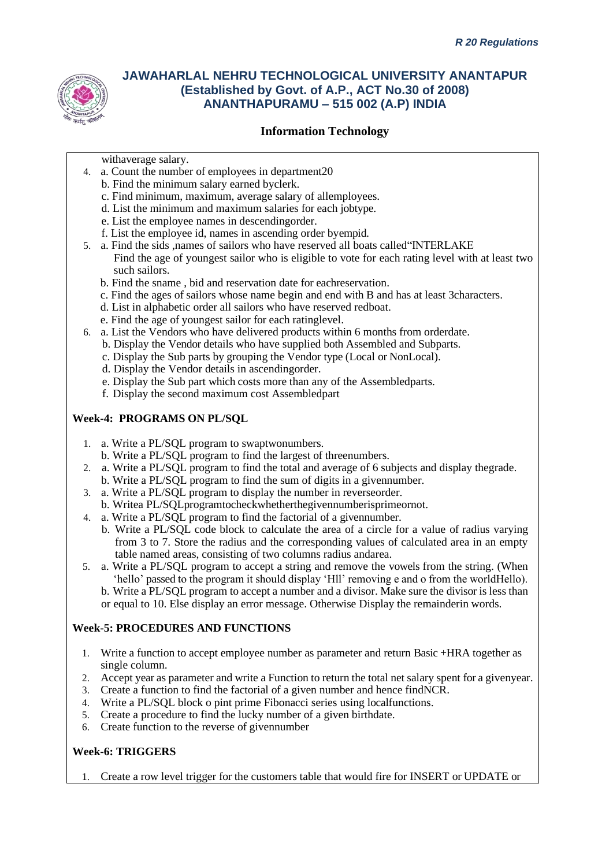

### **Information Technology**

withaverage salary.

- 4. a. Count the number of employees in department20
	- b. Find the minimum salary earned byclerk.
	- c. Find minimum, maximum, average salary of allemployees.
	- d. List the minimum and maximum salaries for each jobtype.
	- e. List the employee names in descendingorder.
	- f. List the employee id, names in ascending order byempid.
- 5. a. Find the sids ,names of sailors who have reserved all boats called"INTERLAKE Find the age of youngest sailor who is eligible to vote for each rating level with at least two such sailors.
	- b. Find the sname , bid and reservation date for eachreservation.
	- c. Find the ages of sailors whose name begin and end with B and has at least 3characters.
	- d. List in alphabetic order all sailors who have reserved redboat.
	- e. Find the age of youngest sailor for each ratinglevel.
- 6. a. List the Vendors who have delivered products within 6 months from orderdate.
	- b. Display the Vendor details who have supplied both Assembled and Subparts.
	- c. Display the Sub parts by grouping the Vendor type (Local or NonLocal).
	- d. Display the Vendor details in ascendingorder.
	- e. Display the Sub part which costs more than any of the Assembledparts.
	- f. Display the second maximum cost Assembledpart

#### **Week-4: PROGRAMS ON PL/SQL**

- 1. a. Write a PL/SQL program to swaptwonumbers.
	- b. Write a PL/SQL program to find the largest of threenumbers.
- 2. a. Write a PL/SQL program to find the total and average of 6 subjects and display thegrade.
- b. Write a PL/SQL program to find the sum of digits in a givennumber.
- 3. a. Write a PL/SQL program to display the number in reverseorder.
- b. Writea PL/SQLprogramtocheckwhetherthegivennumberisprimeornot.
- 4. a. Write a PL/SQL program to find the factorial of a givennumber.
	- b. Write a PL/SQL code block to calculate the area of a circle for a value of radius varying from 3 to 7. Store the radius and the corresponding values of calculated area in an empty table named areas, consisting of two columns radius andarea.
- 5. a. Write a PL/SQL program to accept a string and remove the vowels from the string. (When 'hello' passed to the program it should display 'Hll' removing e and o from the worldHello).
	- b. Write a PL/SQL program to accept a number and a divisor. Make sure the divisor is less than or equal to 10. Else display an error message. Otherwise Display the remainderin words.

#### **Week-5: PROCEDURES AND FUNCTIONS**

- 1. Write a function to accept employee number as parameter and return Basic +HRA together as single column.
- 2. Accept year as parameter and write a Function to return the total net salary spent for a givenyear.
- 3. Create a function to find the factorial of a given number and hence findNCR.
- 4. Write a PL/SQL block o pint prime Fibonacci series using localfunctions.
- 5. Create a procedure to find the lucky number of a given birthdate.
- 6. Create function to the reverse of givennumber

#### **Week-6: TRIGGERS**

1. Create a row level trigger for the customers table that would fire for INSERT or UPDATE or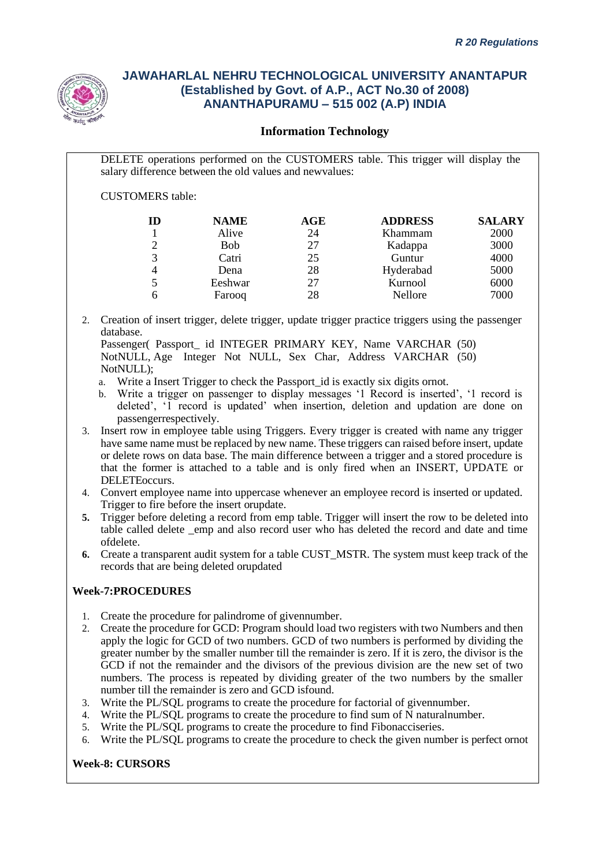

### **Information Technology**

DELETE operations performed on the CUSTOMERS table. This trigger will display the salary difference between the old values and newvalues:

CUSTOMERS table:

| ID             | <b>NAME</b> | AGE | <b>ADDRESS</b> | <b>SALARY</b> |
|----------------|-------------|-----|----------------|---------------|
|                | Alive       | 24  | Khammam        | 2000          |
| $\overline{2}$ | <b>Bob</b>  | 27  | Kadappa        | 3000          |
| 3              | Catri       | 25  | Guntur         | 4000          |
|                | Dena        | 28  | Hyderabad      | 5000          |
| 5              | Eeshwar     | 27  | Kurnool        | 6000          |
| 6              | Farooq      | 28  | Nellore        | 7000          |

2. Creation of insert trigger, delete trigger, update trigger practice triggers using the passenger database.

Passenger( Passport \_ id INTEGER PRIMARY KEY, Name VARCHAR (50) NotNULL, Age Integer Not NULL, Sex Char, Address VARCHAR (50) NotNULL):

- a. Write a Insert Trigger to check the Passport id is exactly six digits ornot.
- b. Write a trigger on passenger to display messages '1 Record is inserted', '1 record is deleted', '1 record is updated' when insertion, deletion and updation are done on passengerrespectively.
- 3. Insert row in employee table using Triggers. Every trigger is created with name any trigger have same name must be replaced by new name. These triggers can raised before insert, update or delete rows on data base. The main difference between a trigger and a stored procedure is that the former is attached to a table and is only fired when an INSERT, UPDATE or DELETEoccurs.
- 4. Convert employee name into uppercase whenever an employee record is inserted or updated. Trigger to fire before the insert orupdate.
- **5.** Trigger before deleting a record from emp table. Trigger will insert the row to be deleted into table called delete \_emp and also record user who has deleted the record and date and time ofdelete.
- **6.** Create a transparent audit system for a table CUST\_MSTR. The system must keep track of the records that are being deleted orupdated

### **Week-7:PROCEDURES**

- 1. Create the procedure for palindrome of givennumber.
- 2. Create the procedure for GCD: Program should load two registers with two Numbers and then apply the logic for GCD of two numbers. GCD of two numbers is performed by dividing the greater number by the smaller number till the remainder is zero. If it is zero, the divisor is the GCD if not the remainder and the divisors of the previous division are the new set of two numbers. The process is repeated by dividing greater of the two numbers by the smaller number till the remainder is zero and GCD isfound.
- 3. Write the PL/SQL programs to create the procedure for factorial of givennumber.
- 4. Write the PL/SQL programs to create the procedure to find sum of N naturalnumber.
- 5. Write the PL/SQL programs to create the procedure to find Fibonacciseries.
- 6. Write the PL/SQL programs to create the procedure to check the given number is perfect ornot

#### **Week-8: CURSORS**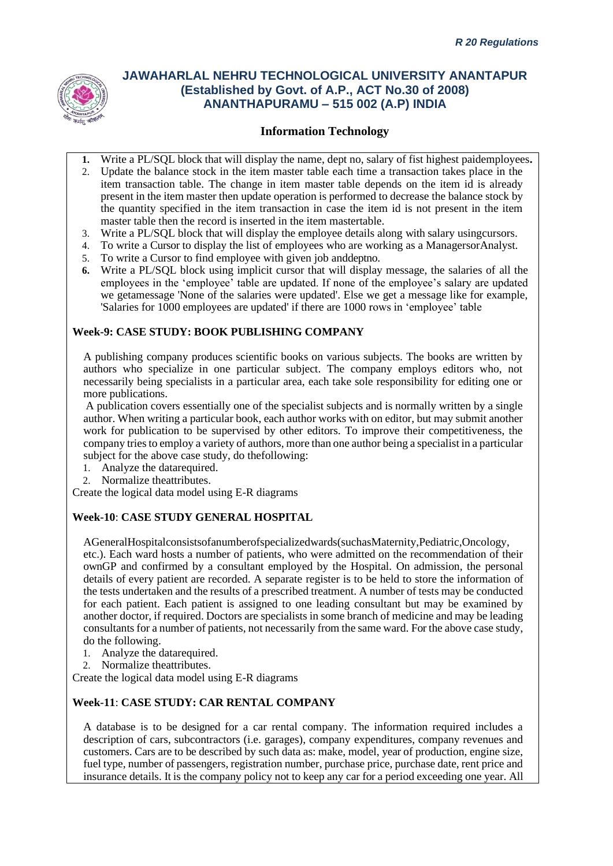

## **Information Technology**

- **1.** Write a PL/SQL block that will display the name, dept no, salary of fist highest paidemployees**.**
- 2. Update the balance stock in the item master table each time a transaction takes place in the item transaction table. The change in item master table depends on the item id is already present in the item master then update operation is performed to decrease the balance stock by the quantity specified in the item transaction in case the item id is not present in the item master table then the record is inserted in the item mastertable.
- 3. Write a PL/SQL block that will display the employee details along with salary usingcursors.
- 4. To write a Cursor to display the list of employees who are working as a ManagersorAnalyst.
- 5. To write a Cursor to find employee with given job anddeptno.
- **6.** Write a PL/SQL block using implicit cursor that will display message, the salaries of all the employees in the 'employee' table are updated. If none of the employee's salary are updated we getamessage 'None of the salaries were updated'. Else we get a message like for example, 'Salaries for 1000 employees are updated' if there are 1000 rows in 'employee' table

#### **Week-9: CASE STUDY: BOOK PUBLISHING COMPANY**

A publishing company produces scientific books on various subjects. The books are written by authors who specialize in one particular subject. The company employs editors who, not necessarily being specialists in a particular area, each take sole responsibility for editing one or more publications.

A publication covers essentially one of the specialist subjects and is normally written by a single author. When writing a particular book, each author works with on editor, but may submit another work for publication to be supervised by other editors. To improve their competitiveness, the company tries to employ a variety of authors, more than one author being a specialist in a particular subject for the above case study, do thefollowing:

- 1. Analyze the datarequired.
- 2. Normalize theattributes.

Create the logical data model using E-R diagrams

#### **Week-10**: **CASE STUDY GENERAL HOSPITAL**

AGeneralHospitalconsistsofanumberofspecializedwards(suchasMaternity,Pediatric,Oncology, etc.). Each ward hosts a number of patients, who were admitted on the recommendation of their ownGP and confirmed by a consultant employed by the Hospital. On admission, the personal details of every patient are recorded. A separate register is to be held to store the information of the tests undertaken and the results of a prescribed treatment. A number of tests may be conducted for each patient. Each patient is assigned to one leading consultant but may be examined by another doctor, if required. Doctors are specialists in some branch of medicine and may be leading consultants for a number of patients, not necessarily from the same ward. For the above case study, do the following.

- 1. Analyze the datarequired.
- 2. Normalize theattributes.

Create the logical data model using E-R diagrams

#### **Week-11**: **CASE STUDY: CAR RENTAL COMPANY**

A database is to be designed for a car rental company. The information required includes a description of cars, subcontractors (i.e. garages), company expenditures, company revenues and customers. Cars are to be described by such data as: make, model, year of production, engine size, fuel type, number of passengers, registration number, purchase price, purchase date, rent price and insurance details. It is the company policy not to keep any car for a period exceeding one year. All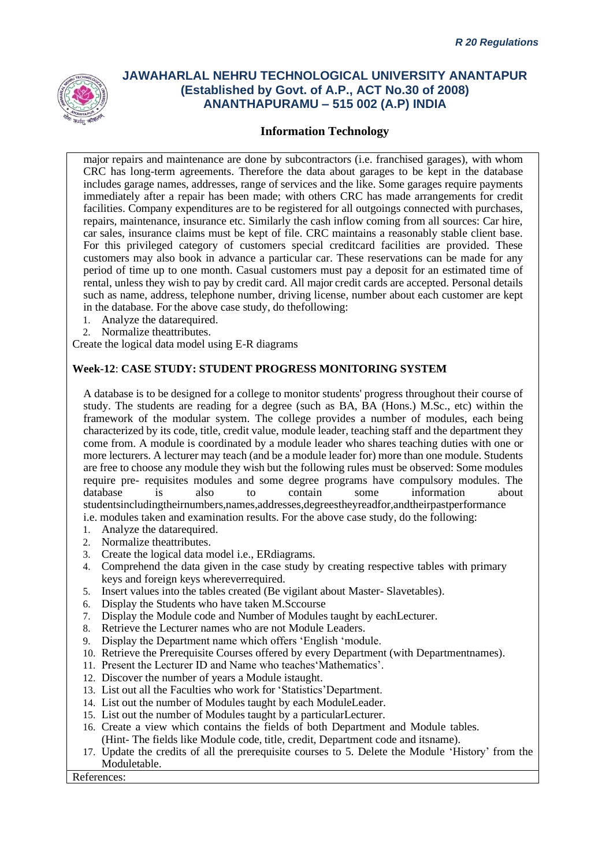

### **Information Technology**

major repairs and maintenance are done by subcontractors (i.e. franchised garages), with whom CRC has long-term agreements. Therefore the data about garages to be kept in the database includes garage names, addresses, range of services and the like. Some garages require payments immediately after a repair has been made; with others CRC has made arrangements for credit facilities. Company expenditures are to be registered for all outgoings connected with purchases, repairs, maintenance, insurance etc. Similarly the cash inflow coming from all sources: Car hire, car sales, insurance claims must be kept of file. CRC maintains a reasonably stable client base. For this privileged category of customers special creditcard facilities are provided. These customers may also book in advance a particular car. These reservations can be made for any period of time up to one month. Casual customers must pay a deposit for an estimated time of rental, unless they wish to pay by credit card. All major credit cards are accepted. Personal details such as name, address, telephone number, driving license, number about each customer are kept in the database. For the above case study, do thefollowing:

- 1. Analyze the datarequired.
- 2. Normalize theattributes.

Create the logical data model using E-R diagrams

#### **Week-12**: **CASE STUDY: STUDENT PROGRESS MONITORING SYSTEM**

A database is to be designed for a college to monitor students' progress throughout their course of study. The students are reading for a degree (such as BA, BA (Hons.) M.Sc., etc) within the framework of the modular system. The college provides a number of modules, each being characterized by its code, title, credit value, module leader, teaching staff and the department they come from. A module is coordinated by a module leader who shares teaching duties with one or more lecturers. A lecturer may teach (and be a module leader for) more than one module. Students are free to choose any module they wish but the following rules must be observed: Some modules require pre- requisites modules and some degree programs have compulsory modules. The database is also to contain some information about studentsincludingtheirnumbers,names,addresses,degreestheyreadfor,andtheirpastperformance i.e. modules taken and examination results. For the above case study, do the following:

- 1. Analyze the datarequired.
- 2. Normalize theattributes.
- 3. Create the logical data model i.e., ERdiagrams.
- 4. Comprehend the data given in the case study by creating respective tables with primary keys and foreign keys whereverrequired.
- 5. Insert values into the tables created (Be vigilant about Master- Slavetables).
- 6. Display the Students who have taken M.Sccourse
- 7. Display the Module code and Number of Modules taught by eachLecturer.
- 8. Retrieve the Lecturer names who are not Module Leaders.
- 9. Display the Department name which offers 'English 'module.
- 10. Retrieve the Prerequisite Courses offered by every Department (with Departmentnames).
- 11. Present the Lecturer ID and Name who teaches'Mathematics'.
- 12. Discover the number of years a Module istaught.
- 13. List out all the Faculties who work for 'Statistics'Department.
- 14. List out the number of Modules taught by each ModuleLeader.
- 15. List out the number of Modules taught by a particularLecturer.
- 16. Create a view which contains the fields of both Department and Module tables. (Hint- The fields like Module code, title, credit, Department code and itsname).
- 17. Update the credits of all the prerequisite courses to 5. Delete the Module 'History' from the Moduletable.

#### References: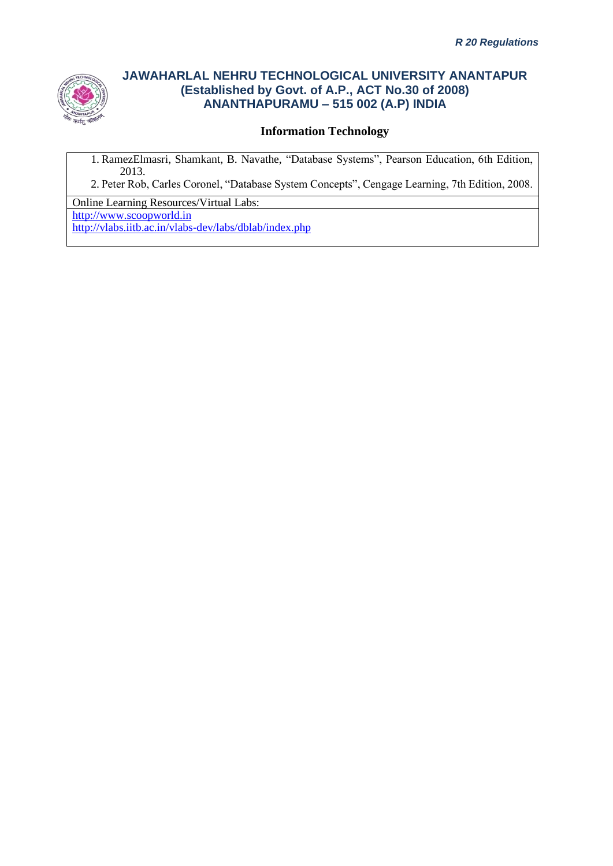

### **Information Technology**

1. RamezElmasri, Shamkant, B. Navathe, "Database Systems", Pearson Education, 6th Edition, 2013.

2. Peter Rob, Carles Coronel, "Database System Concepts", Cengage Learning, 7th Edition, 2008.

Online Learning Resources/Virtual Labs: [http://www.scoopworld.in](http://www.scoopworld.in/)

<http://vlabs.iitb.ac.in/vlabs-dev/labs/dblab/index.php>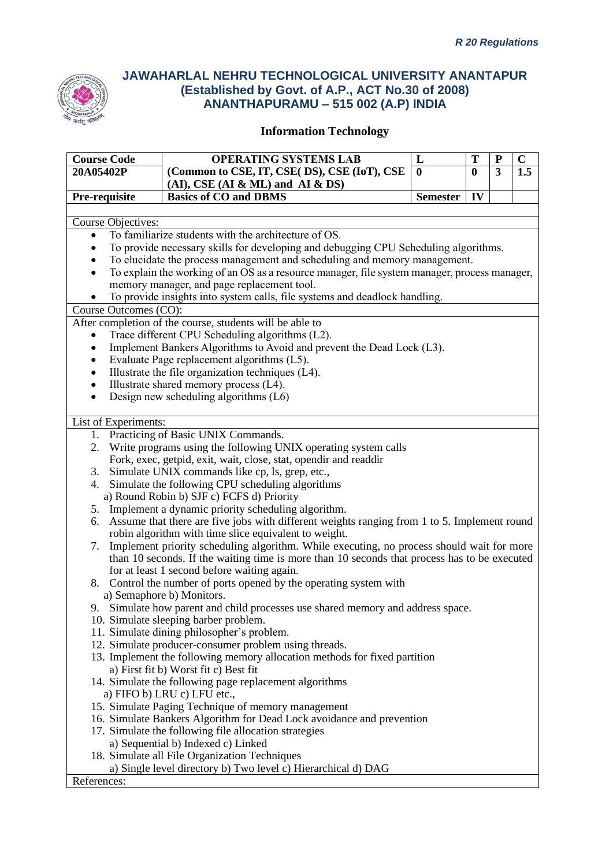

| <b>Course Code</b>        | <b>OPERATING SYSTEMS LAB</b>                                                                                                | L                | T            | ${\bf P}$ | $\mathbf C$ |  |  |  |
|---------------------------|-----------------------------------------------------------------------------------------------------------------------------|------------------|--------------|-----------|-------------|--|--|--|
| 20A05402P                 | (Common to CSE, IT, CSE( DS), CSE (IoT), CSE                                                                                | $\boldsymbol{0}$ | $\mathbf{0}$ | 3         | 1.5         |  |  |  |
|                           | $(AI)$ , CSE $(AI & ML)$ and $AI & DS$                                                                                      |                  |              |           |             |  |  |  |
| Pre-requisite             | <b>Basics of CO and DBMS</b>                                                                                                | <b>Semester</b>  | IV           |           |             |  |  |  |
|                           |                                                                                                                             |                  |              |           |             |  |  |  |
| <b>Course Objectives:</b> |                                                                                                                             |                  |              |           |             |  |  |  |
| $\bullet$                 | To familiarize students with the architecture of OS.                                                                        |                  |              |           |             |  |  |  |
|                           | To provide necessary skills for developing and debugging CPU Scheduling algorithms.                                         |                  |              |           |             |  |  |  |
|                           | To elucidate the process management and scheduling and memory management.                                                   |                  |              |           |             |  |  |  |
| $\bullet$                 | To explain the working of an OS as a resource manager, file system manager, process manager,                                |                  |              |           |             |  |  |  |
|                           | memory manager, and page replacement tool.                                                                                  |                  |              |           |             |  |  |  |
|                           | To provide insights into system calls, file systems and deadlock handling.                                                  |                  |              |           |             |  |  |  |
| Course Outcomes (CO):     |                                                                                                                             |                  |              |           |             |  |  |  |
|                           | After completion of the course, students will be able to                                                                    |                  |              |           |             |  |  |  |
| $\bullet$                 | Trace different CPU Scheduling algorithms (L2).                                                                             |                  |              |           |             |  |  |  |
| $\bullet$                 | Implement Bankers Algorithms to Avoid and prevent the Dead Lock (L3).                                                       |                  |              |           |             |  |  |  |
| $\bullet$                 | Evaluate Page replacement algorithms (L5).                                                                                  |                  |              |           |             |  |  |  |
| $\bullet$                 | Illustrate the file organization techniques (L4).                                                                           |                  |              |           |             |  |  |  |
| $\bullet$                 | Illustrate shared memory process (L4).                                                                                      |                  |              |           |             |  |  |  |
| $\bullet$                 | Design new scheduling algorithms (L6)                                                                                       |                  |              |           |             |  |  |  |
|                           |                                                                                                                             |                  |              |           |             |  |  |  |
| List of Experiments:      |                                                                                                                             |                  |              |           |             |  |  |  |
|                           | 1. Practicing of Basic UNIX Commands.                                                                                       |                  |              |           |             |  |  |  |
| 2.                        | Write programs using the following UNIX operating system calls                                                              |                  |              |           |             |  |  |  |
|                           | Fork, exec, getpid, exit, wait, close, stat, opendir and readdir                                                            |                  |              |           |             |  |  |  |
|                           | 3. Simulate UNIX commands like cp, ls, grep, etc.,                                                                          |                  |              |           |             |  |  |  |
|                           | 4. Simulate the following CPU scheduling algorithms                                                                         |                  |              |           |             |  |  |  |
|                           | a) Round Robin b) SJF c) FCFS d) Priority                                                                                   |                  |              |           |             |  |  |  |
|                           | 5. Implement a dynamic priority scheduling algorithm.                                                                       |                  |              |           |             |  |  |  |
| 6.                        | Assume that there are five jobs with different weights ranging from 1 to 5. Implement round                                 |                  |              |           |             |  |  |  |
|                           | robin algorithm with time slice equivalent to weight.                                                                       |                  |              |           |             |  |  |  |
| 7.                        | Implement priority scheduling algorithm. While executing, no process should wait for more                                   |                  |              |           |             |  |  |  |
|                           | than 10 seconds. If the waiting time is more than 10 seconds that process has to be executed                                |                  |              |           |             |  |  |  |
|                           | for at least 1 second before waiting again.                                                                                 |                  |              |           |             |  |  |  |
|                           | 8. Control the number of ports opened by the operating system with                                                          |                  |              |           |             |  |  |  |
|                           | a) Semaphore b) Monitors.                                                                                                   |                  |              |           |             |  |  |  |
|                           | 9. Simulate how parent and child processes use shared memory and address space.                                             |                  |              |           |             |  |  |  |
|                           | 10. Simulate sleeping barber problem.                                                                                       |                  |              |           |             |  |  |  |
|                           | 11. Simulate dining philosopher's problem.                                                                                  |                  |              |           |             |  |  |  |
|                           | 12. Simulate producer-consumer problem using threads.                                                                       |                  |              |           |             |  |  |  |
|                           | 13. Implement the following memory allocation methods for fixed partition                                                   |                  |              |           |             |  |  |  |
|                           | a) First fit b) Worst fit c) Best fit                                                                                       |                  |              |           |             |  |  |  |
|                           | 14. Simulate the following page replacement algorithms                                                                      |                  |              |           |             |  |  |  |
|                           | a) FIFO b) LRU c) LFU etc.,                                                                                                 |                  |              |           |             |  |  |  |
|                           | 15. Simulate Paging Technique of memory management<br>16. Simulate Bankers Algorithm for Dead Lock avoidance and prevention |                  |              |           |             |  |  |  |
|                           | 17. Simulate the following file allocation strategies                                                                       |                  |              |           |             |  |  |  |
|                           | a) Sequential b) Indexed c) Linked                                                                                          |                  |              |           |             |  |  |  |
|                           | 18. Simulate all File Organization Techniques                                                                               |                  |              |           |             |  |  |  |
|                           | a) Single level directory b) Two level c) Hierarchical d) DAG                                                               |                  |              |           |             |  |  |  |
| References:               |                                                                                                                             |                  |              |           |             |  |  |  |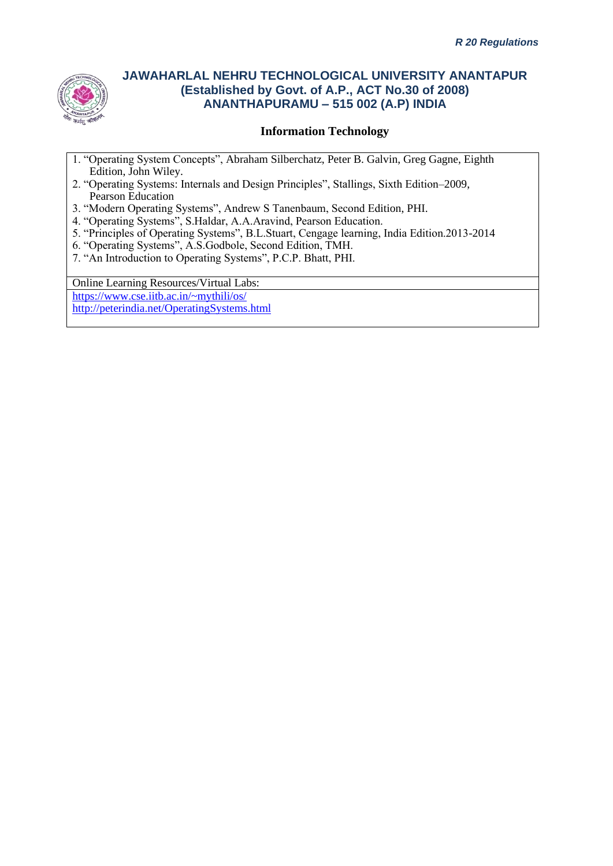

### **Information Technology**

- 1. "Operating System Concepts", Abraham Silberchatz, Peter B. Galvin, Greg Gagne, Eighth Edition, John Wiley.
- 2. "Operating Systems: Internals and Design Principles", Stallings, Sixth Edition–2009, Pearson Education
- 3. "Modern Operating Systems", Andrew S Tanenbaum, Second Edition, PHI.
- 4. "Operating Systems", S.Haldar, A.A.Aravind, Pearson Education.
- 5. "Principles of Operating Systems", B.L.Stuart, Cengage learning, India Edition.2013-2014
- 6. "Operating Systems", A.S.Godbole, Second Edition, TMH.
- 7. "An Introduction to Operating Systems", P.C.P. Bhatt, PHI.

Online Learning Resources/Virtual Labs: <https://www.cse.iitb.ac.in/~mythili/os/> <http://peterindia.net/OperatingSystems.html>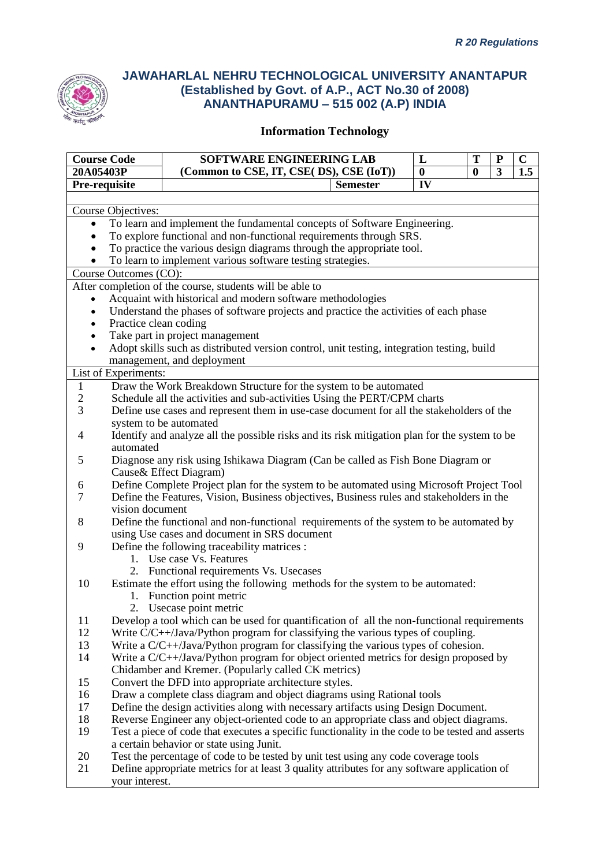

| <b>Course Code</b> |                                                                                                  | SOFTWARE ENGINEERING LAB                                                                      |  | L        | T                | ${\bf P}$ | $\mathbf C$ |  |
|--------------------|--------------------------------------------------------------------------------------------------|-----------------------------------------------------------------------------------------------|--|----------|------------------|-----------|-------------|--|
| 20A05403P          |                                                                                                  | (Common to CSE, IT, CSE( DS), CSE (IoT))                                                      |  | $\bf{0}$ | $\boldsymbol{0}$ | 3         | 1.5         |  |
|                    | IV<br>Pre-requisite<br><b>Semester</b>                                                           |                                                                                               |  |          |                  |           |             |  |
|                    |                                                                                                  |                                                                                               |  |          |                  |           |             |  |
|                    | Course Objectives:                                                                               |                                                                                               |  |          |                  |           |             |  |
| $\bullet$          | To learn and implement the fundamental concepts of Software Engineering.                         |                                                                                               |  |          |                  |           |             |  |
|                    |                                                                                                  | To explore functional and non-functional requirements through SRS.                            |  |          |                  |           |             |  |
|                    |                                                                                                  | To practice the various design diagrams through the appropriate tool.                         |  |          |                  |           |             |  |
|                    |                                                                                                  | To learn to implement various software testing strategies.                                    |  |          |                  |           |             |  |
|                    | Course Outcomes (CO):                                                                            |                                                                                               |  |          |                  |           |             |  |
|                    |                                                                                                  | After completion of the course, students will be able to                                      |  |          |                  |           |             |  |
|                    |                                                                                                  | Acquaint with historical and modern software methodologies                                    |  |          |                  |           |             |  |
|                    |                                                                                                  | Understand the phases of software projects and practice the activities of each phase          |  |          |                  |           |             |  |
|                    | Practice clean coding                                                                            |                                                                                               |  |          |                  |           |             |  |
|                    |                                                                                                  | Take part in project management                                                               |  |          |                  |           |             |  |
| $\bullet$          |                                                                                                  | Adopt skills such as distributed version control, unit testing, integration testing, build    |  |          |                  |           |             |  |
|                    |                                                                                                  | management, and deployment                                                                    |  |          |                  |           |             |  |
|                    | List of Experiments:                                                                             |                                                                                               |  |          |                  |           |             |  |
| 1                  |                                                                                                  | Draw the Work Breakdown Structure for the system to be automated                              |  |          |                  |           |             |  |
| $\overline{2}$     |                                                                                                  | Schedule all the activities and sub-activities Using the PERT/CPM charts                      |  |          |                  |           |             |  |
| 3                  |                                                                                                  | Define use cases and represent them in use-case document for all the stakeholders of the      |  |          |                  |           |             |  |
|                    |                                                                                                  | system to be automated                                                                        |  |          |                  |           |             |  |
| 4                  | automated                                                                                        | Identify and analyze all the possible risks and its risk mitigation plan for the system to be |  |          |                  |           |             |  |
| 5                  |                                                                                                  | Diagnose any risk using Ishikawa Diagram (Can be called as Fish Bone Diagram or               |  |          |                  |           |             |  |
|                    |                                                                                                  | Cause & Effect Diagram)                                                                       |  |          |                  |           |             |  |
| 6                  |                                                                                                  | Define Complete Project plan for the system to be automated using Microsoft Project Tool      |  |          |                  |           |             |  |
| 7                  |                                                                                                  | Define the Features, Vision, Business objectives, Business rules and stakeholders in the      |  |          |                  |           |             |  |
|                    | vision document                                                                                  |                                                                                               |  |          |                  |           |             |  |
| 8                  |                                                                                                  | Define the functional and non-functional requirements of the system to be automated by        |  |          |                  |           |             |  |
|                    |                                                                                                  | using Use cases and document in SRS document                                                  |  |          |                  |           |             |  |
| 9                  |                                                                                                  | Define the following traceability matrices :                                                  |  |          |                  |           |             |  |
|                    |                                                                                                  | 1. Use case Vs. Features                                                                      |  |          |                  |           |             |  |
|                    |                                                                                                  | 2. Functional requirements Vs. Usecases                                                       |  |          |                  |           |             |  |
| 10                 |                                                                                                  | Estimate the effort using the following methods for the system to be automated:               |  |          |                  |           |             |  |
|                    |                                                                                                  | 1. Function point metric                                                                      |  |          |                  |           |             |  |
|                    |                                                                                                  | 2. Usecase point metric                                                                       |  |          |                  |           |             |  |
| 11                 |                                                                                                  | Develop a tool which can be used for quantification of all the non-functional requirements    |  |          |                  |           |             |  |
| 12                 |                                                                                                  | Write $C/C++$ <i>Java/Python program for classifying the various types of coupling.</i>       |  |          |                  |           |             |  |
| 13                 |                                                                                                  | Write a C/C++/Java/Python program for classifying the various types of cohesion.              |  |          |                  |           |             |  |
| 14                 | Write a C/C++/Java/Python program for object oriented metrics for design proposed by             |                                                                                               |  |          |                  |           |             |  |
|                    |                                                                                                  | Chidamber and Kremer. (Popularly called CK metrics)                                           |  |          |                  |           |             |  |
| 15                 |                                                                                                  | Convert the DFD into appropriate architecture styles.                                         |  |          |                  |           |             |  |
| 16                 |                                                                                                  | Draw a complete class diagram and object diagrams using Rational tools                        |  |          |                  |           |             |  |
| 17                 |                                                                                                  | Define the design activities along with necessary artifacts using Design Document.            |  |          |                  |           |             |  |
| 18                 | Reverse Engineer any object-oriented code to an appropriate class and object diagrams.           |                                                                                               |  |          |                  |           |             |  |
| 19                 | Test a piece of code that executes a specific functionality in the code to be tested and asserts |                                                                                               |  |          |                  |           |             |  |
|                    |                                                                                                  | a certain behavior or state using Junit.                                                      |  |          |                  |           |             |  |
| 20                 |                                                                                                  | Test the percentage of code to be tested by unit test using any code coverage tools           |  |          |                  |           |             |  |
| 21                 | your interest.                                                                                   | Define appropriate metrics for at least 3 quality attributes for any software application of  |  |          |                  |           |             |  |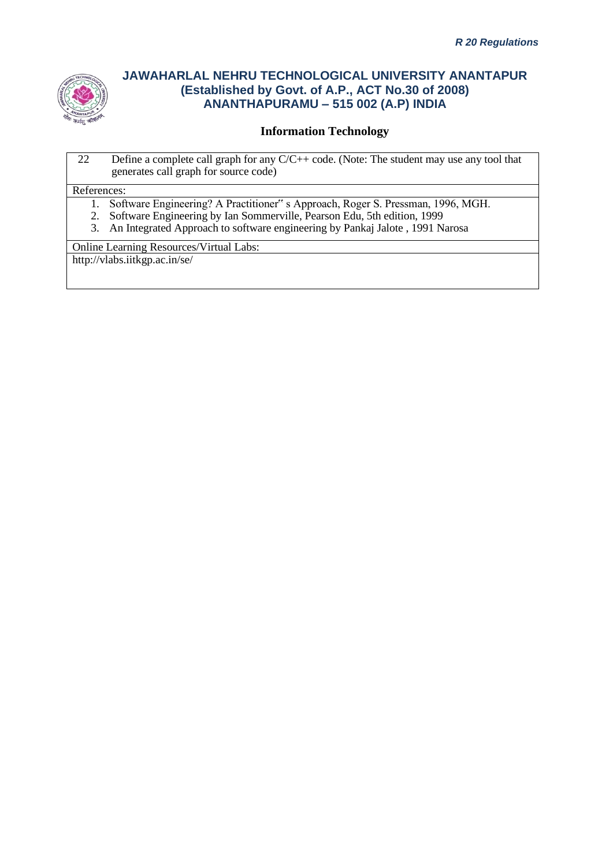

## **Information Technology**

22 Define a complete call graph for any C/C++ code. (Note: The student may use any tool that generates call graph for source code)

#### References:

- 1. Software Engineering? A Practitioner" s Approach, Roger S. Pressman, 1996, MGH.
- 2. Software Engineering by Ian Sommerville, Pearson Edu, 5th edition, 1999
- 3. An Integrated Approach to software engineering by Pankaj Jalote , 1991 Narosa

Online Learning Resources/Virtual Labs:

http://vlabs.iitkgp.ac.in/se/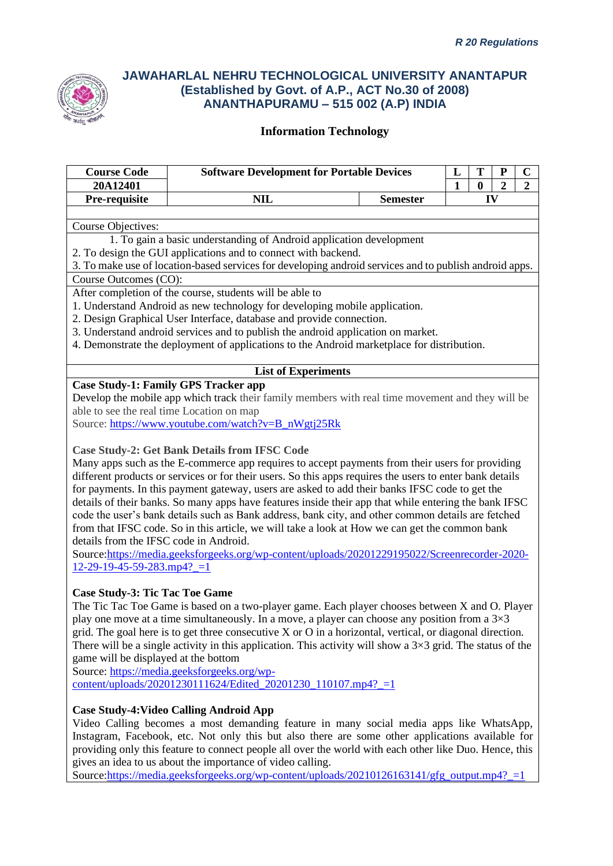

### **Information Technology**

| <b>Course Code</b>                          | <b>Software Development for Portable Devices</b>                                                         |                 |    | Т            | P              | $\mathbf C$    |
|---------------------------------------------|----------------------------------------------------------------------------------------------------------|-----------------|----|--------------|----------------|----------------|
| 20A12401                                    |                                                                                                          |                 | 1  | $\mathbf{0}$ | $\overline{2}$ | $\overline{2}$ |
| Pre-requisite                               | <b>NIL</b>                                                                                               | <b>Semester</b> | IV |              |                |                |
|                                             |                                                                                                          |                 |    |              |                |                |
| <b>Course Objectives:</b>                   |                                                                                                          |                 |    |              |                |                |
|                                             | 1. To gain a basic understanding of Android application development                                      |                 |    |              |                |                |
|                                             | 2. To design the GUI applications and to connect with backend.                                           |                 |    |              |                |                |
|                                             | 3. To make use of location-based services for developing android services and to publish android apps.   |                 |    |              |                |                |
| Course Outcomes (CO):                       |                                                                                                          |                 |    |              |                |                |
|                                             | After completion of the course, students will be able to                                                 |                 |    |              |                |                |
|                                             | 1. Understand Android as new technology for developing mobile application.                               |                 |    |              |                |                |
|                                             | 2. Design Graphical User Interface, database and provide connection.                                     |                 |    |              |                |                |
|                                             | 3. Understand android services and to publish the android application on market.                         |                 |    |              |                |                |
|                                             | 4. Demonstrate the deployment of applications to the Android marketplace for distribution.               |                 |    |              |                |                |
|                                             |                                                                                                          |                 |    |              |                |                |
|                                             | <b>List of Experiments</b>                                                                               |                 |    |              |                |                |
| <b>Case Study-1: Family GPS Tracker app</b> |                                                                                                          |                 |    |              |                |                |
|                                             | Develop the mobile app which track their family members with real time movement and they will be         |                 |    |              |                |                |
| able to see the real time Location on map   |                                                                                                          |                 |    |              |                |                |
|                                             | Source: https://www.youtube.com/watch?v=B_nWgtj25Rk                                                      |                 |    |              |                |                |
|                                             | <b>Case Study-2: Get Bank Details from IFSC Code</b>                                                     |                 |    |              |                |                |
|                                             | Many apps such as the E-commerce app requires to accept payments from their users for providing          |                 |    |              |                |                |
|                                             | different products or services or for their users. So this apps requires the users to enter bank details |                 |    |              |                |                |
|                                             | for payments. In this payment gateway, users are asked to add their banks IFSC code to get the           |                 |    |              |                |                |
|                                             | details of their banks. So many apps have features inside their app that while entering the bank IFSC    |                 |    |              |                |                |
|                                             | code the user's bank details such as Bank address, bank city, and other common details are fetched       |                 |    |              |                |                |
|                                             | from that IFSC code. So in this article, we will take a look at How we can get the common bank           |                 |    |              |                |                |

details from the IFSC code in Android. Source[:https://media.geeksforgeeks.org/wp-content/uploads/20201229195022/Screenrecorder-2020-](https://media.geeksforgeeks.org/wp-content/uploads/20201229195022/Screenrecorder-2020-12-29-19-45-59-283.mp4?_=1)

 $12-29-19-45-59-283mp4? = 1$ 

#### **Case Study-3: Tic Tac Toe Game**

The Tic Tac Toe Game is based on a two-player game. Each player chooses between X and O. Player play one move at a time simultaneously. In a move, a player can choose any position from a  $3\times3$ grid. The goal here is to get three consecutive X or O in a horizontal, vertical, or diagonal direction. There will be a single activity in this application. This activity will show a  $3\times3$  grid. The status of the game will be displayed at the bottom

Source[: https://media.geeksforgeeks.org/wp](https://media.geeksforgeeks.org/wp-content/uploads/20201230111624/Edited_20201230_110107.mp4?_=1) $content/unloads/20201230111624/Edited 20201230 110107mp4? = 1$ 

### **Case Study-4:Video Calling Android App**

Video Calling becomes a most demanding feature in many social media apps like WhatsApp, Instagram, Facebook, etc. Not only this but also there are some other applications available for providing only this feature to connect people all over the world with each other like Duo. Hence, this gives an idea to us about the importance of video calling.

Source:https://media.geeksforgeeks.org/wp-content/uploads/20210126163141/gfg\_output.mp4? $=1$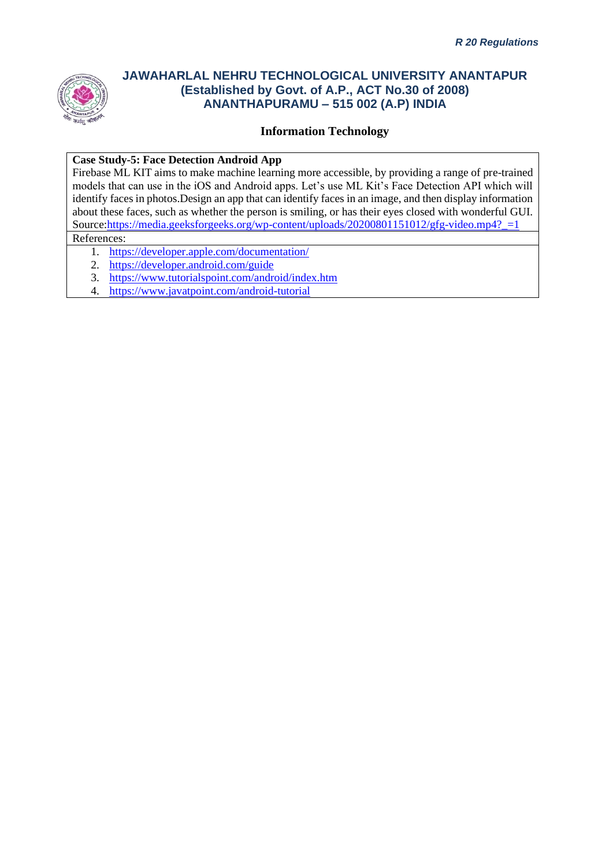

### **Information Technology**

#### **Case Study-5: Face Detection Android App**

Firebase ML KIT aims to make machine learning more accessible, by providing a range of pre-trained models that can use in the iOS and Android apps. Let's use ML Kit's Face Detection API which will identify faces in photos.Design an app that can identify faces in an image, and then display information about these faces, such as whether the person is smiling, or has their eyes closed with wonderful GUI. Source:https://media.geeksforgeeks.org/wp-content/uploads/20200801151012/gfg-video.mp4? $=1$ 

### References:

- 1. <https://developer.apple.com/documentation/>
- 2. <https://developer.android.com/guide>
- 3. <https://www.tutorialspoint.com/android/index.htm>
- 4. <https://www.javatpoint.com/android-tutorial>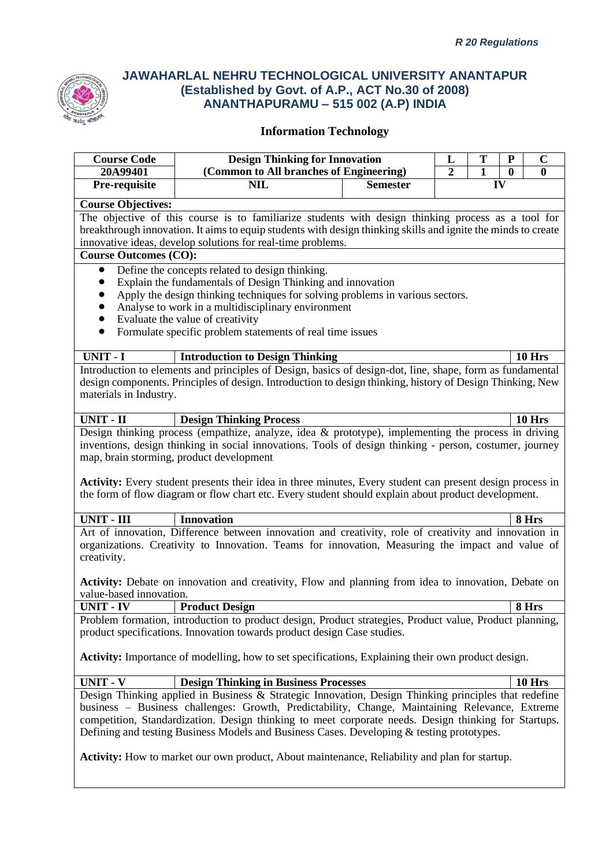

| <b>Course Code</b>           | <b>Design Thinking for Innovation</b>                                                                                                                                                                                                                                                                                                                                                                       |                 | L                                    | T | ${\bf P}$ | $\mathbf C$   |  |
|------------------------------|-------------------------------------------------------------------------------------------------------------------------------------------------------------------------------------------------------------------------------------------------------------------------------------------------------------------------------------------------------------------------------------------------------------|-----------------|--------------------------------------|---|-----------|---------------|--|
| 20A99401<br>Pre-requisite    | (Common to All branches of Engineering)<br><b>NIL</b>                                                                                                                                                                                                                                                                                                                                                       | <b>Semester</b> | $\overline{2}$<br>$\mathbf{1}$<br>IV |   | $\bf{0}$  | $\mathbf{0}$  |  |
|                              |                                                                                                                                                                                                                                                                                                                                                                                                             |                 |                                      |   |           |               |  |
| <b>Course Objectives:</b>    |                                                                                                                                                                                                                                                                                                                                                                                                             |                 |                                      |   |           |               |  |
|                              | The objective of this course is to familiarize students with design thinking process as a tool for<br>breakthrough innovation. It aims to equip students with design thinking skills and ignite the minds to create                                                                                                                                                                                         |                 |                                      |   |           |               |  |
|                              | innovative ideas, develop solutions for real-time problems.                                                                                                                                                                                                                                                                                                                                                 |                 |                                      |   |           |               |  |
| <b>Course Outcomes (CO):</b> |                                                                                                                                                                                                                                                                                                                                                                                                             |                 |                                      |   |           |               |  |
| $\bullet$                    | Define the concepts related to design thinking.                                                                                                                                                                                                                                                                                                                                                             |                 |                                      |   |           |               |  |
| $\bullet$                    | Explain the fundamentals of Design Thinking and innovation                                                                                                                                                                                                                                                                                                                                                  |                 |                                      |   |           |               |  |
| $\bullet$                    | Apply the design thinking techniques for solving problems in various sectors.                                                                                                                                                                                                                                                                                                                               |                 |                                      |   |           |               |  |
| $\bullet$                    | Analyse to work in a multidisciplinary environment                                                                                                                                                                                                                                                                                                                                                          |                 |                                      |   |           |               |  |
| $\bullet$<br>$\bullet$       | Evaluate the value of creativity<br>Formulate specific problem statements of real time issues                                                                                                                                                                                                                                                                                                               |                 |                                      |   |           |               |  |
|                              |                                                                                                                                                                                                                                                                                                                                                                                                             |                 |                                      |   |           |               |  |
| UNIT - I                     | <b>Introduction to Design Thinking</b>                                                                                                                                                                                                                                                                                                                                                                      |                 |                                      |   |           | <b>10 Hrs</b> |  |
|                              | Introduction to elements and principles of Design, basics of design-dot, line, shape, form as fundamental                                                                                                                                                                                                                                                                                                   |                 |                                      |   |           |               |  |
|                              | design components. Principles of design. Introduction to design thinking, history of Design Thinking, New                                                                                                                                                                                                                                                                                                   |                 |                                      |   |           |               |  |
| materials in Industry.       |                                                                                                                                                                                                                                                                                                                                                                                                             |                 |                                      |   |           |               |  |
| <b>UNIT - II</b>             | <b>Design Thinking Process</b>                                                                                                                                                                                                                                                                                                                                                                              |                 |                                      |   |           | <b>10 Hrs</b> |  |
|                              | Design thinking process (empathize, analyze, idea & prototype), implementing the process in driving                                                                                                                                                                                                                                                                                                         |                 |                                      |   |           |               |  |
|                              | inventions, design thinking in social innovations. Tools of design thinking - person, costumer, journey                                                                                                                                                                                                                                                                                                     |                 |                                      |   |           |               |  |
|                              | map, brain storming, product development                                                                                                                                                                                                                                                                                                                                                                    |                 |                                      |   |           |               |  |
|                              | <b>Activity:</b> Every student presents their idea in three minutes, Every student can present design process in<br>the form of flow diagram or flow chart etc. Every student should explain about product development.                                                                                                                                                                                     |                 |                                      |   |           |               |  |
| <b>UNIT - III</b>            | Innovation                                                                                                                                                                                                                                                                                                                                                                                                  |                 |                                      |   |           | 8 Hrs         |  |
|                              | Art of innovation, Difference between innovation and creativity, role of creativity and innovation in                                                                                                                                                                                                                                                                                                       |                 |                                      |   |           |               |  |
|                              | organizations. Creativity to Innovation. Teams for innovation, Measuring the impact and value of                                                                                                                                                                                                                                                                                                            |                 |                                      |   |           |               |  |
| creativity.                  |                                                                                                                                                                                                                                                                                                                                                                                                             |                 |                                      |   |           |               |  |
|                              | Activity: Debate on innovation and creativity, Flow and planning from idea to innovation, Debate on                                                                                                                                                                                                                                                                                                         |                 |                                      |   |           |               |  |
| value-based innovation.      |                                                                                                                                                                                                                                                                                                                                                                                                             |                 |                                      |   |           |               |  |
| <b>UNIT - IV</b>             | <b>Product Design</b>                                                                                                                                                                                                                                                                                                                                                                                       |                 |                                      |   |           | 8 Hrs         |  |
|                              | Problem formation, introduction to product design, Product strategies, Product value, Product planning,                                                                                                                                                                                                                                                                                                     |                 |                                      |   |           |               |  |
|                              | product specifications. Innovation towards product design Case studies.                                                                                                                                                                                                                                                                                                                                     |                 |                                      |   |           |               |  |
|                              | <b>Activity:</b> Importance of modelling, how to set specifications, Explaining their own product design.                                                                                                                                                                                                                                                                                                   |                 |                                      |   |           |               |  |
| <b>UNIT - V</b>              | <b>Design Thinking in Business Processes</b>                                                                                                                                                                                                                                                                                                                                                                |                 |                                      |   |           | <b>10 Hrs</b> |  |
|                              | Design Thinking applied in Business & Strategic Innovation, Design Thinking principles that redefine<br>business – Business challenges: Growth, Predictability, Change, Maintaining Relevance, Extreme<br>competition, Standardization. Design thinking to meet corporate needs. Design thinking for Startups.<br>Defining and testing Business Models and Business Cases. Developing & testing prototypes. |                 |                                      |   |           |               |  |
|                              | <b>Activity:</b> How to market our own product, About maintenance, Reliability and plan for startup.                                                                                                                                                                                                                                                                                                        |                 |                                      |   |           |               |  |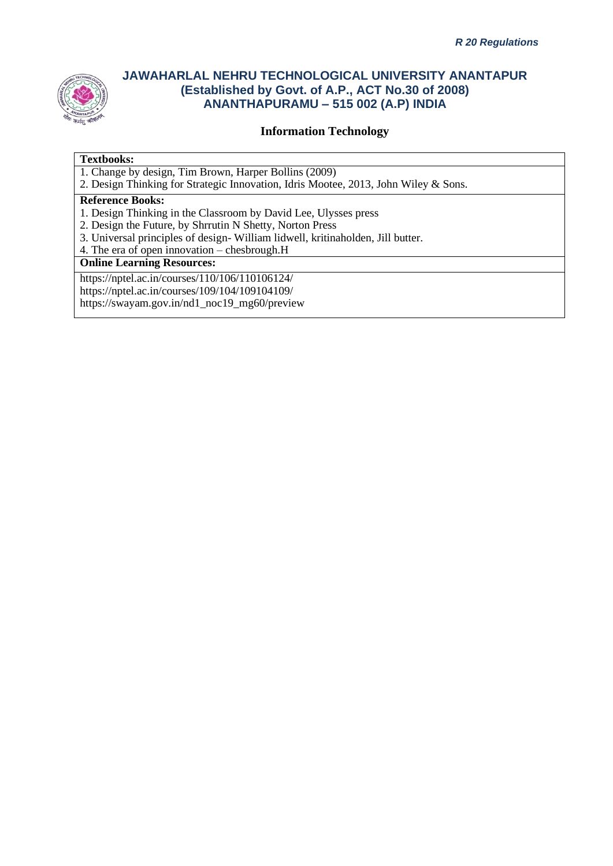

### **Information Technology**

#### **Textbooks:**

1. Change by design, Tim Brown, Harper Bollins (2009)

2. Design Thinking for Strategic Innovation, Idris Mootee, 2013, John Wiley & Sons.

#### **Reference Books:**

- 1. Design Thinking in the Classroom by David Lee, Ulysses press
- 2. Design the Future, by Shrrutin N Shetty, Norton Press
- 3. Universal principles of design- William lidwell, kritinaholden, Jill butter.
- 4. The era of open innovation chesbrough.H

#### **Online Learning Resources:**

https://nptel.ac.in/courses/110/106/110106124/

https://nptel.ac.in/courses/109/104/109104109/

https://swayam.gov.in/nd1\_noc19\_mg60/preview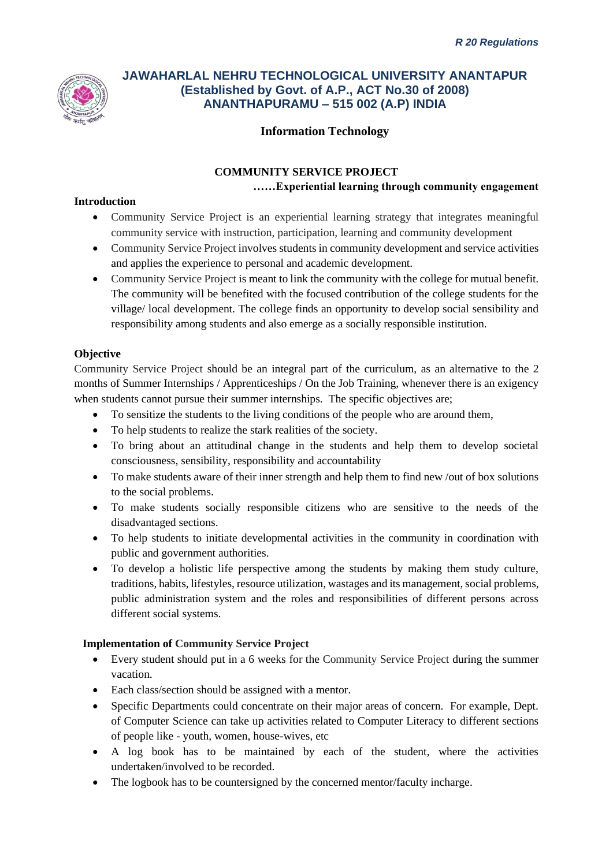

### **Information Technology**

### **COMMUNITY SERVICE PROJECT ……Experiential learning through community engagement**

### **Introduction**

- Community Service Project is an experiential learning strategy that integrates meaningful community service with instruction, participation, learning and community development
- Community Service Project involves students in community development and service activities and applies the experience to personal and academic development.
- Community Service Project is meant to link the community with the college for mutual benefit. The community will be benefited with the focused contribution of the college students for the village/ local development. The college finds an opportunity to develop social sensibility and responsibility among students and also emerge as a socially responsible institution.

### **Objective**

Community Service Project should be an integral part of the curriculum, as an alternative to the 2 months of Summer Internships / Apprenticeships / On the Job Training, whenever there is an exigency when students cannot pursue their summer internships. The specific objectives are;

- To sensitize the students to the living conditions of the people who are around them,
- To help students to realize the stark realities of the society.
- To bring about an attitudinal change in the students and help them to develop societal consciousness, sensibility, responsibility and accountability
- To make students aware of their inner strength and help them to find new /out of box solutions to the social problems.
- To make students socially responsible citizens who are sensitive to the needs of the disadvantaged sections.
- To help students to initiate developmental activities in the community in coordination with public and government authorities.
- To develop a holistic life perspective among the students by making them study culture, traditions, habits, lifestyles, resource utilization, wastages and its management, social problems, public administration system and the roles and responsibilities of different persons across different social systems.

### **Implementation of Community Service Project**

- Every student should put in a 6 weeks for the Community Service Project during the summer vacation.
- Each class/section should be assigned with a mentor.
- Specific Departments could concentrate on their major areas of concern. For example, Dept. of Computer Science can take up activities related to Computer Literacy to different sections of people like - youth, women, house-wives, etc
- A log book has to be maintained by each of the student, where the activities undertaken/involved to be recorded.
- The logbook has to be countersigned by the concerned mentor/faculty incharge.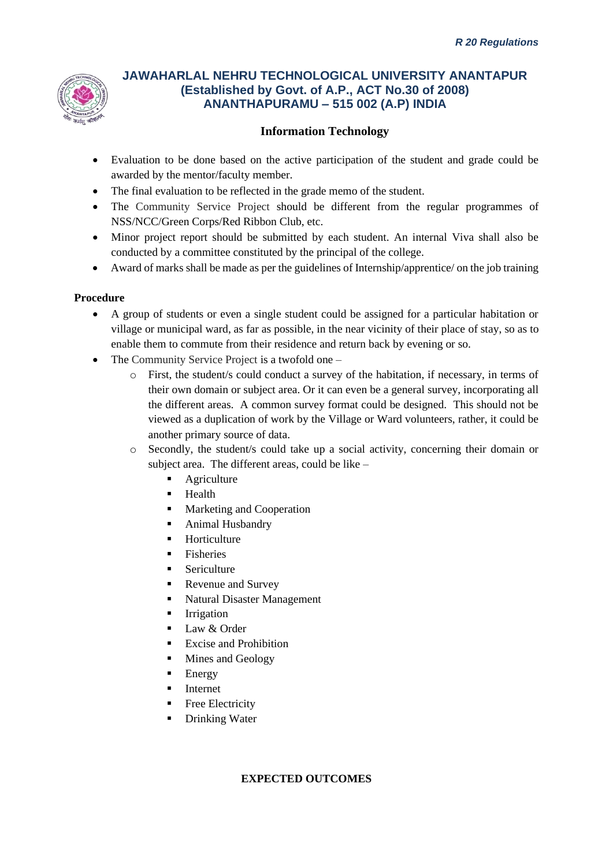

## **Information Technology**

- Evaluation to be done based on the active participation of the student and grade could be awarded by the mentor/faculty member.
- The final evaluation to be reflected in the grade memo of the student.
- The Community Service Project should be different from the regular programmes of NSS/NCC/Green Corps/Red Ribbon Club, etc.
- Minor project report should be submitted by each student. An internal Viva shall also be conducted by a committee constituted by the principal of the college.
- Award of marks shall be made as per the guidelines of Internship/apprentice/ on the job training

#### **Procedure**

- A group of students or even a single student could be assigned for a particular habitation or village or municipal ward, as far as possible, in the near vicinity of their place of stay, so as to enable them to commute from their residence and return back by evening or so.
- The Community Service Project is a twofold one
	- o First, the student/s could conduct a survey of the habitation, if necessary, in terms of their own domain or subject area. Or it can even be a general survey, incorporating all the different areas. A common survey format could be designed. This should not be viewed as a duplication of work by the Village or Ward volunteers, rather, it could be another primary source of data.
	- o Secondly, the student/s could take up a social activity, concerning their domain or subject area. The different areas, could be like –
		- Agriculture
		- Health
		- Marketing and Cooperation
		- Animal Husbandry
		- Horticulture
		- **Fisheries**
		- **Sericulture**
		- Revenue and Survey
		- Natural Disaster Management
		- **Irrigation**
		- Law & Order
		- Excise and Prohibition
		- Mines and Geology
		- **Energy**
		- **Internet**
		- Free Electricity
		- **Drinking Water**

#### **EXPECTED OUTCOMES**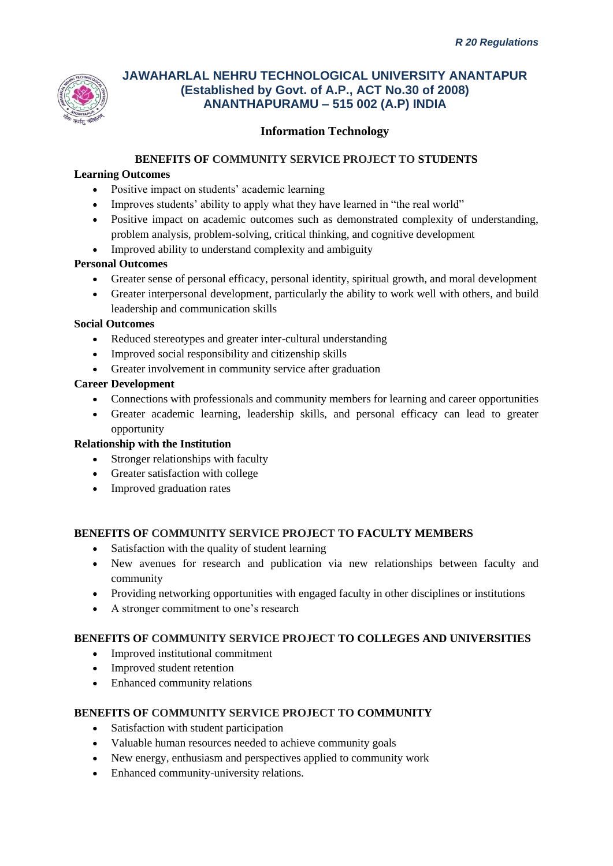

### **Information Technology**

### **BENEFITS OF COMMUNITY SERVICE PROJECT TO STUDENTS**

### **Learning Outcomes**

- Positive impact on students' academic learning
- Improves students' ability to apply what they have learned in "the real world"
- Positive impact on academic outcomes such as demonstrated complexity of understanding, problem analysis, problem-solving, critical thinking, and cognitive development
- Improved ability to understand complexity and ambiguity

### **Personal Outcomes**

- Greater sense of personal efficacy, personal identity, spiritual growth, and moral development
- Greater interpersonal development, particularly the ability to work well with others, and build leadership and communication skills

#### **Social Outcomes**

- Reduced stereotypes and greater inter-cultural understanding
- Improved social responsibility and citizenship skills
- Greater involvement in community service after graduation

### **Career Development**

- Connections with professionals and community members for learning and career opportunities
- Greater academic learning, leadership skills, and personal efficacy can lead to greater opportunity

#### **Relationship with the Institution**

- Stronger relationships with faculty
- Greater satisfaction with college
- Improved graduation rates

#### **BENEFITS OF COMMUNITY SERVICE PROJECT TO FACULTY MEMBERS**

- Satisfaction with the quality of student learning
- New avenues for research and publication via new relationships between faculty and community
- Providing networking opportunities with engaged faculty in other disciplines or institutions
- A stronger commitment to one's research

#### **BENEFITS OF COMMUNITY SERVICE PROJECT TO COLLEGES AND UNIVERSITIES**

- Improved institutional commitment
- Improved student retention
- Enhanced community relations

#### **BENEFITS OF COMMUNITY SERVICE PROJECT TO COMMUNITY**

- Satisfaction with student participation
- Valuable human resources needed to achieve community goals
- New energy, enthusiasm and perspectives applied to community work
- Enhanced community-university relations.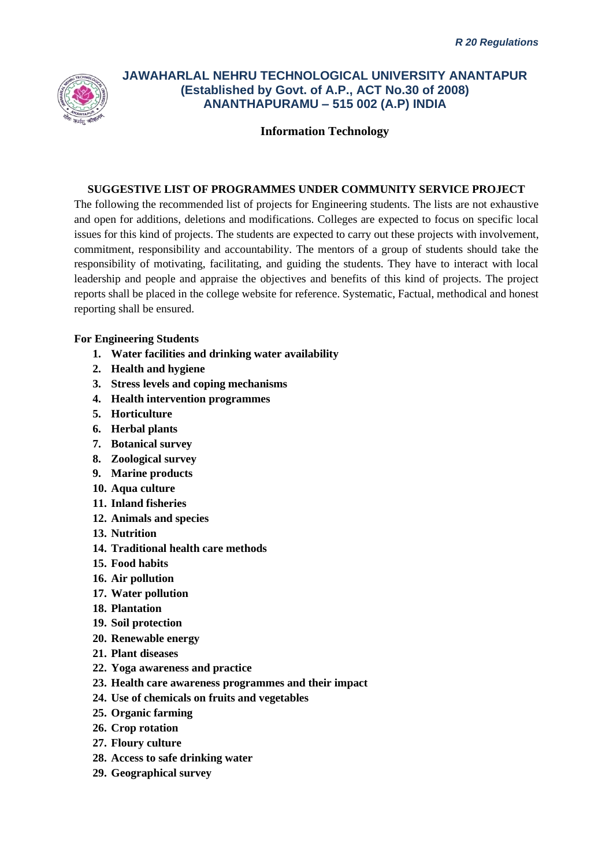

**Information Technology**

#### **SUGGESTIVE LIST OF PROGRAMMES UNDER COMMUNITY SERVICE PROJECT**

The following the recommended list of projects for Engineering students. The lists are not exhaustive and open for additions, deletions and modifications. Colleges are expected to focus on specific local issues for this kind of projects. The students are expected to carry out these projects with involvement, commitment, responsibility and accountability. The mentors of a group of students should take the responsibility of motivating, facilitating, and guiding the students. They have to interact with local leadership and people and appraise the objectives and benefits of this kind of projects. The project reports shall be placed in the college website for reference. Systematic, Factual, methodical and honest reporting shall be ensured.

#### **For Engineering Students**

- **1. Water facilities and drinking water availability**
- **2. Health and hygiene**
- **3. Stress levels and coping mechanisms**
- **4. Health intervention programmes**
- **5. Horticulture**
- **6. Herbal plants**
- **7. Botanical survey**
- **8. Zoological survey**
- **9. Marine products**
- **10. Aqua culture**
- **11. Inland fisheries**
- **12. Animals and species**
- **13. Nutrition**
- **14. Traditional health care methods**
- **15. Food habits**
- **16. Air pollution**
- **17. Water pollution**
- **18. Plantation**
- **19. Soil protection**
- **20. Renewable energy**
- **21. Plant diseases**
- **22. Yoga awareness and practice**
- **23. Health care awareness programmes and their impact**
- **24. Use of chemicals on fruits and vegetables**
- **25. Organic farming**
- **26. Crop rotation**
- **27. Floury culture**
- **28. Access to safe drinking water**
- **29. Geographical survey**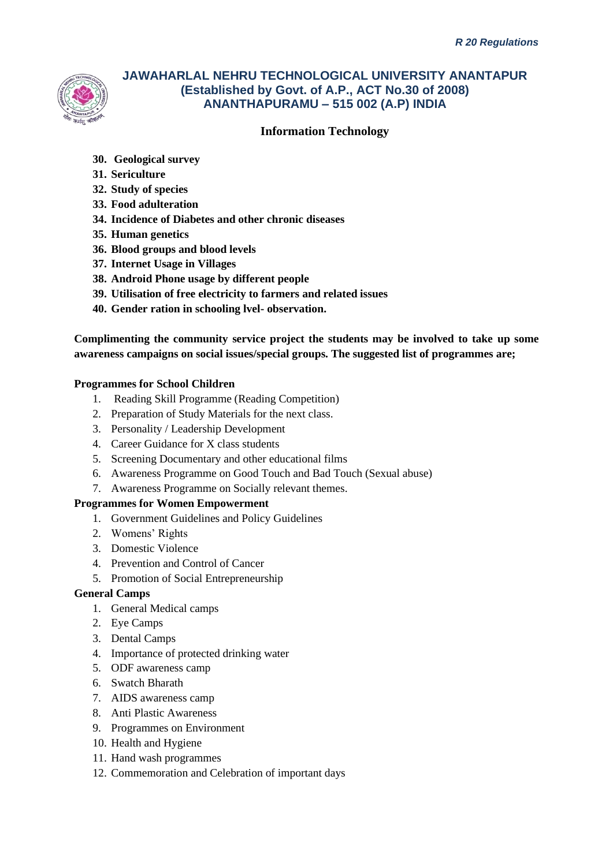

### **Information Technology**

- **30. Geological survey**
- **31. Sericulture**
- **32. Study of species**
- **33. Food adulteration**
- **34. Incidence of Diabetes and other chronic diseases**
- **35. Human genetics**
- **36. Blood groups and blood levels**
- **37. Internet Usage in Villages**
- **38. Android Phone usage by different people**
- **39. Utilisation of free electricity to farmers and related issues**
- **40. Gender ration in schooling lvel- observation.**

**Complimenting the community service project the students may be involved to take up some awareness campaigns on social issues/special groups. The suggested list of programmes are;**

#### **Programmes for School Children**

- 1. Reading Skill Programme (Reading Competition)
- 2. Preparation of Study Materials for the next class.
- 3. Personality / Leadership Development
- 4. Career Guidance for X class students
- 5. Screening Documentary and other educational films
- 6. Awareness Programme on Good Touch and Bad Touch (Sexual abuse)
- 7. Awareness Programme on Socially relevant themes.

#### **Programmes for Women Empowerment**

- 1. Government Guidelines and Policy Guidelines
- 2. Womens' Rights
- 3. Domestic Violence
- 4. Prevention and Control of Cancer
- 5. Promotion of Social Entrepreneurship

#### **General Camps**

- 1. General Medical camps
- 2. Eye Camps
- 3. Dental Camps
- 4. Importance of protected drinking water
- 5. ODF awareness camp
- 6. Swatch Bharath
- 7. AIDS awareness camp
- 8. Anti Plastic Awareness
- 9. Programmes on Environment
- 10. Health and Hygiene
- 11. Hand wash programmes
- 12. Commemoration and Celebration of important days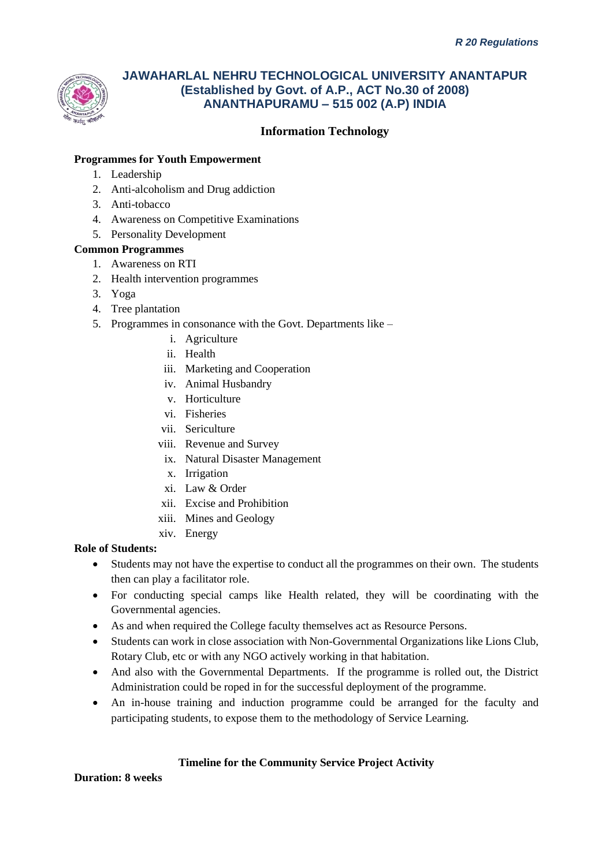

# **Information Technology**

### **Programmes for Youth Empowerment**

- 1. Leadership
- 2. Anti-alcoholism and Drug addiction
- 3. Anti-tobacco
- 4. Awareness on Competitive Examinations
- 5. Personality Development

#### **Common Programmes**

- 1. Awareness on RTI
- 2. Health intervention programmes
- 3. Yoga
- 4. Tree plantation
- 5. Programmes in consonance with the Govt. Departments like
	- i. Agriculture
	- ii. Health
	- iii. Marketing and Cooperation
	- iv. Animal Husbandry
	- v. Horticulture
	- vi. Fisheries
	- vii. Sericulture
	- viii. Revenue and Survey
		- ix. Natural Disaster Management
		- x. Irrigation
	- xi. Law & Order
	- xii. Excise and Prohibition
	- xiii. Mines and Geology
	- xiv. Energy

#### **Role of Students:**

- Students may not have the expertise to conduct all the programmes on their own. The students then can play a facilitator role.
- For conducting special camps like Health related, they will be coordinating with the Governmental agencies.
- As and when required the College faculty themselves act as Resource Persons.
- Students can work in close association with Non-Governmental Organizations like Lions Club, Rotary Club, etc or with any NGO actively working in that habitation.
- And also with the Governmental Departments. If the programme is rolled out, the District Administration could be roped in for the successful deployment of the programme.
- An in-house training and induction programme could be arranged for the faculty and participating students, to expose them to the methodology of Service Learning.

### **Timeline for the Community Service Project Activity**

**Duration: 8 weeks**